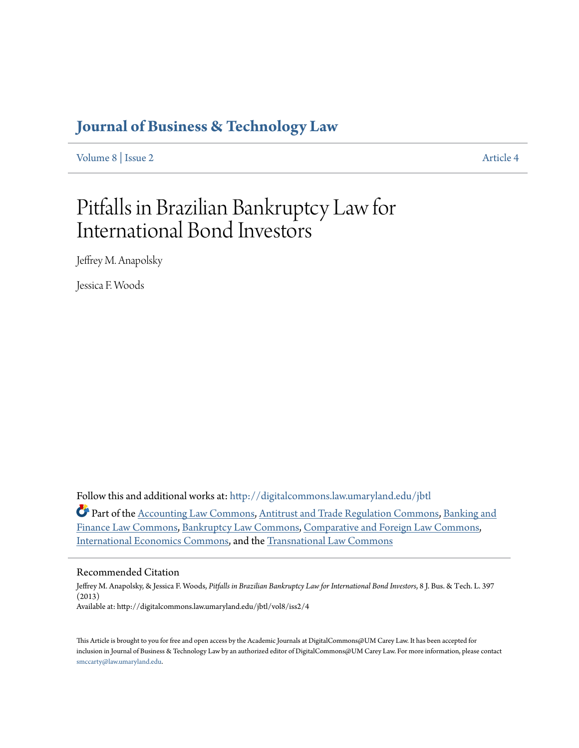# **[Journal of Business & Technology Law](http://digitalcommons.law.umaryland.edu/jbtl?utm_source=digitalcommons.law.umaryland.edu%2Fjbtl%2Fvol8%2Fiss2%2F4&utm_medium=PDF&utm_campaign=PDFCoverPages)**

[Volume 8](http://digitalcommons.law.umaryland.edu/jbtl/vol8?utm_source=digitalcommons.law.umaryland.edu%2Fjbtl%2Fvol8%2Fiss2%2F4&utm_medium=PDF&utm_campaign=PDFCoverPages) | [Issue 2](http://digitalcommons.law.umaryland.edu/jbtl/vol8/iss2?utm_source=digitalcommons.law.umaryland.edu%2Fjbtl%2Fvol8%2Fiss2%2F4&utm_medium=PDF&utm_campaign=PDFCoverPages) [Article 4](http://digitalcommons.law.umaryland.edu/jbtl/vol8/iss2/4?utm_source=digitalcommons.law.umaryland.edu%2Fjbtl%2Fvol8%2Fiss2%2F4&utm_medium=PDF&utm_campaign=PDFCoverPages)

# Pitfalls in Brazilian Bankruptcy Law for International Bond Investors

Jeffrey M. Anapolsky

Jessica F. Woods

Follow this and additional works at: [http://digitalcommons.law.umaryland.edu/jbtl](http://digitalcommons.law.umaryland.edu/jbtl?utm_source=digitalcommons.law.umaryland.edu%2Fjbtl%2Fvol8%2Fiss2%2F4&utm_medium=PDF&utm_campaign=PDFCoverPages)

Part of the [Accounting Law Commons](http://network.bepress.com/hgg/discipline/828?utm_source=digitalcommons.law.umaryland.edu%2Fjbtl%2Fvol8%2Fiss2%2F4&utm_medium=PDF&utm_campaign=PDFCoverPages), [Antitrust and Trade Regulation Commons](http://network.bepress.com/hgg/discipline/911?utm_source=digitalcommons.law.umaryland.edu%2Fjbtl%2Fvol8%2Fiss2%2F4&utm_medium=PDF&utm_campaign=PDFCoverPages), [Banking and](http://network.bepress.com/hgg/discipline/833?utm_source=digitalcommons.law.umaryland.edu%2Fjbtl%2Fvol8%2Fiss2%2F4&utm_medium=PDF&utm_campaign=PDFCoverPages) [Finance Law Commons,](http://network.bepress.com/hgg/discipline/833?utm_source=digitalcommons.law.umaryland.edu%2Fjbtl%2Fvol8%2Fiss2%2F4&utm_medium=PDF&utm_campaign=PDFCoverPages) [Bankruptcy Law Commons,](http://network.bepress.com/hgg/discipline/583?utm_source=digitalcommons.law.umaryland.edu%2Fjbtl%2Fvol8%2Fiss2%2F4&utm_medium=PDF&utm_campaign=PDFCoverPages) [Comparative and Foreign Law Commons](http://network.bepress.com/hgg/discipline/836?utm_source=digitalcommons.law.umaryland.edu%2Fjbtl%2Fvol8%2Fiss2%2F4&utm_medium=PDF&utm_campaign=PDFCoverPages), [International Economics Commons,](http://network.bepress.com/hgg/discipline/348?utm_source=digitalcommons.law.umaryland.edu%2Fjbtl%2Fvol8%2Fiss2%2F4&utm_medium=PDF&utm_campaign=PDFCoverPages) and the [Transnational Law Commons](http://network.bepress.com/hgg/discipline/1123?utm_source=digitalcommons.law.umaryland.edu%2Fjbtl%2Fvol8%2Fiss2%2F4&utm_medium=PDF&utm_campaign=PDFCoverPages)

# Recommended Citation

Jeffrey M. Anapolsky, & Jessica F. Woods, *Pitfalls in Brazilian Bankruptcy Law for International Bond Investors*, 8 J. Bus. & Tech. L. 397 (2013) Available at: http://digitalcommons.law.umaryland.edu/jbtl/vol8/iss2/4

This Article is brought to you for free and open access by the Academic Journals at DigitalCommons@UM Carey Law. It has been accepted for inclusion in Journal of Business & Technology Law by an authorized editor of DigitalCommons@UM Carey Law. For more information, please contact [smccarty@law.umaryland.edu.](mailto:smccarty@law.umaryland.edu)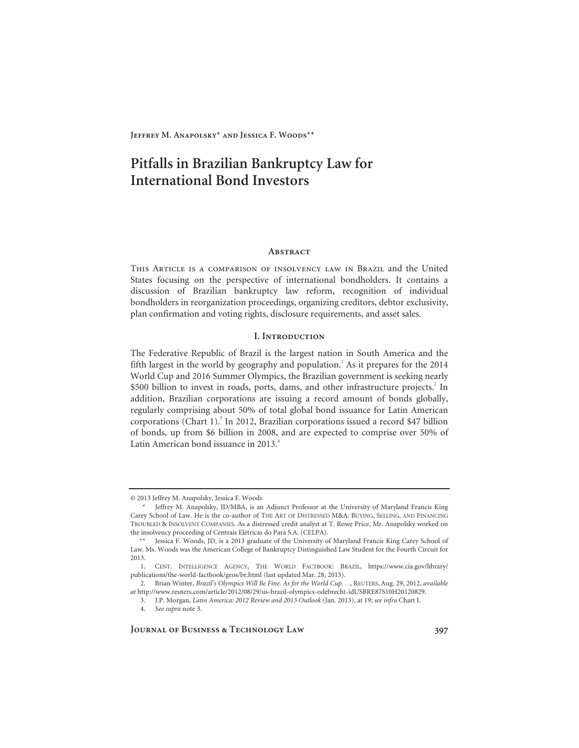# **Pitfalls in Brazilian Bankruptcy Law for International Bond Investors**

#### **ABSTRACT**

This Article is a comparison of insolvency law in Brazil and the United States focusing on the perspective of international bondholders. It contains a discussion of Brazilian bankruptcy law reform, recognition of individual bondholders in reorganization proceedings, organizing creditors, debtor exclusivity, plan confirmation and voting rights, disclosure requirements, and asset sales.

### **I. Introduction**

The Federative Republic of Brazil is the largest nation in South America and the fifth largest in the world by geography and population.<sup>1</sup> As it prepares for the  $2014$ World Cup and 2016 Summer Olympics, the Brazilian government is seeking nearly \$500 billion to invest in roads, ports, dams, and other infrastructure projects.<sup>2</sup> In addition, Brazilian corporations are issuing a record amount of bonds globally, regularly comprising about 50% of total global bond issuance for Latin American corporations (Chart 1).<sup>3</sup> In 2012, Brazilian corporations issued a record \$47 billion of bonds, up from \$6 billion in 2008, and are expected to comprise over 50% of Latin American bond issuance in 2013.<sup>4</sup>

<sup>© 2013</sup> Jeffrey M. Anapolsky, Jessica F. Woods

 <sup>\*</sup> Jeffrey M. Anapolsky, JD/MBA, is an Adjunct Professor at the University of Maryland Francis King Carey School of Law. He is the co-author of THE ART OF DISTRESSED M&A: BUYING, SELLING, AND FINANCING TROUBLED & INSOLVENT COMPANIES. As a distressed credit analyst at T. Rowe Price, Mr. Anapolsky worked on the insolvency proceeding of Centrais Elétricas do Pará S.A. (CELPA).

 <sup>\*\*</sup> Jessica F. Woods, JD, is a 2013 graduate of the University of Maryland Francis King Carey School of Law. Ms. Woods was the American College of Bankruptcy Distinguished Law Student for the Fourth Circuit for 2013.

 <sup>1.</sup> CENT. INTELLIGENCE AGENCY, THE WORLD FACTBOOK: BRAZIL, https://www.cia.gov/library/ publications/the-world-factbook/geos/br.html (last updated Mar. 28, 2013).

 <sup>2.</sup> Brian Winter, *Brazil's Olympics Will Be Fine. As for the World Cup. . .*, REUTERS, Aug. 29, 2012, *available at* http://www.reuters.com/article/2012/08/29/us-brazil-olympics-odebrecht-idUSBRE87S10H20120829.

 <sup>3.</sup> J.P. Morgan, *Latin America: 2012 Review and 2013 Outlook* (Jan. 2013), at 19; *see infra* Chart I.

<sup>4.</sup> *See supra* note 3.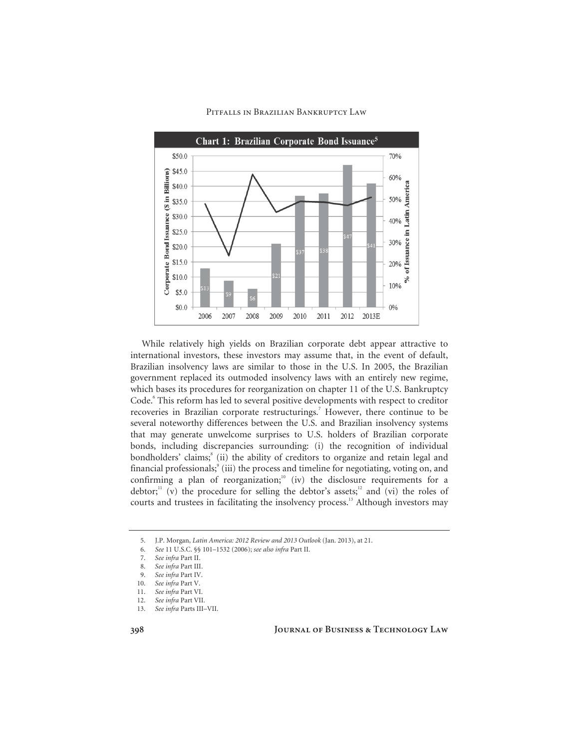

While relatively high yields on Brazilian corporate debt appear attractive to international investors, these investors may assume that, in the event of default, Brazilian insolvency laws are similar to those in the U.S. In 2005, the Brazilian government replaced its outmoded insolvency laws with an entirely new regime, which bases its procedures for reorganization on chapter 11 of the U.S. Bankruptcy Code.<sup>6</sup> This reform has led to several positive developments with respect to creditor recoveries in Brazilian corporate restructurings.<sup>7</sup> However, there continue to be several noteworthy differences between the U.S. and Brazilian insolvency systems that may generate unwelcome surprises to U.S. holders of Brazilian corporate bonds, including discrepancies surrounding: (i) the recognition of individual bondholders' claims;<sup>8</sup> (ii) the ability of creditors to organize and retain legal and financial professionals;<sup>9</sup> (iii) the process and timeline for negotiating, voting on, and confirming a plan of reorganization; $\frac{10}{10}$  (iv) the disclosure requirements for a debtor;<sup>11</sup> (v) the procedure for selling the debtor's assets;<sup>12</sup> and (vi) the roles of courts and trustees in facilitating the insolvency process.<sup>13</sup> Although investors may

<sup>5.</sup> J.P. Morgan, *Latin America: 2012 Review and 2013 Outlook* (Jan. 2013), at 21.

<sup>6.</sup> *See* 11 U.S.C. §§ 101–1532 (2006); *see also infra* Part II.

<sup>7.</sup> *See infra* Part II.

<sup>8.</sup> *See infra* Part III.

<sup>9.</sup> *See infra* Part IV.

<sup>10.</sup> See infra Part V.

<sup>11.</sup> *See infra* Part VI.

<sup>12.</sup> *See infra* Part VII.

<sup>13.</sup> *See infra* Parts III–VII.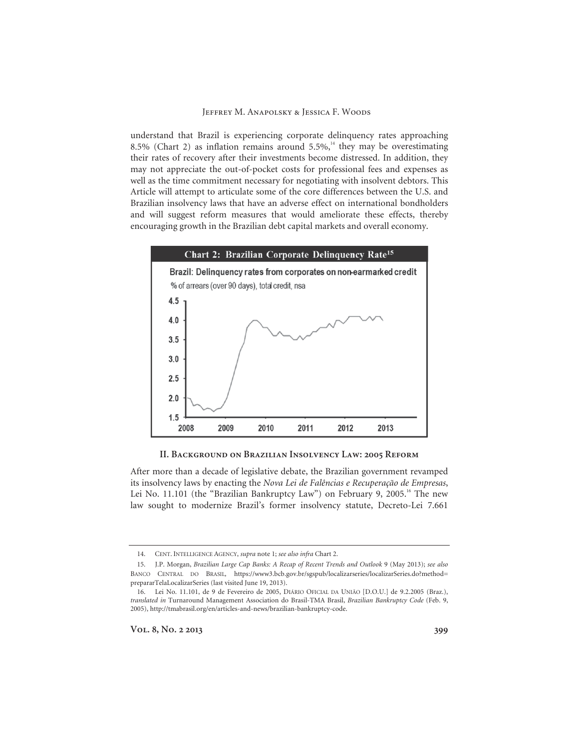understand that Brazil is experiencing corporate delinquency rates approaching 8.5% (Chart 2) as inflation remains around 5.5%,<sup>14</sup> they may be overestimating their rates of recovery after their investments become distressed. In addition, they may not appreciate the out-of-pocket costs for professional fees and expenses as well as the time commitment necessary for negotiating with insolvent debtors. This Article will attempt to articulate some of the core differences between the U.S. and Brazilian insolvency laws that have an adverse effect on international bondholders and will suggest reform measures that would ameliorate these effects, thereby encouraging growth in the Brazilian debt capital markets and overall economy.



#### **II. Background on Brazilian Insolvency Law: 2005 Reform**

After more than a decade of legislative debate, the Brazilian government revamped its insolvency laws by enacting the *Nova Lei de Falências e Recuperação de Empresas*, Lei No. 11.101 (the "Brazilian Bankruptcy Law") on February 9, 2005.<sup>16</sup> The new law sought to modernize Brazil's former insolvency statute, Decreto-Lei 7.661

 <sup>14.</sup> CENT. INTELLIGENCE AGENCY, *supra* note 1; *see also infra* Chart 2.

 <sup>15.</sup> J.P. Morgan, *Brazilian Large Cap Banks: A Recap of Recent Trends and Outlook* 9 (May 2013); *see also*  BANCO CENTRAL DO BRASIL, https://www3.bcb.gov.br/sgspub/localizarseries/localizarSeries.do?method= prepararTelaLocalizarSeries (last visited June 19, 2013).

 <sup>16.</sup> Lei No. 11.101, de 9 de Fevereiro de 2005, DIÁRIO OFICIAL DA UNIÃO [D.O.U.] de 9.2.2005 (Braz.), *translated in* Turnaround Management Association do Brasil-TMA Brasil, *Brazilian Bankruptcy Code* (Feb. 9, 2005), http://tmabrasil.org/en/articles-and-news/brazilian-bankruptcy-code.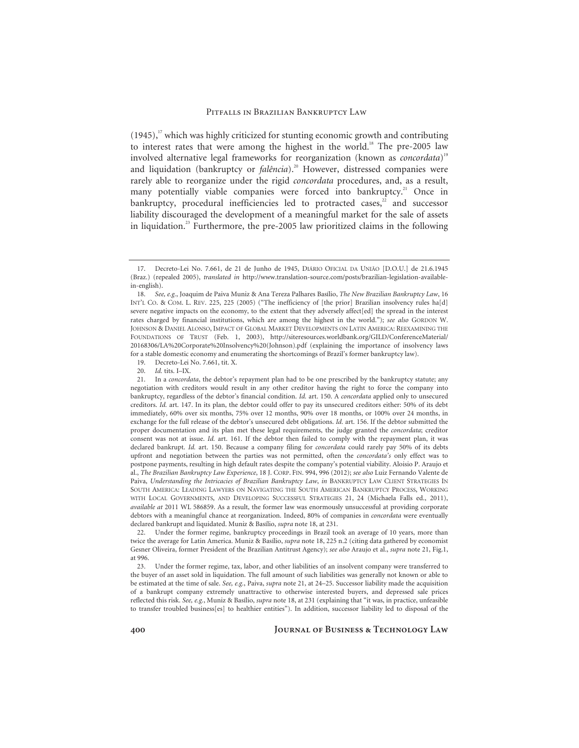$(1945)$ ,<sup>17</sup> which was highly criticized for stunting economic growth and contributing to interest rates that were among the highest in the world.<sup>18</sup> The pre-2005 law involved alternative legal frameworks for reorganization (known as *concordata*) 19 and liquidation (bankruptcy or *falência*).<sup>20</sup> However, distressed companies were rarely able to reorganize under the rigid *concordata* procedures, and, as a result, many potentially viable companies were forced into bankruptcy.<sup>21</sup> Once in bankruptcy, procedural inefficiencies led to protracted cases, $2^2$  and successor liability discouraged the development of a meaningful market for the sale of assets in liquidation.<sup>23</sup> Furthermore, the pre-2005 law prioritized claims in the following

19. Decreto-Lei No. 7.661, tit. X.

 22. Under the former regime, bankruptcy proceedings in Brazil took an average of 10 years, more than twice the average for Latin America. Muniz & Basílio, *supra* note 18, 225 n.2 (citing data gathered by economist Gesner Oliveira, former President of the Brazilian Antitrust Agency); *see also* Araujo et al., *supra* note 21, Fig.1, at 996.

 23. Under the former regime, tax, labor, and other liabilities of an insolvent company were transferred to the buyer of an asset sold in liquidation. The full amount of such liabilities was generally not known or able to be estimated at the time of sale. *See, e.g.*, Paiva, *supra* note 21, at 24–25. Successor liability made the acquisition of a bankrupt company extremely unattractive to otherwise interested buyers, and depressed sale prices reflected this risk. *See, e.g.*, Muniz & Basílio, *supra* note 18, at 231 (explaining that "it was, in practice, unfeasible to transfer troubled business[es] to healthier entities"). In addition, successor liability led to disposal of the

 <sup>17.</sup> Decreto-Lei No. 7.661, de 21 de Junho de 1945, DIÁRIO OFICIAL DA UNIÃO [D.O.U.] de 21.6.1945 (Braz.) (repealed 2005), *translated in* http://www.translation-source.com/posts/brazilian-legislation-availablein-english).

<sup>18.</sup> *See, e.g.*, Joaquim de Paiva Muniz & Ana Tereza Palhares Basílio, *The New Brazilian Bankruptcy Law*, 16 INT'L CO. & COM. L. REV. 225, 225 (2005) ("The inefficiency of [the prior] Brazilian insolvency rules ha[d] severe negative impacts on the economy, to the extent that they adversely affect[ed] the spread in the interest rates charged by financial institutions, which are among the highest in the world."); *see also* GORDON W. JOHNSON & DANIEL ALONSO, IMPACT OF GLOBAL MARKET DEVELOPMENTS ON LATIN AMERICA: REEXAMINING THE FOUNDATIONS OF TRUST (Feb. 1, 2003), http://siteresources.worldbank.org/GILD/ConferenceMaterial/ 20168306/LA%20Corporate%20Insolvency%20(Johnson).pdf (explaining the importance of insolvency laws for a stable domestic economy and enumerating the shortcomings of Brazil's former bankruptcy law).

 <sup>20.</sup> *Id.* tits. I–IX.

 <sup>21.</sup> In a *concordata*, the debtor's repayment plan had to be one prescribed by the bankruptcy statute; any negotiation with creditors would result in any other creditor having the right to force the company into bankruptcy, regardless of the debtor's financial condition. *Id.* art. 150. A *concordata* applied only to unsecured creditors. *Id.* art. 147. In its plan, the debtor could offer to pay its unsecured creditors either: 50% of its debt immediately, 60% over six months, 75% over 12 months, 90% over 18 months, or 100% over 24 months, in exchange for the full release of the debtor's unsecured debt obligations. *Id.* art. 156. If the debtor submitted the proper documentation and its plan met these legal requirements, the judge granted the *concordata*; creditor consent was not at issue. *Id.* art. 161. If the debtor then failed to comply with the repayment plan, it was declared bankrupt. *Id.* art. 150. Because a company filing for *concordata* could rarely pay 50% of its debts upfront and negotiation between the parties was not permitted, often the *concordata's* only effect was to postpone payments, resulting in high default rates despite the company's potential viability. Aloisio P. Araujo et al., *The Brazilian Bankruptcy Law Experience*, 18 J. CORP. FIN. 994, 996 (2012); *see also* Luiz Fernando Valente de Paiva, *Understanding the Intricacies of Brazilian Bankruptcy Law*, *in* BANKRUPTCY LAW CLIENT STRATEGIES IN SOUTH AMERICA: LEADING LAWYERS ON NAVIGATING THE SOUTH AMERICAN BANKRUPTCY PROCESS, WORKING WITH LOCAL GOVERNMENTS, AND DEVELOPING SUCCESSFUL STRATEGIES 21, 24 (Michaela Falls ed., 2011), *available at* 2011 WL 586859. As a result, the former law was enormously unsuccessful at providing corporate debtors with a meaningful chance at reorganization. Indeed, 80% of companies in *concordata* were eventually declared bankrupt and liquidated. Muniz & Basílio, *supra* note 18, at 231.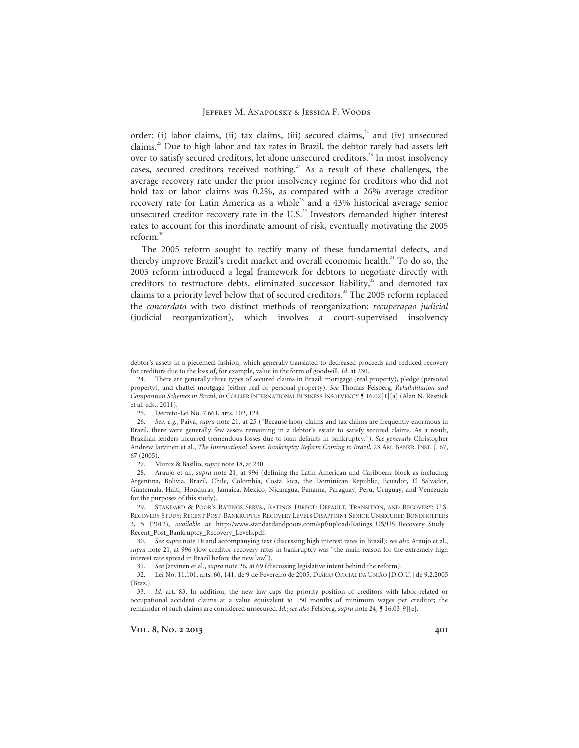order: (i) labor claims, (ii) tax claims, (iii) secured claims,<sup>24</sup> and (iv) unsecured claims.25 Due to high labor and tax rates in Brazil, the debtor rarely had assets left over to satisfy secured creditors, let alone unsecured creditors.<sup>26</sup> In most insolvency cases, secured creditors received nothing.<sup>27</sup> As a result of these challenges, the average recovery rate under the prior insolvency regime for creditors who did not hold tax or labor claims was 0.2%, as compared with a 26% average creditor recovery rate for Latin America as a whole<sup>28</sup> and a 43% historical average senior unsecured creditor recovery rate in the U.S.<sup>29</sup> Investors demanded higher interest rates to account for this inordinate amount of risk, eventually motivating the 2005 reform.<sup>30</sup>

The 2005 reform sought to rectify many of these fundamental defects, and thereby improve Brazil's credit market and overall economic health.<sup>31</sup> To do so, the 2005 reform introduced a legal framework for debtors to negotiate directly with creditors to restructure debts, eliminated successor liability, $32$  and demoted tax claims to a priority level below that of secured creditors.<sup>33</sup> The 2005 reform replaced the *concordata* with two distinct methods of reorganization: *recuperação judicial* (judicial reorganization), which involves a court-supervised insolvency

debtor's assets in a piecemeal fashion, which generally translated to decreased proceeds and reduced recovery for creditors due to the loss of, for example, value in the form of goodwill. *Id.* at 230.

 <sup>24.</sup> There are generally three types of secured claims in Brazil: mortgage (real property), pledge (personal property), and chattel mortgage (either real or personal property). *See* Thomas Felsberg, *Rehabilitation and Composition Schemes in Brazil*, *in* COLLIER INTERNATIONAL BUSINESS INSOLVENCY ¶ 16.02[1][a] (Alan N. Resnick et al. eds., 2011).

 <sup>25.</sup> Decreto-Lei No. 7.661, arts. 102, 124.

<sup>26.</sup> *See, e.g.*, Paiva, *supra* note 21, at 25 ("Because labor claims and tax claims are frequently enormous in Brazil, there were generally few assets remaining in a debtor's estate to satisfy secured claims. As a result, Brazilian lenders incurred tremendous losses due to loan defaults in bankruptcy."). *See generally* Christopher Andrew Jarvinen et al., *The International Scene: Bankruptcy Reform Coming to Brazil*, 23 AM. BANKR. INST. J. 67, 67 (2005).

 <sup>27.</sup> Muniz & Basílio, *supra* note 18, at 230.

 <sup>28.</sup> Araujo et al., *supra* note 21, at 996 (defining the Latin American and Caribbean block as including Argentina, Bolivia, Brazil, Chile, Colombia, Costa Rica, the Dominican Republic, Ecuador, El Salvador, Guatemala, Haiti, Honduras, Jamaica, Mexico, Nicaragua, Panama, Paraguay, Peru, Uruguay, and Venezuela for the purposes of this study).

 <sup>29.</sup> STANDARD & POOR'S RATINGS SERVS., RATINGS DIRECT: DEFAULT, TRANSITION, AND RECOVERY: U.S. RECOVERY STUDY: RECENT POST-BANKRUPTCY RECOVERY LEVELS DISAPPOINT SENIOR UNSECURED BONDHOLDERS 3, 5 (2012), *available at* http://www.standardandpoors.com/spf/upload/Ratings\_US/US\_Recovery\_Study\_ Recent\_Post\_Bankruptcy\_Recovery\_Levels.pdf.

<sup>30.</sup> *See supra* note 18 and accompanying text (discussing high interest rates in Brazil); *see also* Araujo et al., *supra* note 21, at 996 (low creditor recovery rates in bankruptcy was "the main reason for the extremely high interest rate spread in Brazil before the new law").

<sup>31.</sup> *See* Jarvinen et al., *supra* note 26, at 69 (discussing legislative intent behind the reform).

 <sup>32.</sup> Lei No. 11.101, arts. 60, 141, de 9 de Fevereiro de 2005, DIÁRIO OFICIAL DA UNIÃO [D.O.U.] de 9.2.2005 (Braz.).

<sup>33.</sup> *Id.* art. 83. In addition, the new law caps the priority position of creditors with labor-related or occupational accident claims at a value equivalent to 150 months of minimum wages per creditor; the remainder of such claims are considered unsecured. *Id.*; *see also* Felsberg, *supra* note 24, ¶ 16.03[9][e].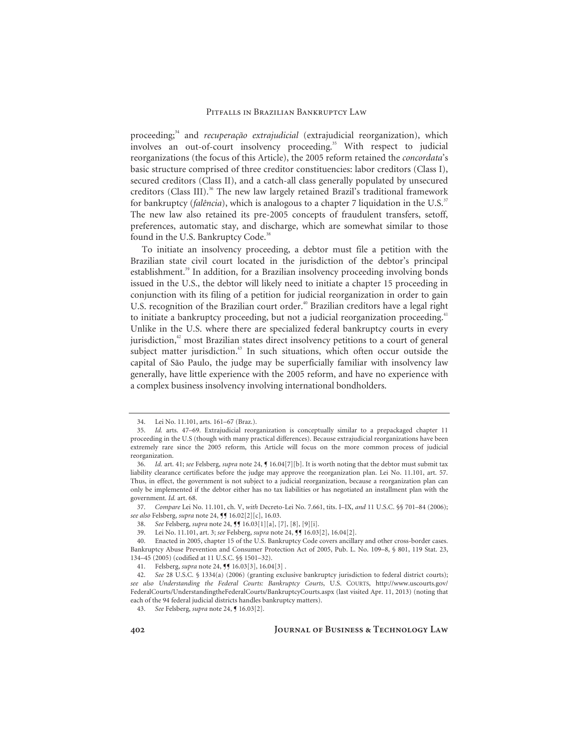proceeding;<sup>34</sup> and *recuperação extrajudicial* (extrajudicial reorganization), which involves an out-of-court insolvency proceeding.<sup>35</sup> With respect to judicial reorganizations (the focus of this Article), the 2005 reform retained the *concordata*'s basic structure comprised of three creditor constituencies: labor creditors (Class I), secured creditors (Class II), and a catch-all class generally populated by unsecured creditors (Class III).<sup>36</sup> The new law largely retained Brazil's traditional framework for bankruptcy (*falência*), which is analogous to a chapter 7 liquidation in the U.S.<sup>37</sup> The new law also retained its pre-2005 concepts of fraudulent transfers, setoff, preferences, automatic stay, and discharge, which are somewhat similar to those found in the U.S. Bankruptcy Code.<sup>38</sup>

To initiate an insolvency proceeding, a debtor must file a petition with the Brazilian state civil court located in the jurisdiction of the debtor's principal establishment.<sup>39</sup> In addition, for a Brazilian insolvency proceeding involving bonds issued in the U.S., the debtor will likely need to initiate a chapter 15 proceeding in conjunction with its filing of a petition for judicial reorganization in order to gain U.S. recognition of the Brazilian court order.<sup>40</sup> Brazilian creditors have a legal right to initiate a bankruptcy proceeding, but not a judicial reorganization proceeding.<sup>41</sup> Unlike in the U.S. where there are specialized federal bankruptcy courts in every jurisdiction, $42$  most Brazilian states direct insolvency petitions to a court of general subject matter jurisdiction.<sup>43</sup> In such situations, which often occur outside the capital of São Paulo, the judge may be superficially familiar with insolvency law generally, have little experience with the 2005 reform, and have no experience with a complex business insolvency involving international bondholders.

 <sup>34.</sup> Lei No. 11.101, arts. 161–67 (Braz.).

<sup>35.</sup> *Id.* arts. 47–69. Extrajudicial reorganization is conceptually similar to a prepackaged chapter 11 proceeding in the U.S (though with many practical differences). Because extrajudicial reorganizations have been extremely rare since the 2005 reform, this Article will focus on the more common process of judicial reorganization.

<sup>36.</sup> *Id.* art. 41; *see* Felsberg, *supra* note 24, ¶ 16.04[7][b]. It is worth noting that the debtor must submit tax liability clearance certificates before the judge may approve the reorganization plan. Lei No. 11.101, art. 57. Thus, in effect, the government is not subject to a judicial reorganization, because a reorganization plan can only be implemented if the debtor either has no tax liabilities or has negotiated an installment plan with the government. *Id.* art. 68.

<sup>37.</sup> *Compare* Lei No. 11.101, ch. V, *with* Decreto-Lei No. 7.661, tits. I–IX, *and* 11 U.S.C. §§ 701–84 (2006); *see also* Felsberg, *supra* note 24, ¶¶ 16.02[2][c], 16.03.

<sup>38.</sup> *See* Felsberg, *supra* note 24, ¶¶ 16.03[1][a], [7], [8], [9][i].

 <sup>39.</sup> Lei No. 11.101, art. 3; *see* Felsberg, *supra* note 24, ¶¶ 16.03[2], 16.04[2].

 <sup>40.</sup> Enacted in 2005, chapter 15 of the U.S. Bankruptcy Code covers ancillary and other cross-border cases. Bankruptcy Abuse Prevention and Consumer Protection Act of 2005, Pub. L. No. 109–8, § 801, 119 Stat. 23, 134–45 (2005) (codified at 11 U.S.C. §§ 1501–32).

<sup>41.</sup> Felsberg, *supra* note 24, **[9** 16.03[3], 16.04[3].

<sup>42.</sup> *See* 28 U.S.C. § 1334(a) (2006) (granting exclusive bankruptcy jurisdiction to federal district courts); *see also Understanding the Federal Courts: Bankruptcy Courts*, U.S. COURTS, http://www.uscourts.gov/ FederalCourts/UnderstandingtheFederalCourts/BankruptcyCourts.aspx (last visited Apr. 11, 2013) (noting that each of the 94 federal judicial districts handles bankruptcy matters).

<sup>43.</sup> *See* Felsberg, *supra* note 24, ¶ 16.03[2].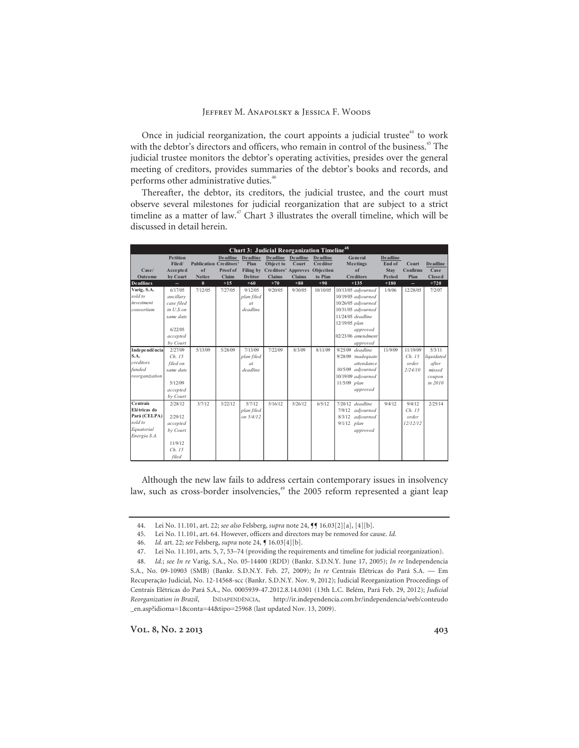Once in judicial reorganization, the court appoints a judicial trustee<sup>44</sup> to work with the debtor's directors and officers, who remain in control of the business.<sup>45</sup> The judicial trustee monitors the debtor's operating activities, presides over the general meeting of creditors, provides summaries of the debtor's books and records, and performs other administrative duties.<sup>46</sup>

Thereafter, the debtor, its creditors, the judicial trustee, and the court must observe several milestones for judicial reorganization that are subject to a strict timeline as a matter of law.<sup>47</sup> Chart 3 illustrates the overall timeline, which will be discussed in detail herein.

| <b>Chart 3: Judicial Reorganization Timeline<sup>48</sup></b> |                 |                               |          |                   |                               |                   |                 |                      |                 |                 |                 |
|---------------------------------------------------------------|-----------------|-------------------------------|----------|-------------------|-------------------------------|-------------------|-----------------|----------------------|-----------------|-----------------|-----------------|
|                                                               | <b>Petition</b> |                               |          | Deadline Deadline |                               | Deadline Deadline | <b>Deadline</b> | General              | <b>Deadline</b> |                 |                 |
|                                                               | File d/         | <b>Publication Creditors'</b> |          | Plan              | Object to                     | Court             | <b>Creditor</b> | <b>Meetings</b>      | End of          | Court           | <b>Deadline</b> |
| Case/                                                         | Accepted        | of                            | Proof of | Filing by         | Creditors' Approves Objection |                   |                 | of                   | <b>Stay</b>     | <b>Confirms</b> | Case            |
| Outcome                                                       | by Court        | <b>Notice</b>                 | Claim    | <b>Debtor</b>     | <b>Claims</b>                 | <b>Claims</b>     | to Plan         | <b>Creditors</b>     | Period          | Plan            | <b>Closed</b>   |
| <b>Deadlines</b>                                              | ш.              | $\bf{0}$                      | $+15$    | $+60$             | $+70$                         | $+80$             | $+90$           | $+135$               | $+180$          | $\sim$          | $+720$          |
| Varig, S.A.                                                   | 6/17/05         | 7/12/05                       | 7/27/05  | 9/12/05           | 9/20/05                       | 9/30/05           | 10/10/05        | 10/13/05 adjourned   | 1/8/06          | 12/28/05        | 7/2/07          |
| sold to                                                       | ancillary       |                               |          | plan filed        |                               |                   |                 | 10/19/05 adjourned   |                 |                 |                 |
| investment                                                    | case filed      |                               |          | at                |                               |                   |                 | 10/26/05 adjourned   |                 |                 |                 |
| consortium                                                    | $in U.S.$ on    |                               |          | deadline          |                               |                   |                 | $10/31/05$ adjourned |                 |                 |                 |
|                                                               | same date       |                               |          |                   |                               |                   |                 | 11/24/05 deadline    |                 |                 |                 |
|                                                               |                 |                               |          |                   |                               |                   |                 | 12/19/05 plan        |                 |                 |                 |
|                                                               | 6/22/05         |                               |          |                   |                               |                   |                 | approved             |                 |                 |                 |
|                                                               | accepted        |                               |          |                   |                               |                   |                 | $02/23/06$ amendment |                 |                 |                 |
|                                                               | by Court        |                               |          |                   |                               |                   |                 | approved             |                 |                 |                 |
| Independência                                                 | 2/27/09         | 5/13/09                       | 5/28/09  | 7/13/09           | 7/22/09                       | 8/3/09            | 8/11/09         | $9/25/09$ deadline   | 11/9/09         | 11/19/09        | 5/3/11          |
| S.A.                                                          | Ch. 15          |                               |          | plan filed        |                               |                   |                 | 9/28/09 inadequate   |                 | Ch. 15          | liquidated      |
| creditors                                                     | filed on        |                               |          | at                |                               |                   |                 | attendance           |                 | order           | after           |
| funded                                                        | same date       |                               |          | deadline          |                               |                   |                 | 10/5/09 adjourned    |                 | 2/24/10         | missed          |
| reorganization                                                |                 |                               |          |                   |                               |                   |                 | 10/19/09 adjourned   |                 |                 | coupon          |
|                                                               | 5/12/09         |                               |          |                   |                               |                   |                 | $11/5/09$ plan       |                 |                 | in 2010         |
|                                                               | accepted        |                               |          |                   |                               |                   |                 | approved             |                 |                 |                 |
|                                                               | by Court        |                               |          |                   |                               |                   |                 |                      |                 |                 |                 |
| <b>Centrais</b>                                               | 2/28/12         | 3/7/12                        | 3/22/12  | 5/7/12            | 5/16/12                       | 5/26/12           | 6/5/12          | $7/20/12$ deadline   | 9/4/12          | 9/4/12          | 2/25/14         |
| Elétricas do                                                  |                 |                               |          | plan filed        |                               |                   |                 | 7/9/12 adjourned     |                 | Ch. 15          |                 |
| Pará (CELPA)                                                  | 2/29/12         |                               |          | on 5/4/12         |                               |                   |                 | 8/3/12<br>adjourned  |                 | order           |                 |
| sold to                                                       | accepted        |                               |          |                   |                               |                   |                 | $9/1/12$ plan        |                 | 12/12/12        |                 |
| Equatorial                                                    | by Court        |                               |          |                   |                               |                   |                 | approved             |                 |                 |                 |
| Energia S.A.                                                  |                 |                               |          |                   |                               |                   |                 |                      |                 |                 |                 |
|                                                               | 11/9/12         |                               |          |                   |                               |                   |                 |                      |                 |                 |                 |
|                                                               | Ch. 15          |                               |          |                   |                               |                   |                 |                      |                 |                 |                 |
|                                                               | filed           |                               |          |                   |                               |                   |                 |                      |                 |                 |                 |

Although the new law fails to address certain contemporary issues in insolvency law, such as cross-border insolvencies,<sup>49</sup> the 2005 reform represented a giant leap

 <sup>44.</sup> Lei No. 11.101, art. 22; *see also* Felsberg, *supra* note 24, ¶¶ 16.03[2][a], [4][b].

 <sup>45.</sup> Lei No. 11.101, art. 64. However, officers and directors may be removed for cause. *Id.* 

<sup>46.</sup> *Id.* art. 22; *see* Felsberg, *supra* note 24, ¶ 16.03[4][b].

 <sup>47.</sup> Lei No. 11.101, arts. 5, 7, 53–74 (providing the requirements and timeline for judicial reorganization).

 <sup>48.</sup> *Id.*; *see In re* Varig, S.A., No. 05-14400 (RDD) (Bankr. S.D.N.Y. June 17, 2005); *In re* Independencia S.A., No. 09-10903 (SMB) (Bankr. S.D.N.Y. Feb. 27, 2009); *In re* Centrais Elétricas do Pará S.A. — Em Recuperação Judicial, No. 12-14568-scc (Bankr. S.D.N.Y. Nov. 9, 2012); Judicial Reorganization Proceedings of Centrais Elétricas do Pará S.A., No. 0005939-47.2012.8.14.0301 (13th L.C. Belém, Pará Feb. 29, 2012); *Judicial Reorganization in Brazil*, INDAPENDÊNCIA, http://ir.independencia.com.br/independencia/web/conteudo \_en.asp?idioma=1&conta=44&tipo=25968 (last updated Nov. 13, 2009).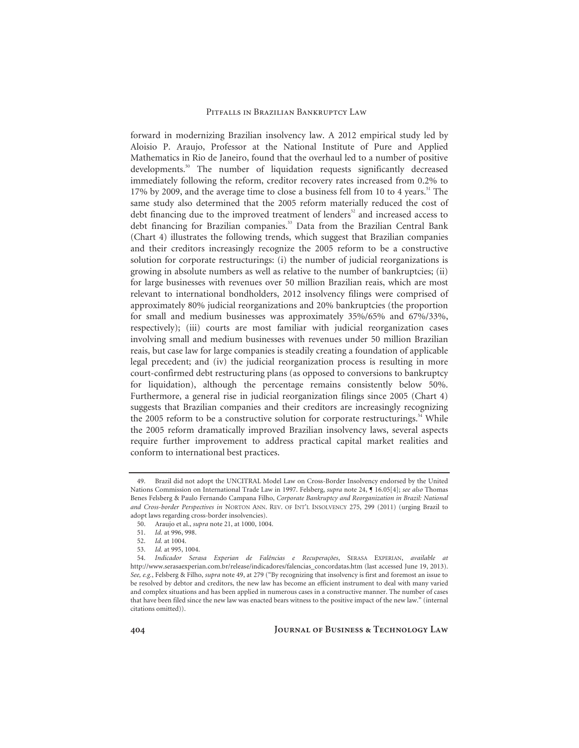forward in modernizing Brazilian insolvency law. A 2012 empirical study led by Aloisio P. Araujo, Professor at the National Institute of Pure and Applied Mathematics in Rio de Janeiro, found that the overhaul led to a number of positive developments.<sup>50</sup> The number of liquidation requests significantly decreased immediately following the reform, creditor recovery rates increased from 0.2% to 17% by 2009, and the average time to close a business fell from 10 to 4 years.<sup>51</sup> The same study also determined that the 2005 reform materially reduced the cost of debt financing due to the improved treatment of lenders<sup>52</sup> and increased access to debt financing for Brazilian companies.<sup>53</sup> Data from the Brazilian Central Bank (Chart 4) illustrates the following trends, which suggest that Brazilian companies and their creditors increasingly recognize the 2005 reform to be a constructive solution for corporate restructurings: (i) the number of judicial reorganizations is growing in absolute numbers as well as relative to the number of bankruptcies; (ii) for large businesses with revenues over 50 million Brazilian reais, which are most relevant to international bondholders, 2012 insolvency filings were comprised of approximately 80% judicial reorganizations and 20% bankruptcies (the proportion for small and medium businesses was approximately 35%/65% and 67%/33%, respectively); (iii) courts are most familiar with judicial reorganization cases involving small and medium businesses with revenues under 50 million Brazilian reais, but case law for large companies is steadily creating a foundation of applicable legal precedent; and (iv) the judicial reorganization process is resulting in more court-confirmed debt restructuring plans (as opposed to conversions to bankruptcy for liquidation), although the percentage remains consistently below 50%. Furthermore, a general rise in judicial reorganization filings since 2005 (Chart 4) suggests that Brazilian companies and their creditors are increasingly recognizing the 2005 reform to be a constructive solution for corporate restructurings.<sup>54</sup> While the 2005 reform dramatically improved Brazilian insolvency laws, several aspects require further improvement to address practical capital market realities and conform to international best practices.

 <sup>49.</sup> Brazil did not adopt the UNCITRAL Model Law on Cross-Border Insolvency endorsed by the United Nations Commission on International Trade Law in 1997. Felsberg, *supra* note 24, ¶ 16.05[4]; *see also* Thomas Benes Felsberg & Paulo Fernando Campana Filho, *Corporate Bankruptcy and Reorganization in Brazil: National and Cross-border Perspectives in* NORTON ANN. REV. OF INT'L INSOLVENCY 275, 299 (2011) (urging Brazil to adopt laws regarding cross-border insolvencies).

 <sup>50.</sup> Araujo et al., *supra* note 21, at 1000, 1004.

<sup>51.</sup> *Id.* at 996, 998.

<sup>52.</sup> *Id.* at 1004.

<sup>53.</sup> *Id.* at 995, 1004.

<sup>54.</sup> *Indicador Serasa Experian de Falências e Recuperações*, SERASA EXPERIAN, *available at* http://www.serasaexperian.com.br/release/indicadores/falencias\_concordatas.htm (last accessed June 19, 2013). *See, e.g.*, Felsberg & Filho, *supra* note 49, at 279 ("By recognizing that insolvency is first and foremost an issue to be resolved by debtor and creditors, the new law has become an efficient instrument to deal with many varied and complex situations and has been applied in numerous cases in a constructive manner. The number of cases that have been filed since the new law was enacted bears witness to the positive impact of the new law." (internal citations omitted)).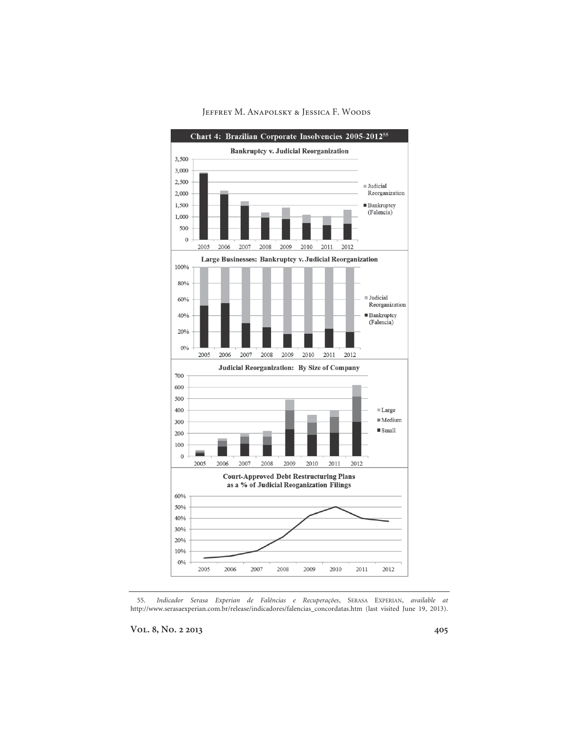

 55. *Indicador Serasa Experian de Falências e Recuperações*, SERASA EXPERIAN, *available at* http://www.serasaexperian.com.br/release/indicadores/falencias\_concordatas.htm (last visited June 19, 2013).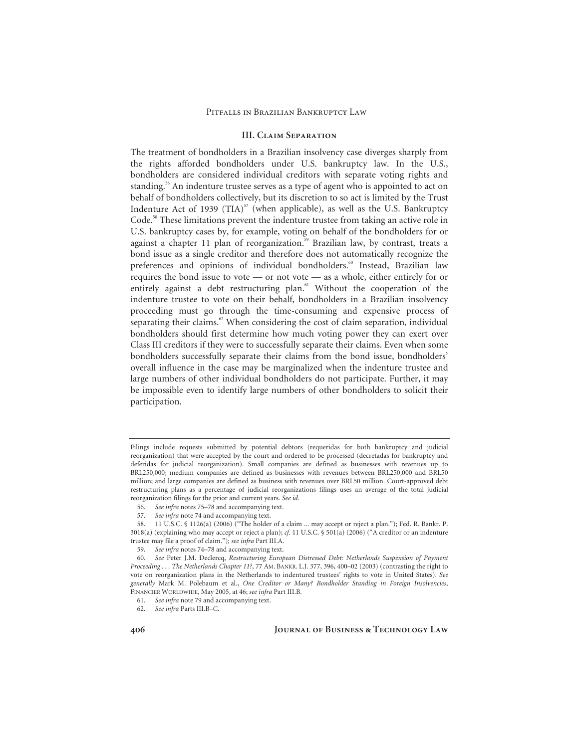# **III. Claim Separation**

The treatment of bondholders in a Brazilian insolvency case diverges sharply from the rights afforded bondholders under U.S. bankruptcy law. In the U.S., bondholders are considered individual creditors with separate voting rights and standing.<sup>56</sup> An indenture trustee serves as a type of agent who is appointed to act on behalf of bondholders collectively, but its discretion to so act is limited by the Trust Indenture Act of 1939 (TIA) $57$  (when applicable), as well as the U.S. Bankruptcy Code.<sup>58</sup> These limitations prevent the indenture trustee from taking an active role in U.S. bankruptcy cases by, for example, voting on behalf of the bondholders for or against a chapter 11 plan of reorganization.<sup>59</sup> Brazilian law, by contrast, treats a bond issue as a single creditor and therefore does not automatically recognize the preferences and opinions of individual bondholders.<sup>60</sup> Instead, Brazilian law requires the bond issue to vote — or not vote — as a whole, either entirely for or entirely against a debt restructuring plan.<sup>61</sup> Without the cooperation of the indenture trustee to vote on their behalf, bondholders in a Brazilian insolvency proceeding must go through the time-consuming and expensive process of separating their claims.<sup>62</sup> When considering the cost of claim separation, individual bondholders should first determine how much voting power they can exert over Class III creditors if they were to successfully separate their claims. Even when some bondholders successfully separate their claims from the bond issue, bondholders' overall influence in the case may be marginalized when the indenture trustee and large numbers of other individual bondholders do not participate. Further, it may be impossible even to identify large numbers of other bondholders to solicit their participation.

Filings include requests submitted by potential debtors (requeridas for both bankruptcy and judicial reorganization) that were accepted by the court and ordered to be processed (decretadas for bankruptcy and deferidas for judicial reorganization). Small companies are defined as businesses with revenues up to BRL250,000; medium companies are defined as businesses with revenues between BRL250,000 and BRL50 million; and large companies are defined as business with revenues over BRL50 million. Court-approved debt restructuring plans as a percentage of judicial reorganizations filings uses an average of the total judicial reorganization filings for the prior and current years. *See id.*

 <sup>56.</sup> *See infra* notes 75–78 and accompanying text.

 <sup>57.</sup> *See infra* note 74 and accompanying text.

 <sup>58. 11</sup> U.S.C. § 1126(a) (2006) ("The holder of a claim ... may accept or reject a plan."); Fed. R. Bankr. P. 3018(a) (explaining who may accept or reject a plan); *cf.* 11 U.S.C. § 501(a) (2006) ("A creditor or an indenture trustee may file a proof of claim."); *see infra* Part III.A.

<sup>59.</sup> *See infra* notes 74–78 and accompanying text.

<sup>60.</sup> *See* Peter J.M. Declercq, *Restructuring European Distressed Debt: Netherlands Suspension of Payment Proceeding . . . The Netherlands Chapter 11?*, 77 AM. BANKR. L.J. 377, 396, 400–02 (2003) (contrasting the right to vote on reorganization plans in the Netherlands to indentured trustees' rights to vote in United States). *See generally* Mark M. Polebaum et al., *One Creditor or Many? Bondholder Standing in Foreign Insolvencies*, FINANCIER WORLDWIDE, May 2005, at 46; *see infra* Part III.B.

<sup>61.</sup> *See infra* note 79 and accompanying text.

<sup>62.</sup> *See infra* Parts III.B–C.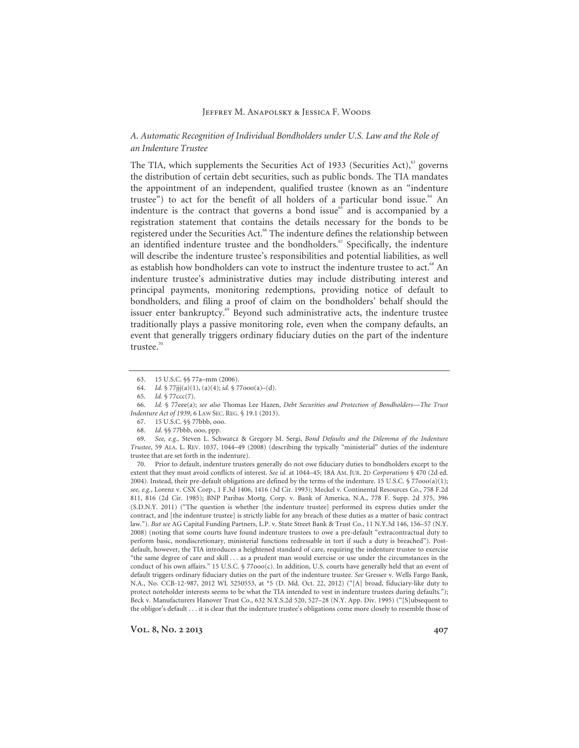# *A. Automatic Recognition of Individual Bondholders under U.S. Law and the Role of an Indenture Trustee*

The TIA, which supplements the Securities Act of 1933 (Securities Act),<sup>63</sup> governs the distribution of certain debt securities, such as public bonds. The TIA mandates the appointment of an independent, qualified trustee (known as an "indenture trustee") to act for the benefit of all holders of a particular bond issue.<sup>64</sup> An indenture is the contract that governs a bond issue $65$  and is accompanied by a registration statement that contains the details necessary for the bonds to be registered under the Securities Act.<sup>66</sup> The indenture defines the relationship between an identified indenture trustee and the bondholders.<sup>67</sup> Specifically, the indenture will describe the indenture trustee's responsibilities and potential liabilities, as well as establish how bondholders can vote to instruct the indenture trustee to act.<sup>68</sup> An indenture trustee's administrative duties may include distributing interest and principal payments, monitoring redemptions, providing notice of default to bondholders, and filing a proof of claim on the bondholders' behalf should the issuer enter bankruptcy.<sup>69</sup> Beyond such administrative acts, the indenture trustee traditionally plays a passive monitoring role, even when the company defaults, an event that generally triggers ordinary fiduciary duties on the part of the indenture trustee. $70$ 

 70. Prior to default, indenture trustees generally do not owe fiduciary duties to bondholders except to the extent that they must avoid conflicts of interest. *See id.* at 1044–45; 18A AM. JUR. 2D *Corporations* § 470 (2d ed. 2004). Instead, their pre-default obligations are defined by the terms of the indenture. 15 U.S.C. § 77ooo(a)(1); *see, e.g.*, Lorenz v. CSX Corp., 1 F.3d 1406, 1416 (3d Cir. 1993); Meckel v. Continental Resources Co., 758 F.2d 811, 816 (2d Cir. 1985); BNP Paribas Mortg. Corp. v. Bank of America, N.A., 778 F. Supp. 2d 375, 396 (S.D.N.Y. 2011) ("The question is whether [the indenture trustee] performed its express duties under the contract, and [the indenture trustee] is strictly liable for any breach of these duties as a matter of basic contract law."). *But see* AG Capital Funding Partners, L.P. v. State Street Bank & Trust Co., 11 N.Y.3d 146, 156–57 (N.Y. 2008) (noting that some courts have found indenture trustees to owe a pre-default "extracontractual duty to perform basic, nondiscretionary, ministerial functions redressable in tort if such a duty is breached"). Postdefault, however, the TIA introduces a heightened standard of care, requiring the indenture trustee to exercise "the same degree of care and skill . . . as a prudent man would exercise or use under the circumstances in the conduct of his own affairs." 15 U.S.C. § 77000(c). In addition, U.S. courts have generally held that an event of default triggers ordinary fiduciary duties on the part of the indenture trustee. *See* Gresser v. Wells Fargo Bank, N.A., No. CCB-12-987, 2012 WL 5250553, at \*5 (D. Md. Oct. 22, 2012) ("[A] broad, fiduciary-like duty to protect noteholder interests seems to be what the TIA intended to vest in indenture trustees during defaults."); Beck v. Manufacturers Hanover Trust Co., 632 N.Y.S.2d 520, 527–28 (N.Y. App. Div. 1995) ("[S]ubsequent to the obligor's default . . . it is clear that the indenture trustee's obligations come more closely to resemble those of

 <sup>63. 15</sup> U.S.C. §§ 77a–mm (2006).

<sup>64.</sup> *Id.* § 77jjj(a)(1), (a)(4); *id.* § 77ooo(a)–(d).

 <sup>65.</sup> *Id.* § 77ccc(7).

<sup>66.</sup> *Id.* § 77eee(a); *see also* Thomas Lee Hazen, *Debt Securities and Protection of Bondholders—The Trust Indenture Act of 1939*, 6 LAW SEC. REG. § 19.1 (2013).

 <sup>67. 15</sup> U.S.C. §§ 77bbb, ooo.

<sup>68.</sup> *Id*. §§ 77bbb, ooo, ppp.

<sup>69.</sup> *See, e.g.,* Steven L. Schwarcz & Gregory M. Sergi, *Bond Defaults and the Dilemma of the Indenture Trustee*, 59 ALA. L. REV. 1037, 1044–49 (2008) (describing the typically "ministerial" duties of the indenture trustee that are set forth in the indenture).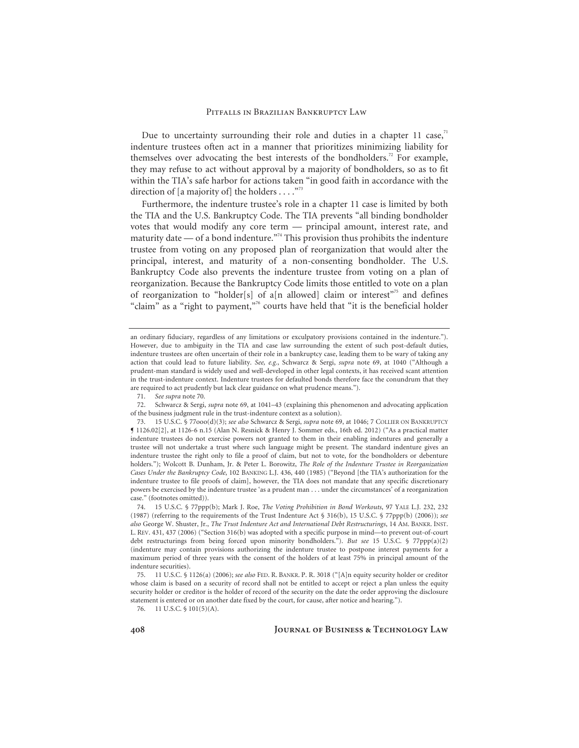Due to uncertainty surrounding their role and duties in a chapter 11 case, $71$ indenture trustees often act in a manner that prioritizes minimizing liability for themselves over advocating the best interests of the bondholders.<sup>72</sup> For example, they may refuse to act without approval by a majority of bondholders, so as to fit within the TIA's safe harbor for actions taken "in good faith in accordance with the direction of [a majority of] the holders . . . .  $\cdot$ <sup>73</sup>

Furthermore, the indenture trustee's role in a chapter 11 case is limited by both the TIA and the U.S. Bankruptcy Code. The TIA prevents "all binding bondholder votes that would modify any core term — principal amount, interest rate, and maturity date — of a bond indenture.<sup> $274$ </sup> This provision thus prohibits the indenture trustee from voting on any proposed plan of reorganization that would alter the principal, interest, and maturity of a non-consenting bondholder. The U.S. Bankruptcy Code also prevents the indenture trustee from voting on a plan of reorganization. Because the Bankruptcy Code limits those entitled to vote on a plan of reorganization to "holder[s] of a[n allowed] claim or interest"<sup>75</sup> and defines "claim" as a "right to payment,"<sup>76</sup> courts have held that "it is the beneficial holder

71. *See supra* note 70.

76. 11 U.S.C. § 101(5)(A).

an ordinary fiduciary, regardless of any limitations or exculpatory provisions contained in the indenture."). However, due to ambiguity in the TIA and case law surrounding the extent of such post-default duties, indenture trustees are often uncertain of their role in a bankruptcy case, leading them to be wary of taking any action that could lead to future liability. *See, e.g.*, Schwarcz & Sergi, *supra* note 69, at 1040 ("Although a prudent-man standard is widely used and well-developed in other legal contexts, it has received scant attention in the trust-indenture context. Indenture trustees for defaulted bonds therefore face the conundrum that they are required to act prudently but lack clear guidance on what prudence means.").

 <sup>72.</sup> Schwarcz & Sergi, *supra* note 69, at 1041–43 (explaining this phenomenon and advocating application of the business judgment rule in the trust-indenture context as a solution).

 <sup>73. 15</sup> U.S.C. § 77ooo(d)(3); *see also* Schwarcz & Sergi, *supra* note 69, at 1046; 7 COLLIER ON BANKRUPTCY ¶ 1126.02[2], at 1126-6 n.15 (Alan N. Resnick & Henry J. Sommer eds., 16th ed. 2012) ("As a practical matter indenture trustees do not exercise powers not granted to them in their enabling indentures and generally a trustee will not undertake a trust where such language might be present. The standard indenture gives an indenture trustee the right only to file a proof of claim, but not to vote, for the bondholders or debenture holders."); Wolcott B. Dunham, Jr. & Peter L. Borowitz, *The Role of the Indenture Trustee in Reorganization Cases Under the Bankruptcy Code*, 102 BANKING L.J. 436, 440 (1985) ("Beyond [the TIA's authorization for the indenture trustee to file proofs of claim], however, the TIA does not mandate that any specific discretionary powers be exercised by the indenture trustee 'as a prudent man . . . under the circumstances' of a reorganization case." (footnotes omitted)).

 <sup>74. 15</sup> U.S.C. § 77ppp(b); Mark J. Roe, *The Voting Prohibition in Bond Workouts*, 97 YALE L.J. 232, 232 (1987) (referring to the requirements of the Trust Indenture Act § 316(b), 15 U.S.C. § 77ppp(b) (2006)); *see also* George W. Shuster, Jr., *The Trust Indenture Act and International Debt Restructurings*, 14 AM. BANKR. INST. L. REV. 431, 437 (2006) ("Section 316(b) was adopted with a specific purpose in mind—to prevent out-of-court debt restructurings from being forced upon minority bondholders."). *But see* 15 U.S.C. § 77ppp(a)(2) (indenture may contain provisions authorizing the indenture trustee to postpone interest payments for a maximum period of three years with the consent of the holders of at least 75% in principal amount of the indenture securities).

 <sup>75. 11</sup> U.S.C. § 1126(a) (2006); *see also* FED. R. BANKR. P. R. 3018 ("[A]n equity security holder or creditor whose claim is based on a security of record shall not be entitled to accept or reject a plan unless the equity security holder or creditor is the holder of record of the security on the date the order approving the disclosure statement is entered or on another date fixed by the court, for cause, after notice and hearing.").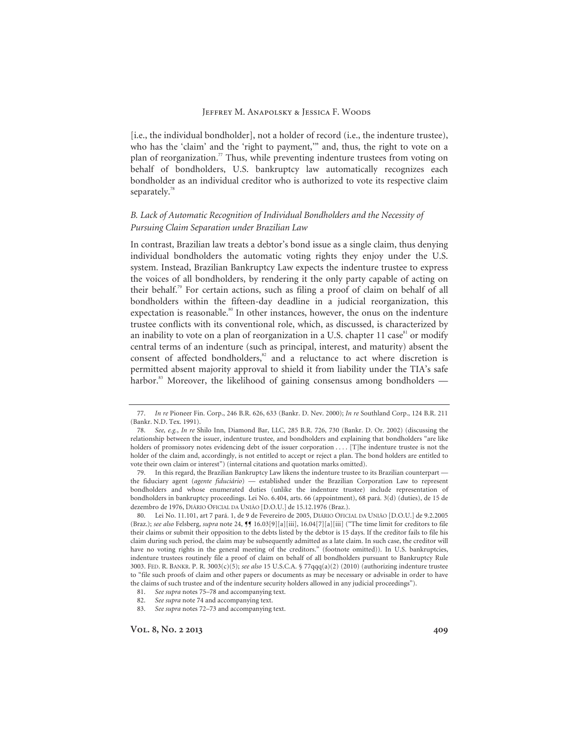[i.e., the individual bondholder], not a holder of record (i.e., the indenture trustee), who has the 'claim' and the 'right to payment,'" and, thus, the right to vote on a plan of reorganization.<sup>77</sup> Thus, while preventing indenture trustees from voting on behalf of bondholders, U.S. bankruptcy law automatically recognizes each bondholder as an individual creditor who is authorized to vote its respective claim separately.<sup>78</sup>

# *B. Lack of Automatic Recognition of Individual Bondholders and the Necessity of Pursuing Claim Separation under Brazilian Law*

In contrast, Brazilian law treats a debtor's bond issue as a single claim, thus denying individual bondholders the automatic voting rights they enjoy under the U.S. system. Instead, Brazilian Bankruptcy Law expects the indenture trustee to express the voices of all bondholders, by rendering it the only party capable of acting on their behalf.<sup>79</sup> For certain actions, such as filing a proof of claim on behalf of all bondholders within the fifteen-day deadline in a judicial reorganization, this expectation is reasonable.<sup>80</sup> In other instances, however, the onus on the indenture trustee conflicts with its conventional role, which, as discussed, is characterized by an inability to vote on a plan of reorganization in a U.S. chapter 11 case $81$  or modify central terms of an indenture (such as principal, interest, and maturity) absent the consent of affected bondholders, $82$  and a reluctance to act where discretion is permitted absent majority approval to shield it from liability under the TIA's safe harbor.<sup>83</sup> Moreover, the likelihood of gaining consensus among bondholders —

<sup>77.</sup> *In re* Pioneer Fin. Corp., 246 B.R. 626, 633 (Bankr. D. Nev. 2000); *In re* Southland Corp., 124 B.R. 211 (Bankr. N.D. Tex. 1991).

<sup>78.</sup> *See, e.g.*, *In re* Shilo Inn, Diamond Bar, LLC, 285 B.R. 726, 730 (Bankr. D. Or. 2002) (discussing the relationship between the issuer, indenture trustee, and bondholders and explaining that bondholders "are like holders of promissory notes evidencing debt of the issuer corporation . . . . [T]he indenture trustee is not the holder of the claim and, accordingly, is not entitled to accept or reject a plan. The bond holders are entitled to vote their own claim or interest") (internal citations and quotation marks omitted).

 <sup>79.</sup> In this regard, the Brazilian Bankruptcy Law likens the indenture trustee to its Brazilian counterpart the fiduciary agent (*agente fiduciário*) — established under the Brazilian Corporation Law to represent bondholders and whose enumerated duties (unlike the indenture trustee) include representation of bondholders in bankruptcy proceedings. Lei No. 6.404, arts. 66 (appointment), 68 pará. 3(d) (duties), de 15 de dezembro de 1976, DIÁRIO OFICIAL DA UNIÃO [D.O.U.] de 15.12.1976 (Braz.).

 <sup>80.</sup> Lei No. 11.101, art 7 pará. 1, de 9 de Fevereiro de 2005, DIÁRIO OFICIAL DA UNIÃO [D.O.U.] de 9.2.2005 (Braz.); *see also* Felsberg, *supra* note 24, ¶¶ 16.03[9][a][iii], 16.04[7][a][iii] ("The time limit for creditors to file their claims or submit their opposition to the debts listed by the debtor is 15 days. If the creditor fails to file his claim during such period, the claim may be subsequently admitted as a late claim. In such case, the creditor will have no voting rights in the general meeting of the creditors." (footnote omitted)). In U.S. bankruptcies, indenture trustees routinely file a proof of claim on behalf of all bondholders pursuant to Bankruptcy Rule 3003. FED. R. BANKR. P. R. 3003(c)(5); *see also* 15 U.S.C.A. § 77qqq(a)(2) (2010) (authorizing indenture trustee to "file such proofs of claim and other papers or documents as may be necessary or advisable in order to have the claims of such trustee and of the indenture security holders allowed in any judicial proceedings").

<sup>81.</sup> *See supra* notes 75–78 and accompanying text.

<sup>82.</sup> *See supra* note 74 and accompanying text.

<sup>83.</sup> *See supra* notes 72–73 and accompanying text.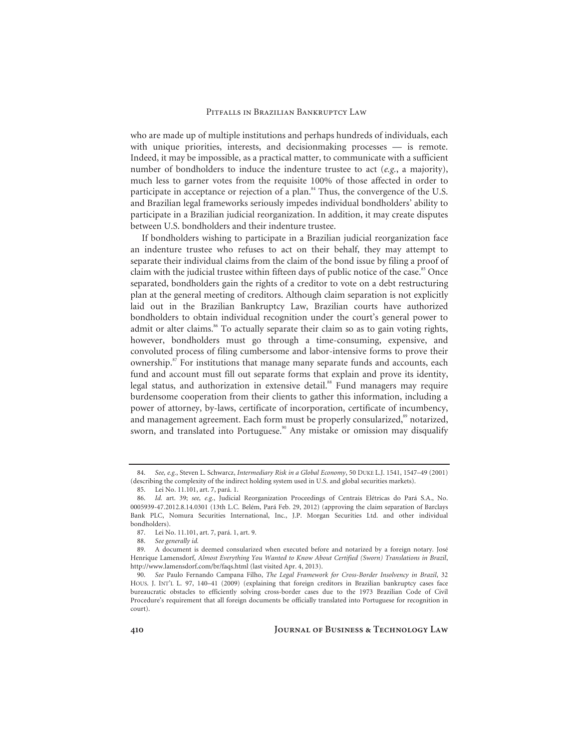who are made up of multiple institutions and perhaps hundreds of individuals, each with unique priorities, interests, and decisionmaking processes — is remote. Indeed, it may be impossible, as a practical matter, to communicate with a sufficient number of bondholders to induce the indenture trustee to act (*e.g.*, a majority), much less to garner votes from the requisite 100% of those affected in order to participate in acceptance or rejection of a plan.<sup>84</sup> Thus, the convergence of the U.S. and Brazilian legal frameworks seriously impedes individual bondholders' ability to participate in a Brazilian judicial reorganization. In addition, it may create disputes between U.S. bondholders and their indenture trustee.

If bondholders wishing to participate in a Brazilian judicial reorganization face an indenture trustee who refuses to act on their behalf, they may attempt to separate their individual claims from the claim of the bond issue by filing a proof of claim with the judicial trustee within fifteen days of public notice of the case. $85$  Once separated, bondholders gain the rights of a creditor to vote on a debt restructuring plan at the general meeting of creditors. Although claim separation is not explicitly laid out in the Brazilian Bankruptcy Law, Brazilian courts have authorized bondholders to obtain individual recognition under the court's general power to admit or alter claims.<sup>86</sup> To actually separate their claim so as to gain voting rights, however, bondholders must go through a time-consuming, expensive, and convoluted process of filing cumbersome and labor-intensive forms to prove their ownership.<sup>87</sup> For institutions that manage many separate funds and accounts, each fund and account must fill out separate forms that explain and prove its identity, legal status, and authorization in extensive detail.<sup>88</sup> Fund managers may require burdensome cooperation from their clients to gather this information, including a power of attorney, by-laws, certificate of incorporation, certificate of incumbency, and management agreement. Each form must be properly consularized, $\frac{89}{8}$  notarized, sworn, and translated into Portuguese.<sup>90</sup> Any mistake or omission may disqualify

<sup>84.</sup> *See, e.g.*, Steven L. Schwarcz, *Intermediary Risk in a Global Economy*, 50 DUKE L.J. 1541, 1547–49 (2001) (describing the complexity of the indirect holding system used in U.S. and global securities markets).

 <sup>85.</sup> Lei No. 11.101, art. 7, pará. 1.

 <sup>86.</sup> *Id.* art. 39; *see, e.g.*, Judicial Reorganization Proceedings of Centrais Elétricas do Pará S.A., No. 0005939-47.2012.8.14.0301 (13th L.C. Belém, Pará Feb. 29, 2012) (approving the claim separation of Barclays Bank PLC, Nomura Securities International, Inc., J.P. Morgan Securities Ltd. and other individual bondholders).

 <sup>87.</sup> Lei No. 11.101, art. 7, pará. 1, art. 9.

<sup>88.</sup> *See generally id.*

 <sup>89.</sup> A document is deemed consularized when executed before and notarized by a foreign notary. José Henrique Lamensdorf, *Almost Everything You Wanted to Know About Certified (Sworn) Translations in Brazil*, http://www.lamensdorf.com/br/faqs.html (last visited Apr. 4, 2013).

<sup>90.</sup> *See* Paulo Fernando Campana Filho, *The Legal Framework for Cross-Border Insolvency in Brazil*, 32 HOUS. J. INT'L L. 97, 140-41 (2009) (explaining that foreign creditors in Brazilian bankruptcy cases face bureaucratic obstacles to efficiently solving cross-border cases due to the 1973 Brazilian Code of Civil Procedure's requirement that all foreign documents be officially translated into Portuguese for recognition in court).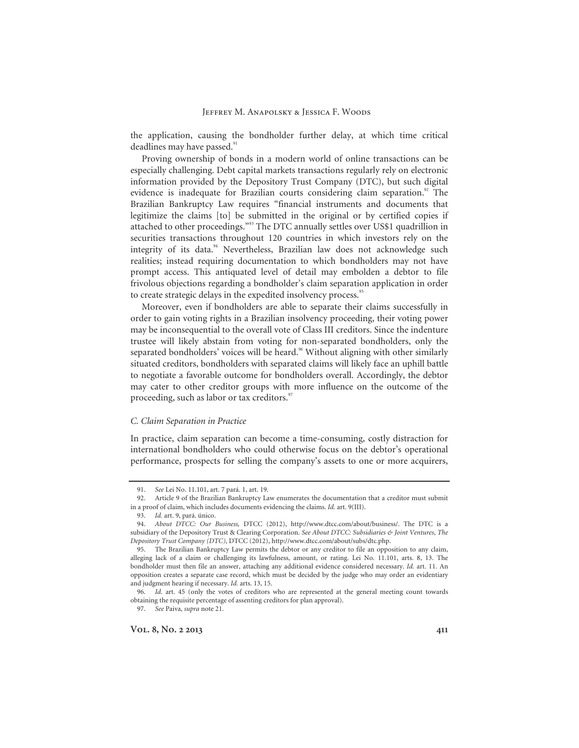the application, causing the bondholder further delay, at which time critical deadlines may have passed.<sup>91</sup>

Proving ownership of bonds in a modern world of online transactions can be especially challenging. Debt capital markets transactions regularly rely on electronic information provided by the Depository Trust Company (DTC), but such digital evidence is inadequate for Brazilian courts considering claim separation.<sup>92</sup> The Brazilian Bankruptcy Law requires "financial instruments and documents that legitimize the claims [to] be submitted in the original or by certified copies if attached to other proceedings."93 The DTC annually settles over US\$1 quadrillion in securities transactions throughout 120 countries in which investors rely on the integrity of its data.<sup>94</sup> Nevertheless, Brazilian law does not acknowledge such realities; instead requiring documentation to which bondholders may not have prompt access. This antiquated level of detail may embolden a debtor to file frivolous objections regarding a bondholder's claim separation application in order to create strategic delays in the expedited insolvency process.<sup>95</sup>

Moreover, even if bondholders are able to separate their claims successfully in order to gain voting rights in a Brazilian insolvency proceeding, their voting power may be inconsequential to the overall vote of Class III creditors. Since the indenture trustee will likely abstain from voting for non-separated bondholders, only the separated bondholders' voices will be heard.<sup>96</sup> Without aligning with other similarly situated creditors, bondholders with separated claims will likely face an uphill battle to negotiate a favorable outcome for bondholders overall. Accordingly, the debtor may cater to other creditor groups with more influence on the outcome of the proceeding, such as labor or tax creditors.<sup>97</sup>

# *C. Claim Separation in Practice*

In practice, claim separation can become a time-consuming, costly distraction for international bondholders who could otherwise focus on the debtor's operational performance, prospects for selling the company's assets to one or more acquirers,

97. *See* Paiva, *supra* note 21.

<sup>91.</sup> *See* Lei No. 11.101, art. 7 pará. 1, art. 19.

 <sup>92.</sup> Article 9 of the Brazilian Bankruptcy Law enumerates the documentation that a creditor must submit in a proof of claim, which includes documents evidencing the claims. *Id.* art. 9(III).

<sup>93.</sup> *Id.* art. 9, pará. único.

<sup>94.</sup> *About DTCC: Our Business,* DTCC (2012), http://www.dtcc.com/about/business/. The DTC is a subsidiary of the Depository Trust & Clearing Corporation. *See About DTCC: Subsidiaries & Joint Ventures*, *The Depository Trust Company (DTC)*, DTCC (2012), http://www.dtcc.com/about/subs/dtc.php.

 <sup>95.</sup> The Brazilian Bankruptcy Law permits the debtor or any creditor to file an opposition to any claim, alleging lack of a claim or challenging its lawfulness, amount, or rating. Lei No. 11.101, arts. 8, 13. The bondholder must then file an answer, attaching any additional evidence considered necessary. *Id.* art. 11. An opposition creates a separate case record, which must be decided by the judge who may order an evidentiary and judgment hearing if necessary. *Id.* arts. 13, 15.

<sup>96.</sup> *Id.* art. 45 (only the votes of creditors who are represented at the general meeting count towards obtaining the requisite percentage of assenting creditors for plan approval).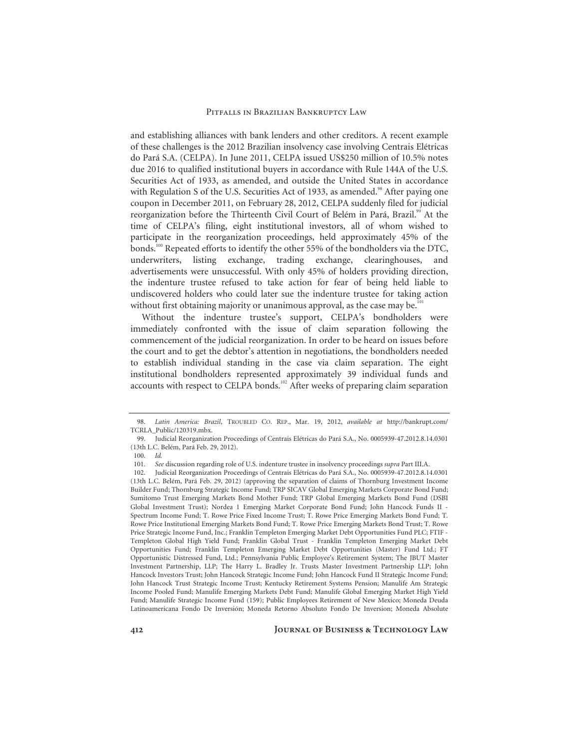and establishing alliances with bank lenders and other creditors. A recent example of these challenges is the 2012 Brazilian insolvency case involving Centrais Elétricas do Pará S.A. (CELPA). In June 2011, CELPA issued US\$250 million of 10.5% notes due 2016 to qualified institutional buyers in accordance with Rule 144A of the U.S. Securities Act of 1933, as amended, and outside the United States in accordance with Regulation S of the U.S. Securities Act of 1933, as amended.<sup>98</sup> After paying one coupon in December 2011, on February 28, 2012, CELPA suddenly filed for judicial reorganization before the Thirteenth Civil Court of Belém in Pará, Brazil.<sup>99</sup> At the time of CELPA's filing, eight institutional investors, all of whom wished to participate in the reorganization proceedings, held approximately 45% of the bonds.<sup>100</sup> Repeated efforts to identify the other 55% of the bondholders via the DTC, underwriters, listing exchange, trading exchange, clearinghouses, and advertisements were unsuccessful. With only 45% of holders providing direction, the indenture trustee refused to take action for fear of being held liable to undiscovered holders who could later sue the indenture trustee for taking action without first obtaining majority or unanimous approval, as the case may be.<sup>101</sup>

Without the indenture trustee's support, CELPA's bondholders were immediately confronted with the issue of claim separation following the commencement of the judicial reorganization. In order to be heard on issues before the court and to get the debtor's attention in negotiations, the bondholders needed to establish individual standing in the case via claim separation. The eight institutional bondholders represented approximately 39 individual funds and accounts with respect to CELPA bonds.<sup>102</sup> After weeks of preparing claim separation

<sup>98.</sup> *Latin America: Brazil*, TROUBLED CO. REP., Mar. 19, 2012, *available at* http://bankrupt.com/ TCRLA\_Public/120319.mbx.

 <sup>99.</sup> Judicial Reorganization Proceedings of Centrais Elétricas do Pará S.A., No. 0005939-47.2012.8.14.0301 (13th L.C. Belém, Pará Feb. 29, 2012).

 <sup>100.</sup> *Id.*

<sup>101.</sup> *See* discussion regarding role of U.S. indenture trustee in insolvency proceedings *supra* Part III.A.

 <sup>102.</sup> Judicial Reorganization Proceedings of Centrais Elétricas do Pará S.A., No. 0005939-47.2012.8.14.0301 (13th L.C. Belém, Pará Feb. 29, 2012) (approving the separation of claims of Thornburg Investment Income Builder Fund; Thornburg Strategic Income Fund; TRP SICAV Global Emerging Markets Corporate Bond Fund; Sumitomo Trust Emerging Markets Bond Mother Fund; TRP Global Emerging Markets Bond Fund (DSBI Global Investment Trust); Nordea 1 Emerging Market Corporate Bond Fund; John Hancock Funds II - Spectrum Income Fund; T. Rowe Price Fixed Income Trust; T. Rowe Price Emerging Markets Bond Fund; T. Rowe Price Institutional Emerging Markets Bond Fund; T. Rowe Price Emerging Markets Bond Trust; T. Rowe Price Strategic Income Fund, Inc.; Franklin Templeton Emerging Market Debt Opportunities Fund PLC; FTIF - Templeton Global High Yield Fund; Franklin Global Trust - Franklin Templeton Emerging Market Debt Opportunities Fund; Franklin Templeton Emerging Market Debt Opportunities (Master) Fund Ltd.; FT Opportunistic Distressed Fund, Ltd.; Pennsylvania Public Employee's Retirement System; The JBUT Master Investment Partnership, LLP; The Harry L. Bradley Jr. Trusts Master Investment Partnership LLP; John Hancock Investors Trust; John Hancock Strategic Income Fund; John Hancock Fund II Strategic Income Fund; John Hancock Trust Strategic Income Trust; Kentucky Retirement Systems Pension; Manulife Am Strategic Income Pooled Fund; Manulife Emerging Markets Debt Fund; Manulife Global Emerging Market High Yield Fund; Manulife Strategic Income Fund (159); Public Employees Retirement of New Mexico; Moneda Deuda Latinoamericana Fondo De Inversión; Moneda Retorno Absoluto Fondo De Inversion; Moneda Absolute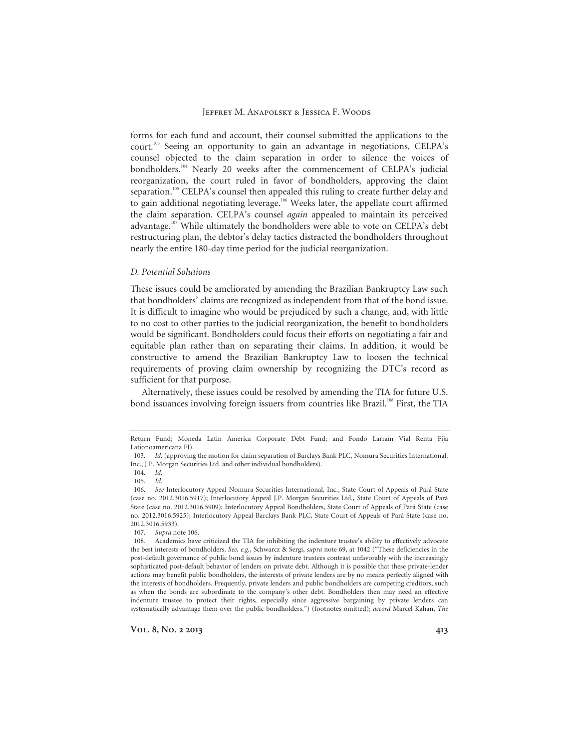forms for each fund and account, their counsel submitted the applications to the court.103 Seeing an opportunity to gain an advantage in negotiations, CELPA's counsel objected to the claim separation in order to silence the voices of bondholders.<sup>104</sup> Nearly 20 weeks after the commencement of CELPA's judicial reorganization, the court ruled in favor of bondholders, approving the claim separation.<sup>105</sup> CELPA's counsel then appealed this ruling to create further delay and to gain additional negotiating leverage.<sup>106</sup> Weeks later, the appellate court affirmed the claim separation. CELPA's counsel *again* appealed to maintain its perceived advantage.<sup>107</sup> While ultimately the bondholders were able to vote on CELPA's debt restructuring plan, the debtor's delay tactics distracted the bondholders throughout nearly the entire 180-day time period for the judicial reorganization.

#### *D. Potential Solutions*

These issues could be ameliorated by amending the Brazilian Bankruptcy Law such that bondholders' claims are recognized as independent from that of the bond issue. It is difficult to imagine who would be prejudiced by such a change, and, with little to no cost to other parties to the judicial reorganization, the benefit to bondholders would be significant. Bondholders could focus their efforts on negotiating a fair and equitable plan rather than on separating their claims. In addition, it would be constructive to amend the Brazilian Bankruptcy Law to loosen the technical requirements of proving claim ownership by recognizing the DTC's record as sufficient for that purpose.

Alternatively, these issues could be resolved by amending the TIA for future U.S. bond issuances involving foreign issuers from countries like Brazil.<sup>108</sup> First, the TIA

Return Fund; Moneda Latin America Corporate Debt Fund; and Fondo Larraín Vial Renta Fija Lationoamericana FI).

<sup>103.</sup> *Id.* (approving the motion for claim separation of Barclays Bank PLC, Nomura Securities International, Inc., J.P. Morgan Securities Ltd. and other individual bondholders).

<sup>104.</sup> *Id.*

<sup>105.</sup> *Id.*

<sup>106.</sup> *See* Interlocutory Appeal Nomura Securities International, Inc., State Court of Appeals of Pará State (case no. 2012.3016.5917); Interlocutory Appeal J.P. Morgan Securities Ltd., State Court of Appeals of Pará State (case no. 2012.3016.5909); Interlocutory Appeal Bondholders, State Court of Appeals of Pará State (case no. 2012.3016.5925); Interlocutory Appeal Barclays Bank PLC, State Court of Appeals of Pará State (case no. 2012.3016.5933).

<sup>107.</sup> *Supra* note 106.

 <sup>108.</sup> Academics have criticized the TIA for inhibiting the indenture trustee's ability to effectively advocate the best interests of bondholders. *See, e.g.*, Schwarcz & Sergi, *supra* note 69, at 1042 ("These deficiencies in the post-default governance of public bond issues by indenture trustees contrast unfavorably with the increasingly sophisticated post-default behavior of lenders on private debt. Although it is possible that these private-lender actions may benefit public bondholders, the interests of private lenders are by no means perfectly aligned with the interests of bondholders. Frequently, private lenders and public bondholders are competing creditors, such as when the bonds are subordinate to the company's other debt. Bondholders then may need an effective indenture trustee to protect their rights, especially since aggressive bargaining by private lenders can systematically advantage them over the public bondholders.") (footnotes omitted); *accord* Marcel Kahan, *The*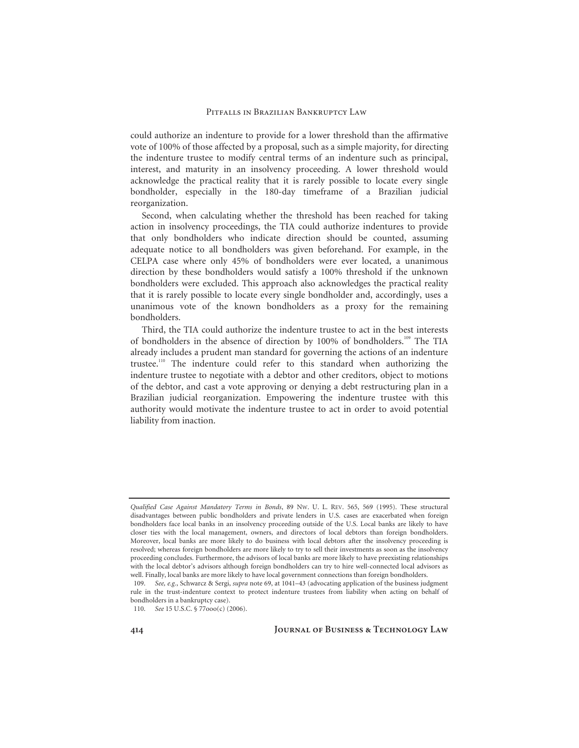could authorize an indenture to provide for a lower threshold than the affirmative vote of 100% of those affected by a proposal, such as a simple majority, for directing the indenture trustee to modify central terms of an indenture such as principal, interest, and maturity in an insolvency proceeding. A lower threshold would acknowledge the practical reality that it is rarely possible to locate every single bondholder, especially in the 180-day timeframe of a Brazilian judicial reorganization.

Second, when calculating whether the threshold has been reached for taking action in insolvency proceedings, the TIA could authorize indentures to provide that only bondholders who indicate direction should be counted, assuming adequate notice to all bondholders was given beforehand. For example, in the CELPA case where only 45% of bondholders were ever located, a unanimous direction by these bondholders would satisfy a 100% threshold if the unknown bondholders were excluded. This approach also acknowledges the practical reality that it is rarely possible to locate every single bondholder and, accordingly, uses a unanimous vote of the known bondholders as a proxy for the remaining bondholders.

Third, the TIA could authorize the indenture trustee to act in the best interests of bondholders in the absence of direction by 100% of bondholders.<sup>109</sup> The TIA already includes a prudent man standard for governing the actions of an indenture trustee.110 The indenture could refer to this standard when authorizing the indenture trustee to negotiate with a debtor and other creditors, object to motions of the debtor, and cast a vote approving or denying a debt restructuring plan in a Brazilian judicial reorganization. Empowering the indenture trustee with this authority would motivate the indenture trustee to act in order to avoid potential liability from inaction.

*Qualified Case Against Mandatory Terms in Bonds*, 89 NW. U. L. REV. 565, 569 (1995). These structural disadvantages between public bondholders and private lenders in U.S. cases are exacerbated when foreign bondholders face local banks in an insolvency proceeding outside of the U.S. Local banks are likely to have closer ties with the local management, owners, and directors of local debtors than foreign bondholders. Moreover, local banks are more likely to do business with local debtors after the insolvency proceeding is resolved; whereas foreign bondholders are more likely to try to sell their investments as soon as the insolvency proceeding concludes. Furthermore, the advisors of local banks are more likely to have preexisting relationships with the local debtor's advisors although foreign bondholders can try to hire well-connected local advisors as well. Finally, local banks are more likely to have local government connections than foreign bondholders.

<sup>109.</sup> *See, e.g.*, Schwarcz & Sergi, *supra* note 69, at 1041–43 (advocating application of the business judgment rule in the trust-indenture context to protect indenture trustees from liability when acting on behalf of bondholders in a bankruptcy case).

<sup>110.</sup> *See* 15 U.S.C. § 77ooo(c) (2006).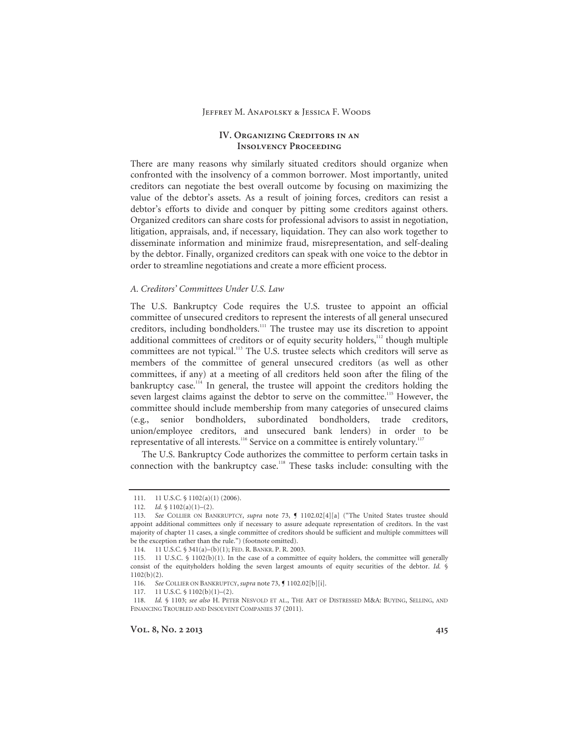# **IV. Organizing Creditors in an Insolvency Proceeding**

There are many reasons why similarly situated creditors should organize when confronted with the insolvency of a common borrower. Most importantly, united creditors can negotiate the best overall outcome by focusing on maximizing the value of the debtor's assets. As a result of joining forces, creditors can resist a debtor's efforts to divide and conquer by pitting some creditors against others. Organized creditors can share costs for professional advisors to assist in negotiation, litigation, appraisals, and, if necessary, liquidation. They can also work together to disseminate information and minimize fraud, misrepresentation, and self-dealing by the debtor. Finally, organized creditors can speak with one voice to the debtor in order to streamline negotiations and create a more efficient process.

#### *A. Creditors' Committees Under U.S. Law*

The U.S. Bankruptcy Code requires the U.S. trustee to appoint an official committee of unsecured creditors to represent the interests of all general unsecured creditors, including bondholders.<sup>111</sup> The trustee may use its discretion to appoint additional committees of creditors or of equity security holders,<sup>112</sup> though multiple committees are not typical.<sup>113</sup> The U.S. trustee selects which creditors will serve as members of the committee of general unsecured creditors (as well as other committees, if any) at a meeting of all creditors held soon after the filing of the bankruptcy case.<sup>114</sup> In general, the trustee will appoint the creditors holding the seven largest claims against the debtor to serve on the committee.<sup>115</sup> However, the committee should include membership from many categories of unsecured claims (e.g., senior bondholders, subordinated bondholders, trade creditors, union/employee creditors, and unsecured bank lenders) in order to be representative of all interests.<sup>116</sup> Service on a committee is entirely voluntary.<sup>117</sup>

The U.S. Bankruptcy Code authorizes the committee to perform certain tasks in connection with the bankruptcy case.<sup>118</sup> These tasks include: consulting with the

117. 11 U.S.C. § 1102(b)(1)–(2).

<sup>111. 11</sup> U.S.C. § 1102(a)(1) (2006).

<sup>112.</sup> *Id.* § 1102(a)(1)–(2).

<sup>113.</sup> *See* COLLIER ON BANKRUPTCY, *supra* note 73, ¶ 1102.02[4][a] ("The United States trustee should appoint additional committees only if necessary to assure adequate representation of creditors. In the vast majority of chapter 11 cases, a single committee of creditors should be sufficient and multiple committees will be the exception rather than the rule.") (footnote omitted).

 <sup>114. 11</sup> U.S.C. § 341(a)–(b)(1); FED. R. BANKR. P. R. 2003.

 <sup>115. 11</sup> U.S.C. § 1102(b)(1). In the case of a committee of equity holders, the committee will generally consist of the equityholders holding the seven largest amounts of equity securities of the debtor. *Id.* § 1102(b)(2).

<sup>116.</sup> See COLLIER ON BANKRUPTCY, *supra* note 73, **[** 1102.02[b][i].

<sup>118.</sup> *Id.* § 1103; *see also* H. PETER NESVOLD ET AL., THE ART OF DISTRESSED M&A: BUYING, SELLING, AND FINANCING TROUBLED AND INSOLVENT COMPANIES 37 (2011).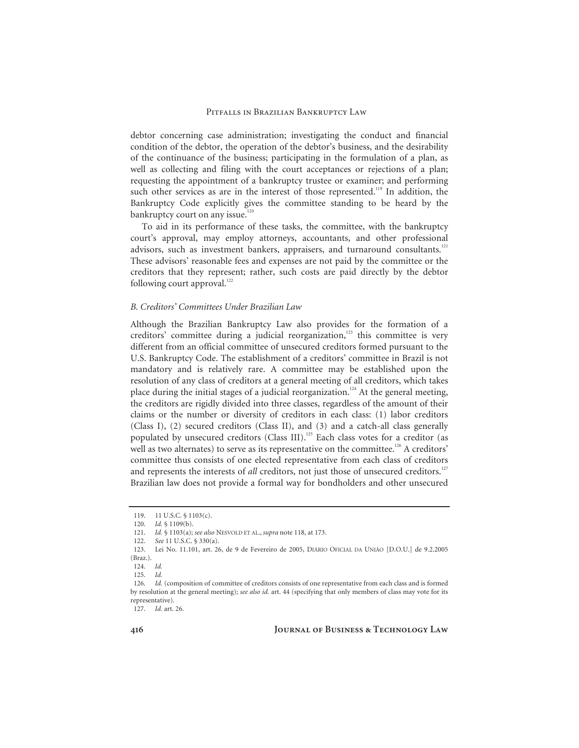debtor concerning case administration; investigating the conduct and financial condition of the debtor, the operation of the debtor's business, and the desirability of the continuance of the business; participating in the formulation of a plan, as well as collecting and filing with the court acceptances or rejections of a plan; requesting the appointment of a bankruptcy trustee or examiner; and performing such other services as are in the interest of those represented.<sup>119</sup> In addition, the Bankruptcy Code explicitly gives the committee standing to be heard by the bankruptcy court on any issue.<sup>120</sup>

To aid in its performance of these tasks, the committee, with the bankruptcy court's approval, may employ attorneys, accountants, and other professional advisors, such as investment bankers, appraisers, and turnaround consultants.<sup>121</sup> These advisors' reasonable fees and expenses are not paid by the committee or the creditors that they represent; rather, such costs are paid directly by the debtor following court approval. $122$ 

# *B. Creditors' Committees Under Brazilian Law*

Although the Brazilian Bankruptcy Law also provides for the formation of a creditors' committee during a judicial reorganization, $123$  this committee is very different from an official committee of unsecured creditors formed pursuant to the U.S. Bankruptcy Code. The establishment of a creditors' committee in Brazil is not mandatory and is relatively rare. A committee may be established upon the resolution of any class of creditors at a general meeting of all creditors, which takes place during the initial stages of a judicial reorganization.<sup>124</sup> At the general meeting, the creditors are rigidly divided into three classes, regardless of the amount of their claims or the number or diversity of creditors in each class: (1) labor creditors (Class I), (2) secured creditors (Class II), and (3) and a catch-all class generally populated by unsecured creditors (Class III).<sup>125</sup> Each class votes for a creditor (as well as two alternates) to serve as its representative on the committee.<sup>126</sup> A creditors' committee thus consists of one elected representative from each class of creditors and represents the interests of *all* creditors, not just those of unsecured creditors.<sup>127</sup> Brazilian law does not provide a formal way for bondholders and other unsecured

<sup>119. 11</sup> U.S.C. § 1103(c).

<sup>120.</sup> *Id.* § 1109(b).

<sup>121.</sup> *Id.* § 1103(a); *see also* NESVOLD ET AL., *supra* note 118, at 173.

<sup>122.</sup> *See* 11 U.S.C. § 330(a).

 <sup>123.</sup> Lei No. 11.101, art. 26, de 9 de Fevereiro de 2005, DIÁRIO OFICIAL DA UNIÃO [D.O.U.] de 9.2.2005 (Braz.).

<sup>124.</sup> *Id.*

<sup>125.</sup> *Id.*

<sup>126.</sup> *Id.* (composition of committee of creditors consists of one representative from each class and is formed by resolution at the general meeting); *see also id.* art. 44 (specifying that only members of class may vote for its representative).

<sup>127.</sup> *Id.* art. 26.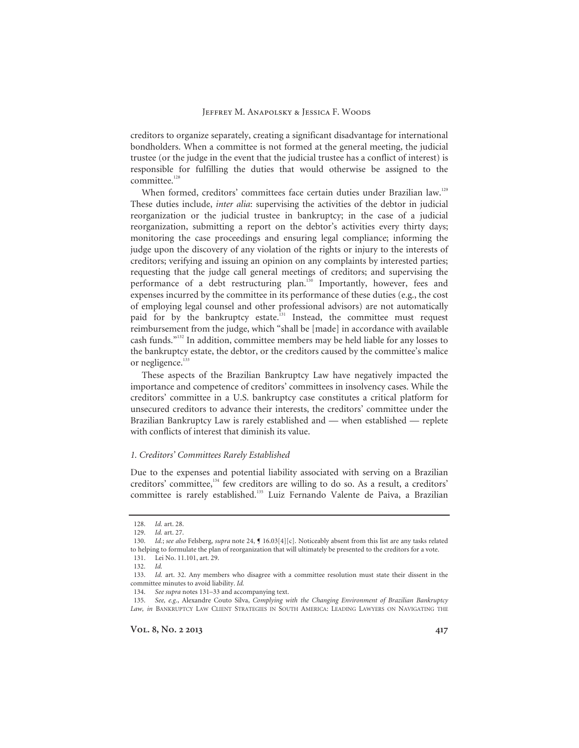creditors to organize separately, creating a significant disadvantage for international bondholders. When a committee is not formed at the general meeting, the judicial trustee (or the judge in the event that the judicial trustee has a conflict of interest) is responsible for fulfilling the duties that would otherwise be assigned to the committee.<sup>128</sup>

When formed, creditors' committees face certain duties under Brazilian law.<sup>129</sup> These duties include, *inter alia*: supervising the activities of the debtor in judicial reorganization or the judicial trustee in bankruptcy; in the case of a judicial reorganization, submitting a report on the debtor's activities every thirty days; monitoring the case proceedings and ensuring legal compliance; informing the judge upon the discovery of any violation of the rights or injury to the interests of creditors; verifying and issuing an opinion on any complaints by interested parties; requesting that the judge call general meetings of creditors; and supervising the performance of a debt restructuring plan.<sup>130</sup> Importantly, however, fees and expenses incurred by the committee in its performance of these duties (e.g., the cost of employing legal counsel and other professional advisors) are not automatically paid for by the bankruptcy estate.<sup>131</sup> Instead, the committee must request reimbursement from the judge, which "shall be [made] in accordance with available cash funds."132 In addition, committee members may be held liable for any losses to the bankruptcy estate, the debtor, or the creditors caused by the committee's malice or negligence.<sup>133</sup>

These aspects of the Brazilian Bankruptcy Law have negatively impacted the importance and competence of creditors' committees in insolvency cases. While the creditors' committee in a U.S. bankruptcy case constitutes a critical platform for unsecured creditors to advance their interests, the creditors' committee under the Brazilian Bankruptcy Law is rarely established and — when established — replete with conflicts of interest that diminish its value.

#### *1. Creditors' Committees Rarely Established*

Due to the expenses and potential liability associated with serving on a Brazilian creditors' committee,<sup>134</sup> few creditors are willing to do so. As a result, a creditors' committee is rarely established.135 Luiz Fernando Valente de Paiva, a Brazilian

<sup>128.</sup> *Id.* art. 28.

<sup>129.</sup> *Id.* art. 27.

<sup>130.</sup> *Id.*; *see also* Felsberg, *supra* note 24, ¶ 16.03[4][c]. Noticeably absent from this list are any tasks related to helping to formulate the plan of reorganization that will ultimately be presented to the creditors for a vote. 131. Lei No. 11.101, art. 29.

<sup>132.</sup> *Id.*

<sup>133.</sup> *Id.* art. 32. Any members who disagree with a committee resolution must state their dissent in the committee minutes to avoid liability. *Id.*

<sup>134.</sup> *See supra* notes 131–33 and accompanying text.

<sup>135.</sup> *See, e.g.*, Alexandre Couto Silva, *Complying with the Changing Environment of Brazilian Bankruptcy Law, in* BANKRUPTCY LAW CLIENT STRATEGIES IN SOUTH AMERICA: LEADING LAWYERS ON NAVIGATING THE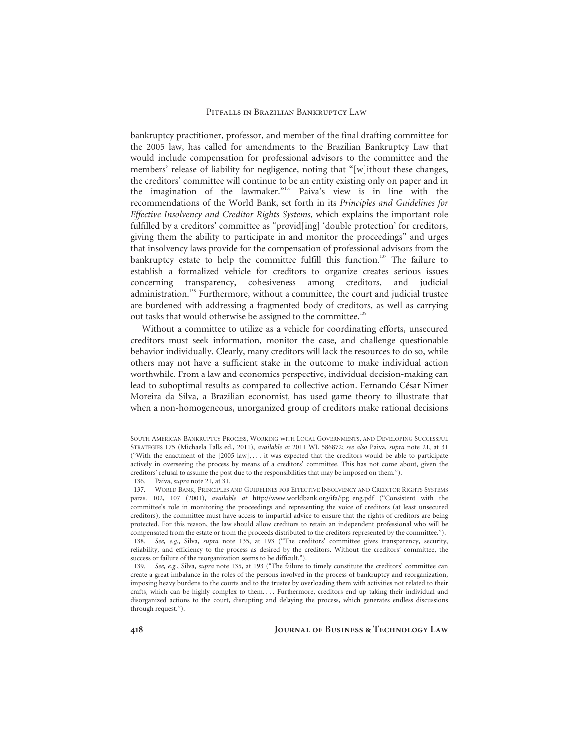bankruptcy practitioner, professor, and member of the final drafting committee for the 2005 law, has called for amendments to the Brazilian Bankruptcy Law that would include compensation for professional advisors to the committee and the members' release of liability for negligence, noting that "[w]ithout these changes, the creditors' committee will continue to be an entity existing only on paper and in the imagination of the lawmaker."136 Paiva's view is in line with the recommendations of the World Bank, set forth in its *Principles and Guidelines for Effective Insolvency and Creditor Rights Systems*, which explains the important role fulfilled by a creditors' committee as "provid[ing] 'double protection' for creditors, giving them the ability to participate in and monitor the proceedings" and urges that insolvency laws provide for the compensation of professional advisors from the bankruptcy estate to help the committee fulfill this function.<sup>137</sup> The failure to establish a formalized vehicle for creditors to organize creates serious issues concerning transparency, cohesiveness among creditors, and judicial administration.<sup>138</sup> Furthermore, without a committee, the court and judicial trustee are burdened with addressing a fragmented body of creditors, as well as carrying out tasks that would otherwise be assigned to the committee.<sup>139</sup>

Without a committee to utilize as a vehicle for coordinating efforts, unsecured creditors must seek information, monitor the case, and challenge questionable behavior individually. Clearly, many creditors will lack the resources to do so, while others may not have a sufficient stake in the outcome to make individual action worthwhile. From a law and economics perspective, individual decision-making can lead to suboptimal results as compared to collective action. Fernando César Nimer Moreira da Silva, a Brazilian economist, has used game theory to illustrate that when a non-homogeneous, unorganized group of creditors make rational decisions

SOUTH AMERICAN BANKRUPTCY PROCESS, WORKING WITH LOCAL GOVERNMENTS, AND DEVELOPING SUCCESSFUL STRATEGIES 175 (Michaela Falls ed., 2011), *available at* 2011 WL 586872; *see also* Paiva, *supra* note 21, at 31 ("With the enactment of the [2005 law], ... it was expected that the creditors would be able to participate actively in overseeing the process by means of a creditors' committee. This has not come about, given the creditors' refusal to assume the post due to the responsibilities that may be imposed on them.").

 <sup>136.</sup> Paiva, *supra* note 21, at 31.

 <sup>137.</sup> WORLD BANK, PRINCIPLES AND GUIDELINES FOR EFFECTIVE INSOLVENCY AND CREDITOR RIGHTS SYSTEMS paras. 102, 107 (2001), *available at* http://www.worldbank.org/ifa/ipg\_eng.pdf ("Consistent with the committee's role in monitoring the proceedings and representing the voice of creditors (at least unsecured creditors), the committee must have access to impartial advice to ensure that the rights of creditors are being protected. For this reason, the law should allow creditors to retain an independent professional who will be compensated from the estate or from the proceeds distributed to the creditors represented by the committee.").

<sup>138.</sup> *See, e.g.*, Silva, *supra* note 135, at 193 ("The creditors' committee gives transparency, security, reliability, and efficiency to the process as desired by the creditors. Without the creditors' committee, the success or failure of the reorganization seems to be difficult.").

<sup>139.</sup> *See, e.g.*, Silva, *supra* note 135, at 193 ("The failure to timely constitute the creditors' committee can create a great imbalance in the roles of the persons involved in the process of bankruptcy and reorganization, imposing heavy burdens to the courts and to the trustee by overloading them with activities not related to their crafts, which can be highly complex to them. . . . Furthermore, creditors end up taking their individual and disorganized actions to the court, disrupting and delaying the process, which generates endless discussions through request.").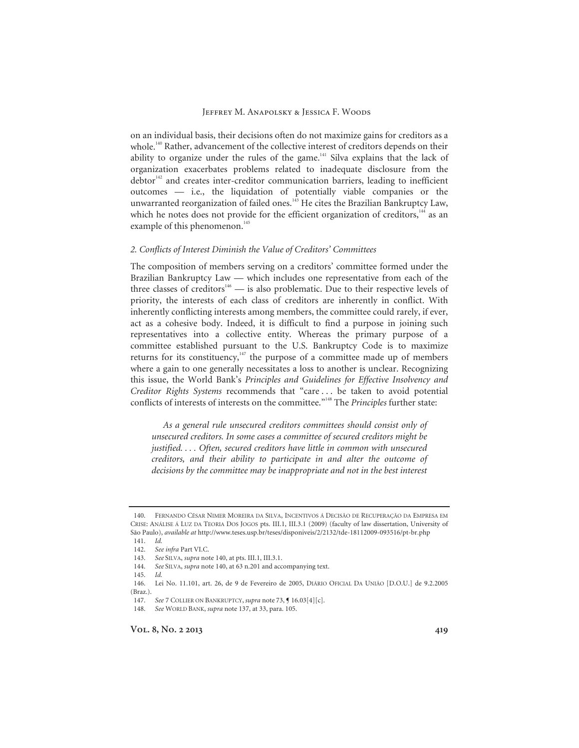on an individual basis, their decisions often do not maximize gains for creditors as a whole.<sup>140</sup> Rather, advancement of the collective interest of creditors depends on their ability to organize under the rules of the game.<sup>141</sup> Silva explains that the lack of organization exacerbates problems related to inadequate disclosure from the  $deb$ tor<sup>142</sup> and creates inter-creditor communication barriers, leading to inefficient outcomes — i.e., the liquidation of potentially viable companies or the unwarranted reorganization of failed ones.<sup>143</sup> He cites the Brazilian Bankruptcy Law, which he notes does not provide for the efficient organization of creditors,<sup>144</sup> as an example of this phenomenon.<sup>145</sup>

#### *2. Conflicts of Interest Diminish the Value of Creditors' Committees*

The composition of members serving on a creditors' committee formed under the Brazilian Bankruptcy Law — which includes one representative from each of the three classes of creditors<sup>146</sup> — is also problematic. Due to their respective levels of priority, the interests of each class of creditors are inherently in conflict. With inherently conflicting interests among members, the committee could rarely, if ever, act as a cohesive body. Indeed, it is difficult to find a purpose in joining such representatives into a collective entity. Whereas the primary purpose of a committee established pursuant to the U.S. Bankruptcy Code is to maximize returns for its constituency, $147$  the purpose of a committee made up of members where a gain to one generally necessitates a loss to another is unclear. Recognizing this issue, the World Bank's *Principles and Guidelines for Effective Insolvency and Creditor Rights Systems* recommends that "care . . . be taken to avoid potential conflicts of interests of interests on the committee."148 The *Principles* further state:

*As a general rule unsecured creditors committees should consist only of unsecured creditors. In some cases a committee of secured creditors might be justified. . . . Often, secured creditors have little in common with unsecured creditors, and their ability to participate in and alter the outcome of decisions by the committee may be inappropriate and not in the best interest* 

 <sup>140.</sup> FERNANDO CÉSAR NIMER MOREIRA DA SILVA, INCENTIVOS Á DECISÃO DE RECUPERAÇÃO DA EMPRESA EM CRISE: ANÁLISE Á LUZ DA TEORIA DOS JOGOS pts. III.1, III.3.1 (2009) (faculty of law dissertation, University of São Paulo), *available at* http://www.teses.usp.br/teses/disponiveis/2/2132/tde-18112009-093516/pt-br.php

<sup>141.</sup> *Id.*

<sup>142.</sup> *See infra* Part VI.C.

<sup>143.</sup> *See* SILVA, *supra* note 140, at pts. III.1, III.3.1.

<sup>144.</sup> *See* SILVA, *supra* note 140, at 63 n.201 and accompanying text.

<sup>145.</sup> *Id.*

 <sup>146.</sup> Lei No. 11.101, art. 26, de 9 de Fevereiro de 2005, DIÁRIO OFICIAL DA UNIÃO [D.O.U.] de 9.2.2005 (Braz.).

<sup>147.</sup> *See* 7 COLLIER ON BANKRUPTCY, *supra* note 73, ¶ 16.03[4][c].

<sup>148.</sup> *See* WORLD BANK, *supra* note 137, at 33, para. 105.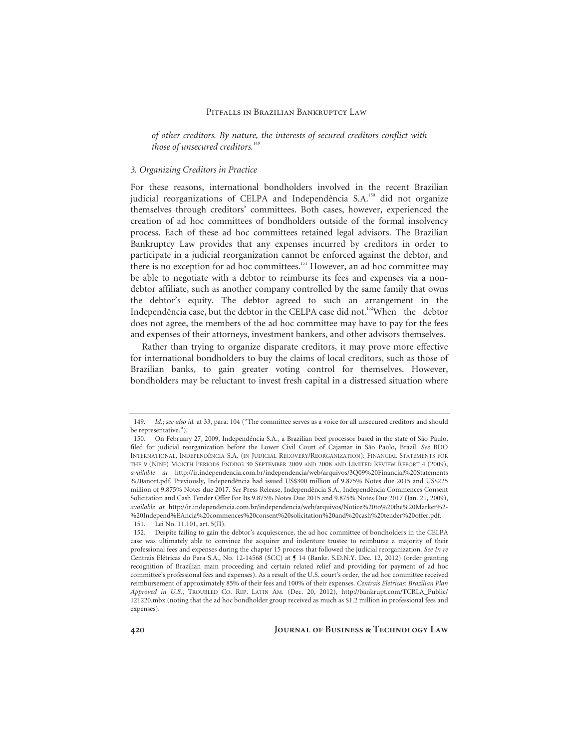*of other creditors. By nature, the interests of secured creditors conflict with those of unsecured creditors.*<sup>149</sup>

#### *3. Organizing Creditors in Practice*

For these reasons, international bondholders involved in the recent Brazilian judicial reorganizations of CELPA and Independência S.A.<sup>150</sup> did not organize themselves through creditors' committees. Both cases, however, experienced the creation of ad hoc committees of bondholders outside of the formal insolvency process. Each of these ad hoc committees retained legal advisors. The Brazilian Bankruptcy Law provides that any expenses incurred by creditors in order to participate in a judicial reorganization cannot be enforced against the debtor, and there is no exception for ad hoc committees.<sup>151</sup> However, an ad hoc committee may be able to negotiate with a debtor to reimburse its fees and expenses via a nondebtor affiliate, such as another company controlled by the same family that owns the debtor's equity. The debtor agreed to such an arrangement in the Independência case, but the debtor in the CELPA case did not.<sup>152</sup> When the debtor does not agree, the members of the ad hoc committee may have to pay for the fees and expenses of their attorneys, investment bankers, and other advisors themselves.

Rather than trying to organize disparate creditors, it may prove more effective for international bondholders to buy the claims of local creditors, such as those of Brazilian banks, to gain greater voting control for themselves. However, bondholders may be reluctant to invest fresh capital in a distressed situation where

<sup>149.</sup> *Id.*; *see also id.* at 33, para. 104 ("The committee serves as a voice for all unsecured creditors and should be representative.").

 <sup>150.</sup> On February 27, 2009, Independência S.A., a Brazilian beef processor based in the state of São Paulo, filed for judicial reorganization before the Lower Civil Court of Cajamar in São Paulo, Brazil. *See* BDO INTERNATIONAL, INDEPENDÊNCIA S.A. (IN JUDICIAL RECOVERY/REORGANIZATION): FINANCIAL STATEMENTS FOR THE 9 (NINE) MONTH PERIODS ENDING 30 SEPTEMBER 2009 AND 2008 AND LIMITED REVIEW REPORT 4 (2009), *available at* http://ir.independencia.com.br/independencia/web/arquivos/3Q09%20Financial%20Statements %20anort.pdf. Previously, Independência had issued US\$300 million of 9.875% Notes due 2015 and US\$225 million of 9.875% Notes due 2017. *See* Press Release, Independência S.A., Independência Commences Consent Solicitation and Cash Tender Offer For Its 9.875% Notes Due 2015 and 9.875% Notes Due 2017 (Jan. 21, 2009), *available at* http://ir.independencia.com.br/independencia/web/arquivos/Notice%20to%20the%20Market%2- %20Independ%EAncia%20commences%20consent%20solicitation%20and%20cash%20tender%20offer.pdf. 151. Lei No. 11.101, art. 5(II).

 <sup>152.</sup> Despite failing to gain the debtor's acquiescence, the ad hoc committee of bondholders in the CELPA case was ultimately able to convince the acquirer and indenture trustee to reimburse a majority of their professional fees and expenses during the chapter 15 process that followed the judicial reorganization. *See In re*  Centrais Elétricas do Para S.A., No. 12-14568 (SCC) at ¶ 14 (Bankr. S.D.N.Y. Dec. 12, 2012) (order granting recognition of Brazilian main proceeding and certain related relief and providing for payment of ad hoc committee's professional fees and expenses). As a result of the U.S. court's order, the ad hoc committee received reimbursement of approximately 85% of their fees and 100% of their expenses. *Centrais Eletricas: Brazilian Plan Approved in U.S.*, TROUBLED CO. REP. LATIN AM. (Dec. 20, 2012), http://bankrupt.com/TCRLA\_Public/ 121220.mbx (noting that the ad hoc bondholder group received as much as \$1.2 million in professional fees and expenses).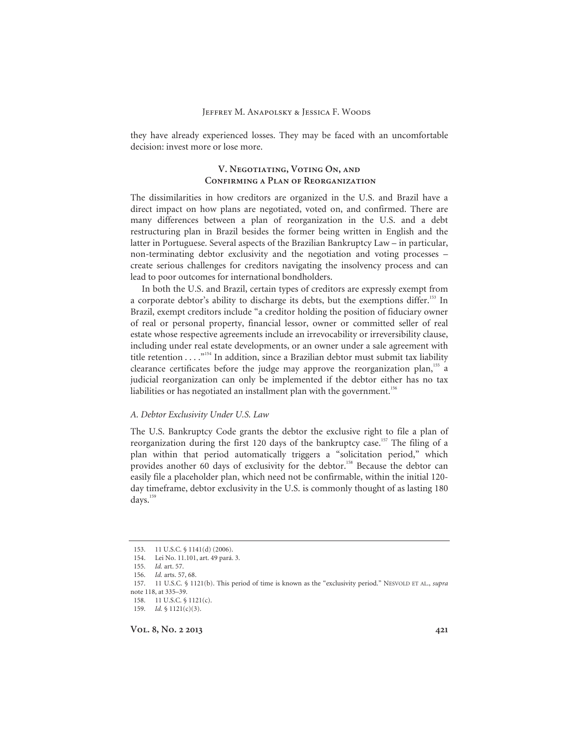they have already experienced losses. They may be faced with an uncomfortable decision: invest more or lose more.

# **V. Negotiating, Voting On, and Confirming a Plan of Reorganization**

The dissimilarities in how creditors are organized in the U.S. and Brazil have a direct impact on how plans are negotiated, voted on, and confirmed. There are many differences between a plan of reorganization in the U.S. and a debt restructuring plan in Brazil besides the former being written in English and the latter in Portuguese. Several aspects of the Brazilian Bankruptcy Law – in particular, non-terminating debtor exclusivity and the negotiation and voting processes – create serious challenges for creditors navigating the insolvency process and can lead to poor outcomes for international bondholders.

In both the U.S. and Brazil, certain types of creditors are expressly exempt from a corporate debtor's ability to discharge its debts, but the exemptions differ.<sup>153</sup> In Brazil, exempt creditors include "a creditor holding the position of fiduciary owner of real or personal property, financial lessor, owner or committed seller of real estate whose respective agreements include an irrevocability or irreversibility clause, including under real estate developments, or an owner under a sale agreement with title retention . . . . "<sup>154</sup> In addition, since a Brazilian debtor must submit tax liability clearance certificates before the judge may approve the reorganization plan,<sup>155</sup> a judicial reorganization can only be implemented if the debtor either has no tax liabilities or has negotiated an installment plan with the government.<sup>156</sup>

# *A. Debtor Exclusivity Under U.S. Law*

The U.S. Bankruptcy Code grants the debtor the exclusive right to file a plan of reorganization during the first 120 days of the bankruptcy case.<sup>157</sup> The filing of a plan within that period automatically triggers a "solicitation period," which provides another 60 days of exclusivity for the debtor.<sup>158</sup> Because the debtor can easily file a placeholder plan, which need not be confirmable, within the initial 120 day timeframe, debtor exclusivity in the U.S. is commonly thought of as lasting 180 days.<sup>159</sup>

 <sup>153. 11</sup> U.S.C. § 1141(d) (2006).

 <sup>154.</sup> Lei No. 11.101, art. 49 pará. 3.

<sup>155.</sup> *Id.* art. 57.

<sup>156.</sup> *Id.* arts. 57, 68.

 <sup>157. 11</sup> U.S.C. § 1121(b). This period of time is known as the "exclusivity period." NESVOLD ET AL., *supra*  note 118, at 335–39.

 <sup>158. 11</sup> U.S.C. § 1121(c).

<sup>159.</sup> *Id.* § 1121(c)(3).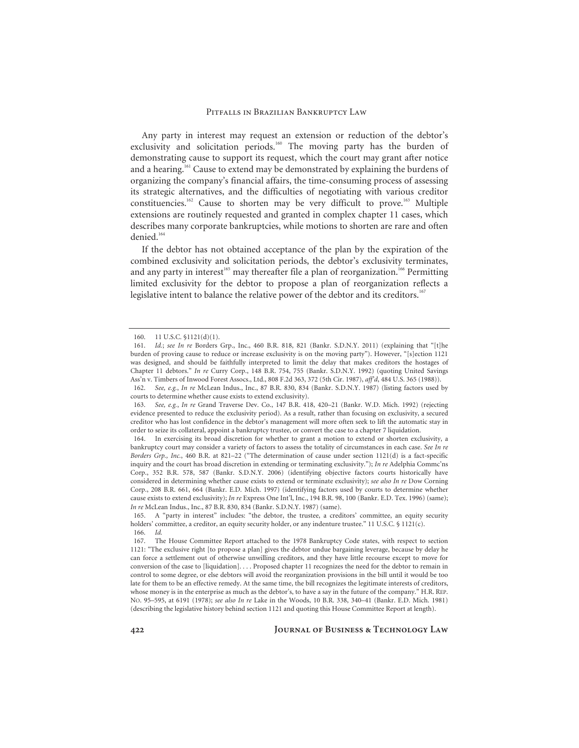Any party in interest may request an extension or reduction of the debtor's exclusivity and solicitation periods.<sup>160</sup> The moving party has the burden of demonstrating cause to support its request, which the court may grant after notice and a hearing.161 Cause to extend may be demonstrated by explaining the burdens of organizing the company's financial affairs, the time-consuming process of assessing its strategic alternatives, and the difficulties of negotiating with various creditor constituencies.162 Cause to shorten may be very difficult to prove.163 Multiple extensions are routinely requested and granted in complex chapter 11 cases, which describes many corporate bankruptcies, while motions to shorten are rare and often denied.<sup>164</sup>

If the debtor has not obtained acceptance of the plan by the expiration of the combined exclusivity and solicitation periods, the debtor's exclusivity terminates, and any party in interest<sup>165</sup> may thereafter file a plan of reorganization.<sup>166</sup> Permitting limited exclusivity for the debtor to propose a plan of reorganization reflects a legislative intent to balance the relative power of the debtor and its creditors.<sup>167</sup>

 <sup>160. 11</sup> U.S.C. §1121(d)(1).

<sup>161.</sup> *Id.*; *see In re* Borders Grp., Inc., 460 B.R. 818, 821 (Bankr. S.D.N.Y. 2011) (explaining that "[t]he burden of proving cause to reduce or increase exclusivity is on the moving party"). However, "[s]ection 1121 was designed, and should be faithfully interpreted to limit the delay that makes creditors the hostages of Chapter 11 debtors." *In re* Curry Corp., 148 B.R. 754, 755 (Bankr. S.D.N.Y. 1992) (quoting United Savings Ass'n v. Timbers of Inwood Forest Assocs., Ltd., 808 F.2d 363, 372 (5th Cir. 1987), *aff'd*, 484 U.S. 365 (1988)).

<sup>162.</sup> *See, e.g.*, *In re* McLean Indus., Inc., 87 B.R. 830, 834 (Bankr. S.D.N.Y. 1987) (listing factors used by courts to determine whether cause exists to extend exclusivity).

<sup>163.</sup> *See, e.g.*, *In re* Grand Traverse Dev. Co., 147 B.R. 418, 420–21 (Bankr. W.D. Mich. 1992) (rejecting evidence presented to reduce the exclusivity period). As a result, rather than focusing on exclusivity, a secured creditor who has lost confidence in the debtor's management will more often seek to lift the automatic stay in order to seize its collateral, appoint a bankruptcy trustee, or convert the case to a chapter 7 liquidation.

 <sup>164.</sup> In exercising its broad discretion for whether to grant a motion to extend or shorten exclusivity, a bankruptcy court may consider a variety of factors to assess the totality of circumstances in each case. *See In re Borders Grp., Inc.*, 460 B.R. at 821–22 ("The determination of cause under section 1121(d) is a fact-specific inquiry and the court has broad discretion in extending or terminating exclusivity."); *In re* Adelphia Commc'ns Corp., 352 B.R. 578, 587 (Bankr. S.D.N.Y. 2006) (identifying objective factors courts historically have considered in determining whether cause exists to extend or terminate exclusivity); *see also In re* Dow Corning Corp., 208 B.R. 661, 664 (Bankr. E.D. Mich. 1997) (identifying factors used by courts to determine whether cause exists to extend exclusivity); *In re* Express One Int'l, Inc., 194 B.R. 98, 100 (Bankr. E.D. Tex. 1996) (same); *In re* McLean Indus., Inc., 87 B.R. 830, 834 (Bankr. S.D.N.Y. 1987) (same).

 <sup>165.</sup> A "party in interest" includes: "the debtor, the trustee, a creditors' committee, an equity security holders' committee, a creditor, an equity security holder, or any indenture trustee." 11 U.S.C. § 1121(c). 166. *Id.*

 <sup>167.</sup> The House Committee Report attached to the 1978 Bankruptcy Code states, with respect to section 1121: "The exclusive right [to propose a plan] gives the debtor undue bargaining leverage, because by delay he can force a settlement out of otherwise unwilling creditors, and they have little recourse except to move for conversion of the case to [liquidation]. . . . Proposed chapter 11 recognizes the need for the debtor to remain in control to some degree, or else debtors will avoid the reorganization provisions in the bill until it would be too late for them to be an effective remedy. At the same time, the bill recognizes the legitimate interests of creditors, whose money is in the enterprise as much as the debtor's, to have a say in the future of the company." H.R. REP. NO. 95–595, at 6191 (1978); *see also In re* Lake in the Woods, 10 B.R. 338, 340–41 (Bankr. E.D. Mich. 1981) (describing the legislative history behind section 1121 and quoting this House Committee Report at length).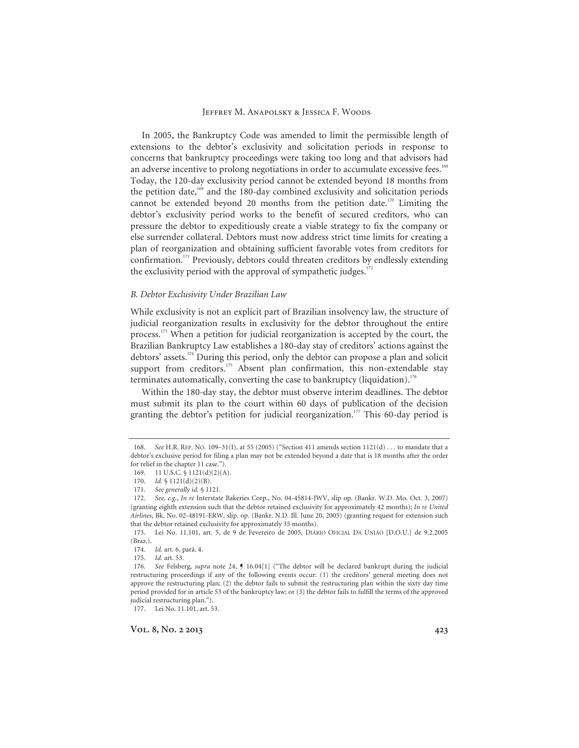In 2005, the Bankruptcy Code was amended to limit the permissible length of extensions to the debtor's exclusivity and solicitation periods in response to concerns that bankruptcy proceedings were taking too long and that advisors had an adverse incentive to prolong negotiations in order to accumulate excessive fees.<sup>168</sup> Today, the 120-day exclusivity period cannot be extended beyond 18 months from the petition date, $169$  and the 180-day combined exclusivity and solicitation periods cannot be extended beyond 20 months from the petition date.<sup>170</sup> Limiting the debtor's exclusivity period works to the benefit of secured creditors, who can pressure the debtor to expeditiously create a viable strategy to fix the company or else surrender collateral. Debtors must now address strict time limits for creating a plan of reorganization and obtaining sufficient favorable votes from creditors for confirmation.<sup>171</sup> Previously, debtors could threaten creditors by endlessly extending the exclusivity period with the approval of sympathetic judges. $172$ 

#### *B. Debtor Exclusivity Under Brazilian Law*

While exclusivity is not an explicit part of Brazilian insolvency law, the structure of judicial reorganization results in exclusivity for the debtor throughout the entire process.173 When a petition for judicial reorganization is accepted by the court, the Brazilian Bankruptcy Law establishes a 180-day stay of creditors' actions against the debtors' assets.174 During this period, only the debtor can propose a plan and solicit support from creditors.<sup>175</sup> Absent plan confirmation, this non-extendable stay terminates automatically, converting the case to bankruptcy (liquidation).<sup>176</sup>

Within the 180-day stay, the debtor must observe interim deadlines. The debtor must submit its plan to the court within 60 days of publication of the decision granting the debtor's petition for judicial reorganization.<sup>177</sup> This 60-day period is

<sup>168.</sup> *See* H.R. REP. NO. 109–31(I), at 55 (2005) ("Section 411 amends section 1121(d) . . . to mandate that a debtor's exclusive period for filing a plan may not be extended beyond a date that is 18 months after the order for relief in the chapter 11 case.").

 <sup>169. 11</sup> U.S.C. § 1121(d)(2)(A).

<sup>170.</sup> *Id.* § 1121(d)(2)(B).

<sup>171.</sup> *See generally id.* § 1121.

<sup>172.</sup> *See, e.g.*, *In re* Interstate Bakeries Corp., No. 04-45814-JWV, slip op. (Bankr. W.D. Mo. Oct. 3, 2007) (granting eighth extension such that the debtor retained exclusivity for approximately 42 months); *In re United Airlines*, Bk. No. 02-48191-ERW, slip. op. (Bankr. N.D. Ill. June 20, 2005) (granting request for extension such that the debtor retained exclusivity for approximately 35 months).

 <sup>173.</sup> Lei No. 11.101, art. 5, de 9 de Fevereiro de 2005, DIÁRIO OFICIAL DA UNIÃO [D.O.U.] de 9.2.2005 (Braz.).

<sup>174.</sup> *Id.* art. 6, pará. 4.

<sup>175.</sup> *Id.* art. 53.

<sup>176.</sup> *See* Felsberg, *supra* note 24, ¶ 16.04[1] ("The debtor will be declared bankrupt during the judicial restructuring proceedings if any of the following events occur: (1) the creditors' general meeting does not approve the restructuring plan; (2) the debtor fails to submit the restructuring plan within the sixty day time period provided for in article 53 of the bankruptcy law; or (3) the debtor fails to fulfill the terms of the approved judicial restructuring plan.").

 <sup>177.</sup> Lei No. 11.101, art. 53.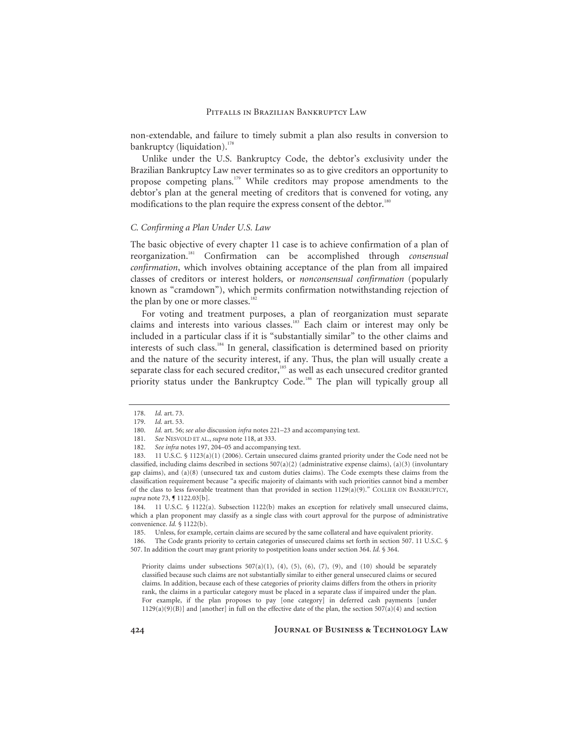non-extendable, and failure to timely submit a plan also results in conversion to bankruptcy (liquidation). $178$ 

Unlike under the U.S. Bankruptcy Code, the debtor's exclusivity under the Brazilian Bankruptcy Law never terminates so as to give creditors an opportunity to propose competing plans.<sup>179</sup> While creditors may propose amendments to the debtor's plan at the general meeting of creditors that is convened for voting, any modifications to the plan require the express consent of the debtor.<sup>180</sup>

# *C. Confirming a Plan Under U.S. Law*

The basic objective of every chapter 11 case is to achieve confirmation of a plan of reorganization.181 Confirmation can be accomplished through *consensual confirmation*, which involves obtaining acceptance of the plan from all impaired classes of creditors or interest holders, or *nonconsensual confirmation* (popularly known as "cramdown"), which permits confirmation notwithstanding rejection of the plan by one or more classes.<sup>182</sup>

For voting and treatment purposes, a plan of reorganization must separate claims and interests into various classes.<sup>183</sup> Each claim or interest may only be included in a particular class if it is "substantially similar" to the other claims and interests of such class.<sup>184</sup> In general, classification is determined based on priority and the nature of the security interest, if any. Thus, the plan will usually create a separate class for each secured creditor,<sup>185</sup> as well as each unsecured creditor granted priority status under the Bankruptcy Code.<sup>186</sup> The plan will typically group all

<sup>178.</sup> *Id.* art. 73.

<sup>179.</sup> *Id.* art. 53.

<sup>180.</sup> *Id.* art. 56; *see also* discussion *infra* notes 221–23 and accompanying text.

<sup>181.</sup> *See* NESVOLD ET AL., *supra* note 118, at 333.

<sup>182.</sup> *See infra* notes 197, 204–05 and accompanying text.

 <sup>183. 11</sup> U.S.C. § 1123(a)(1) (2006). Certain unsecured claims granted priority under the Code need not be classified, including claims described in sections  $507(a)(2)$  (administrative expense claims), (a)(3) (involuntary gap claims), and (a)(8) (unsecured tax and custom duties claims). The Code exempts these claims from the classification requirement because "a specific majority of claimants with such priorities cannot bind a member of the class to less favorable treatment than that provided in section 1129(a)(9)." COLLIER ON BANKRUPTCY, *supra* note 73, ¶ 1122.03[b].

 <sup>184. 11</sup> U.S.C. § 1122(a). Subsection 1122(b) makes an exception for relatively small unsecured claims, which a plan proponent may classify as a single class with court approval for the purpose of administrative convenience. *Id.* § 1122(b).

 <sup>185.</sup> Unless, for example, certain claims are secured by the same collateral and have equivalent priority.

 <sup>186.</sup> The Code grants priority to certain categories of unsecured claims set forth in section 507. 11 U.S.C. § 507. In addition the court may grant priority to postpetition loans under section 364. *Id.* § 364.

Priority claims under subsections  $507(a)(1)$ ,  $(4)$ ,  $(5)$ ,  $(6)$ ,  $(7)$ ,  $(9)$ , and  $(10)$  should be separately classified because such claims are not substantially similar to either general unsecured claims or secured claims. In addition, because each of these categories of priority claims differs from the others in priority rank, the claims in a particular category must be placed in a separate class if impaired under the plan. For example, if the plan proposes to pay [one category] in deferred cash payments [under  $1129(a)(9)(B)$ ] and [another] in full on the effective date of the plan, the section  $507(a)(4)$  and section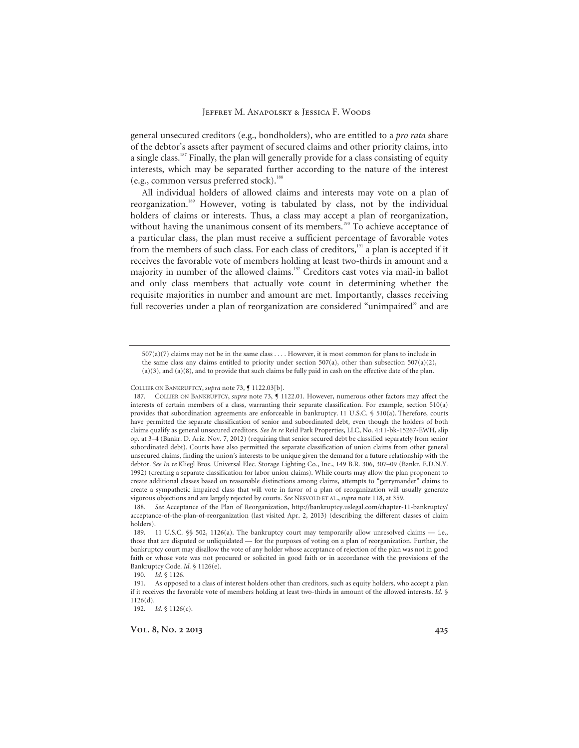general unsecured creditors (e.g., bondholders), who are entitled to a *pro rata* share of the debtor's assets after payment of secured claims and other priority claims, into a single class.<sup>187</sup> Finally, the plan will generally provide for a class consisting of equity interests, which may be separated further according to the nature of the interest (e.g., common versus preferred stock).<sup>188</sup>

All individual holders of allowed claims and interests may vote on a plan of reorganization.<sup>189</sup> However, voting is tabulated by class, not by the individual holders of claims or interests. Thus, a class may accept a plan of reorganization, without having the unanimous consent of its members.<sup>190</sup> To achieve acceptance of a particular class, the plan must receive a sufficient percentage of favorable votes from the members of such class. For each class of creditors,<sup>191</sup> a plan is accepted if it receives the favorable vote of members holding at least two-thirds in amount and a majority in number of the allowed claims.<sup>192</sup> Creditors cast votes via mail-in ballot and only class members that actually vote count in determining whether the requisite majorities in number and amount are met. Importantly, classes receiving full recoveries under a plan of reorganization are considered "unimpaired" and are

190. *Id.* § 1126.

192. *Id.* § 1126(c).

<sup>507(</sup>a)(7) claims may not be in the same class . . . . However, it is most common for plans to include in the same class any claims entitled to priority under section 507(a), other than subsection 507(a)(2), (a)(3), and (a)(8), and to provide that such claims be fully paid in cash on the effective date of the plan.

COLLIER ON BANKRUPTCY, *supra* note 73,  $\int$  1122.03[b].

 <sup>187.</sup> COLLIER ON BANKRUPTCY, *supra* note 73, ¶ 1122.01. However, numerous other factors may affect the interests of certain members of a class, warranting their separate classification. For example, section 510(a) provides that subordination agreements are enforceable in bankruptcy. 11 U.S.C. § 510(a). Therefore, courts have permitted the separate classification of senior and subordinated debt, even though the holders of both claims qualify as general unsecured creditors. *See In re* Reid Park Properties, LLC, No. 4:11-bk-15267-EWH, slip op. at 3–4 (Bankr. D. Ariz. Nov. 7, 2012) (requiring that senior secured debt be classified separately from senior subordinated debt). Courts have also permitted the separate classification of union claims from other general unsecured claims, finding the union's interests to be unique given the demand for a future relationship with the debtor. *See In re* Kliegl Bros. Universal Elec. Storage Lighting Co., Inc., 149 B.R. 306, 307–09 (Bankr. E.D.N.Y. 1992) (creating a separate classification for labor union claims). While courts may allow the plan proponent to create additional classes based on reasonable distinctions among claims, attempts to "gerrymander" claims to create a sympathetic impaired class that will vote in favor of a plan of reorganization will usually generate vigorous objections and are largely rejected by courts. *See* NESVOLD ET AL., *supra* note 118, at 359.

<sup>188.</sup> *See* Acceptance of the Plan of Reorganization, http://bankruptcy.uslegal.com/chapter-11-bankruptcy/ acceptance-of-the-plan-of-reorganization (last visited Apr. 2, 2013) (describing the different classes of claim holders).

 <sup>189. 11</sup> U.S.C. §§ 502, 1126(a). The bankruptcy court may temporarily allow unresolved claims — i.e., those that are disputed or unliquidated — for the purposes of voting on a plan of reorganization. Further, the bankruptcy court may disallow the vote of any holder whose acceptance of rejection of the plan was not in good faith or whose vote was not procured or solicited in good faith or in accordance with the provisions of the Bankruptcy Code. *Id.* § 1126(e).

 <sup>191.</sup> As opposed to a class of interest holders other than creditors, such as equity holders, who accept a plan if it receives the favorable vote of members holding at least two-thirds in amount of the allowed interests. *Id.* § 1126(d).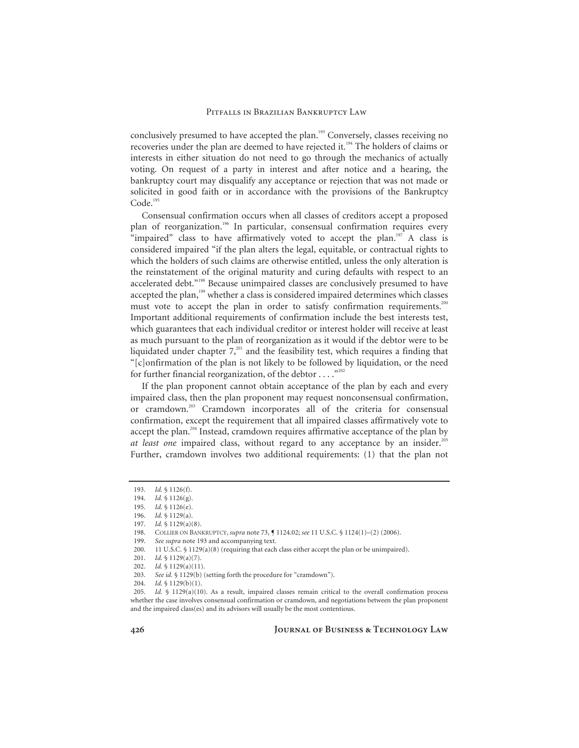conclusively presumed to have accepted the plan.<sup>193</sup> Conversely, classes receiving no recoveries under the plan are deemed to have rejected it.<sup>194</sup> The holders of claims or interests in either situation do not need to go through the mechanics of actually voting. On request of a party in interest and after notice and a hearing, the bankruptcy court may disqualify any acceptance or rejection that was not made or solicited in good faith or in accordance with the provisions of the Bankruptcy Code.<sup>195</sup>

Consensual confirmation occurs when all classes of creditors accept a proposed plan of reorganization.<sup>196</sup> In particular, consensual confirmation requires every "impaired" class to have affirmatively voted to accept the plan.<sup>197</sup> A class is considered impaired "if the plan alters the legal, equitable, or contractual rights to which the holders of such claims are otherwise entitled, unless the only alteration is the reinstatement of the original maturity and curing defaults with respect to an accelerated debt."<sup>198</sup> Because unimpaired classes are conclusively presumed to have accepted the plan,<sup>199</sup> whether a class is considered impaired determines which classes must vote to accept the plan in order to satisfy confirmation requirements.<sup>200</sup> Important additional requirements of confirmation include the best interests test, which guarantees that each individual creditor or interest holder will receive at least as much pursuant to the plan of reorganization as it would if the debtor were to be liquidated under chapter  $7$ ,<sup>201</sup> and the feasibility test, which requires a finding that "[c]onfirmation of the plan is not likely to be followed by liquidation, or the need for further financial reorganization, of the debtor  $\dots$ ."<sup>202</sup>

If the plan proponent cannot obtain acceptance of the plan by each and every impaired class, then the plan proponent may request nonconsensual confirmation, or cramdown.<sup>203</sup> Cramdown incorporates all of the criteria for consensual confirmation, except the requirement that all impaired classes affirmatively vote to accept the plan.<sup>204</sup> Instead, cramdown requires affirmative acceptance of the plan by *at least one* impaired class, without regard to any acceptance by an insider.<sup>21</sup> Further, cramdown involves two additional requirements: (1) that the plan not

<sup>193.</sup> *Id.* § 1126(f).

<sup>194.</sup> *Id.* § 1126(g).

<sup>195.</sup> *Id.* § 1126(e).

<sup>196.</sup> *Id.* § 1129(a).<br>197. *Id.* § 1129(a)(

Id. § 1129(a)(8).

<sup>198.</sup> COLLIER ON BANKRUPTCY, *supra* note 73, ¶ 1124.02; *see* 11 U.S.C. § 1124(1)–(2) (2006).

<sup>199.</sup> *See supra* note 193 and accompanying text.

 <sup>200. 11</sup> U.S.C. § 1129(a)(8) (requiring that each class either accept the plan or be unimpaired).

<sup>201.</sup> *Id.* § 1129(a)(7).

<sup>202.</sup> *Id.* § 1129(a)(11).

<sup>203.</sup> *See id.* § 1129(b) (setting forth the procedure for "cramdown").

<sup>204.</sup> *Id.* § 1129(b)(1).

<sup>205.</sup> *Id.* § 1129(a)(10). As a result, impaired classes remain critical to the overall confirmation process whether the case involves consensual confirmation or cramdown, and negotiations between the plan proponent and the impaired class(es) and its advisors will usually be the most contentious.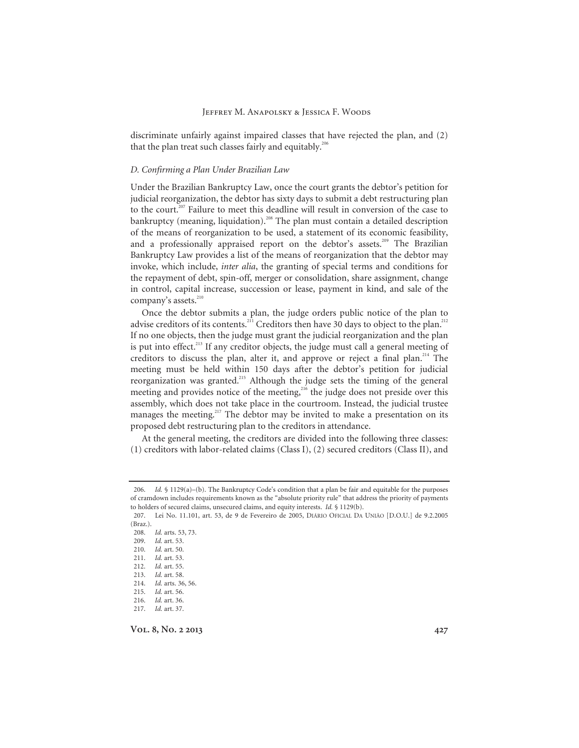discriminate unfairly against impaired classes that have rejected the plan, and (2) that the plan treat such classes fairly and equitably.<sup>206</sup>

#### *D. Confirming a Plan Under Brazilian Law*

Under the Brazilian Bankruptcy Law, once the court grants the debtor's petition for judicial reorganization, the debtor has sixty days to submit a debt restructuring plan to the court.<sup>207</sup> Failure to meet this deadline will result in conversion of the case to bankruptcy (meaning, liquidation).<sup>208</sup> The plan must contain a detailed description of the means of reorganization to be used, a statement of its economic feasibility, and a professionally appraised report on the debtor's assets.<sup>209</sup> The Brazilian Bankruptcy Law provides a list of the means of reorganization that the debtor may invoke, which include, *inter alia*, the granting of special terms and conditions for the repayment of debt, spin-off, merger or consolidation, share assignment, change in control, capital increase, succession or lease, payment in kind, and sale of the company's assets.<sup>210</sup>

Once the debtor submits a plan, the judge orders public notice of the plan to advise creditors of its contents.<sup>211</sup> Creditors then have 30 days to object to the plan.<sup>212</sup> If no one objects, then the judge must grant the judicial reorganization and the plan is put into effect.<sup>213</sup> If any creditor objects, the judge must call a general meeting of creditors to discuss the plan, alter it, and approve or reject a final plan.<sup>214</sup> The meeting must be held within 150 days after the debtor's petition for judicial reorganization was granted.215 Although the judge sets the timing of the general meeting and provides notice of the meeting,<sup>216</sup> the judge does not preside over this assembly, which does not take place in the courtroom. Instead, the judicial trustee manages the meeting.<sup>217</sup> The debtor may be invited to make a presentation on its proposed debt restructuring plan to the creditors in attendance.

At the general meeting, the creditors are divided into the following three classes: (1) creditors with labor-related claims (Class I), (2) secured creditors (Class II), and

<sup>206.</sup> *Id.* § 1129(a)–(b). The Bankruptcy Code's condition that a plan be fair and equitable for the purposes of cramdown includes requirements known as the "absolute priority rule" that address the priority of payments to holders of secured claims, unsecured claims, and equity interests. *Id.* § 1129(b).

 <sup>207.</sup> Lei No. 11.101, art. 53, de 9 de Fevereiro de 2005, DIÁRIO OFICIAL DA UNIÃO [D.O.U.] de 9.2.2005 (Braz.).

<sup>208.</sup> *Id.* arts. 53, 73.

<sup>209.</sup> *Id.* art. 53.

<sup>210.</sup> *Id.* art. 50.

<sup>211.</sup> *Id.* art. 53.

<sup>212.</sup> *Id.* art. 55.

<sup>213.</sup> *Id.* art. 58.

<sup>214.</sup> *Id.* arts. 36, 56. 215. *Id.* art. 56.

<sup>216.</sup> *Id.* art. 36. 217. *Id.* art. 37.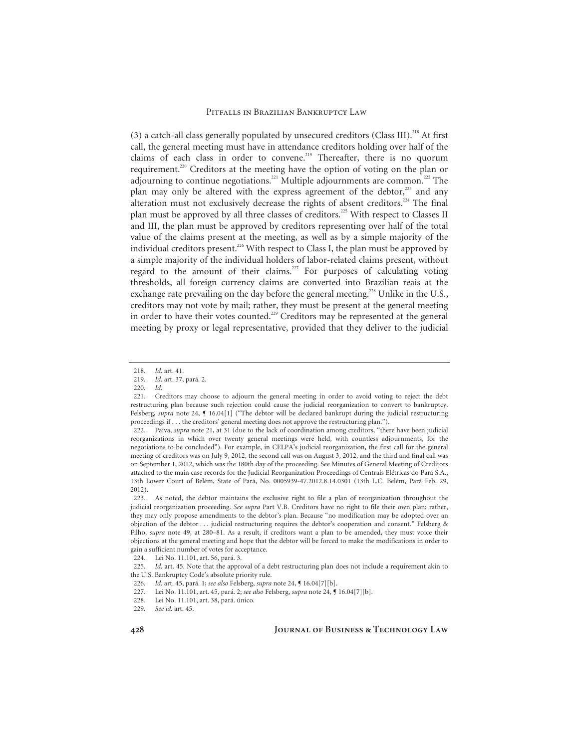(3) a catch-all class generally populated by unsecured creditors (Class III).<sup>218</sup> At first call, the general meeting must have in attendance creditors holding over half of the claims of each class in order to convene.<sup>219</sup> Thereafter, there is no quorum requirement.220 Creditors at the meeting have the option of voting on the plan or adjourning to continue negotiations.<sup>221</sup> Multiple adjournments are common.<sup>222</sup> The plan may only be altered with the express agreement of the debtor, $^{223}$  and any alteration must not exclusively decrease the rights of absent creditors.<sup>224</sup> The final plan must be approved by all three classes of creditors.<sup>225</sup> With respect to Classes II and III, the plan must be approved by creditors representing over half of the total value of the claims present at the meeting, as well as by a simple majority of the individual creditors present.<sup>226</sup> With respect to Class I, the plan must be approved by a simple majority of the individual holders of labor-related claims present, without regard to the amount of their claims.<sup>227</sup> For purposes of calculating voting thresholds, all foreign currency claims are converted into Brazilian reais at the exchange rate prevailing on the day before the general meeting.<sup>228</sup> Unlike in the U.S., creditors may not vote by mail; rather, they must be present at the general meeting in order to have their votes counted.<sup>229</sup> Creditors may be represented at the general meeting by proxy or legal representative, provided that they deliver to the judicial

<sup>218.</sup> *Id.* art. 41.

<sup>219.</sup> *Id.* art. 37, pará. 2.

<sup>220.</sup> *Id.*

 <sup>221.</sup> Creditors may choose to adjourn the general meeting in order to avoid voting to reject the debt restructuring plan because such rejection could cause the judicial reorganization to convert to bankruptcy. Felsberg, *supra* note 24, ¶ 16.04[1] ("The debtor will be declared bankrupt during the judicial restructuring proceedings if . . . the creditors' general meeting does not approve the restructuring plan.").

 <sup>222.</sup> Paiva, *supra* note 21, at 31 (due to the lack of coordination among creditors, "there have been judicial reorganizations in which over twenty general meetings were held, with countless adjournments, for the negotiations to be concluded"). For example, in CELPA's judicial reorganization, the first call for the general meeting of creditors was on July 9, 2012, the second call was on August 3, 2012, and the third and final call was on September 1, 2012, which was the 180th day of the proceeding. See Minutes of General Meeting of Creditors attached to the main case records for the Judicial Reorganization Proceedings of Centrais Elétricas do Pará S.A., 13th Lower Court of Belém, State of Pará, No. 0005939-47.2012.8.14.0301 (13th L.C. Belém, Pará Feb. 29, 2012).

 <sup>223.</sup> As noted, the debtor maintains the exclusive right to file a plan of reorganization throughout the judicial reorganization proceeding. *See supra* Part V.B. Creditors have no right to file their own plan; rather, they may only propose amendments to the debtor's plan. Because "no modification may be adopted over an objection of the debtor . . . judicial restructuring requires the debtor's cooperation and consent." Felsberg & Filho, *supra* note 49, at 280–81. As a result, if creditors want a plan to be amended, they must voice their objections at the general meeting and hope that the debtor will be forced to make the modifications in order to gain a sufficient number of votes for acceptance.

 <sup>224.</sup> Lei No. 11.101, art. 56, pará. 3.

<sup>225.</sup> *Id.* art. 45. Note that the approval of a debt restructuring plan does not include a requirement akin to the U.S. Bankruptcy Code's absolute priority rule.

<sup>226.</sup> *Id.* art. 45, pará. 1; *see also* Felsberg, *supra* note 24, ¶ 16.04[7][b].

 <sup>227.</sup> Lei No. 11.101, art. 45, pará. 2; *see also* Felsberg, *supra* note 24, ¶ 16.04[7][b].

<sup>228.</sup> Lei No. 11.101, art. 38, pará. único.<br>229. See id. art. 45.

See id. art. 45.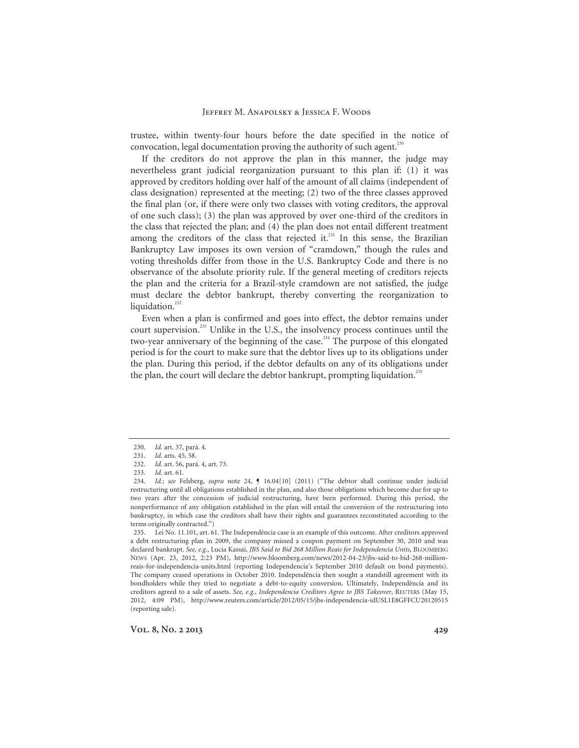trustee, within twenty-four hours before the date specified in the notice of convocation, legal documentation proving the authority of such agent.<sup>230</sup>

If the creditors do not approve the plan in this manner, the judge may nevertheless grant judicial reorganization pursuant to this plan if: (1) it was approved by creditors holding over half of the amount of all claims (independent of class designation) represented at the meeting; (2) two of the three classes approved the final plan (or, if there were only two classes with voting creditors, the approval of one such class); (3) the plan was approved by over one-third of the creditors in the class that rejected the plan; and (4) the plan does not entail different treatment among the creditors of the class that rejected it. $^{231}$  In this sense, the Brazilian Bankruptcy Law imposes its own version of "cramdown," though the rules and voting thresholds differ from those in the U.S. Bankruptcy Code and there is no observance of the absolute priority rule. If the general meeting of creditors rejects the plan and the criteria for a Brazil-style cramdown are not satisfied, the judge must declare the debtor bankrupt, thereby converting the reorganization to liquidation.<sup>232</sup>

Even when a plan is confirmed and goes into effect, the debtor remains under court supervision.<sup>233</sup> Unlike in the U.S., the insolvency process continues until the two-year anniversary of the beginning of the case.<sup>234</sup> The purpose of this elongated period is for the court to make sure that the debtor lives up to its obligations under the plan. During this period, if the debtor defaults on any of its obligations under the plan, the court will declare the debtor bankrupt, prompting liquidation.<sup>235</sup>

<sup>230.</sup> *Id.* art. 37, pará. 4.

<sup>231.</sup> *Id.* arts. 45, 58.

<sup>232.</sup> *Id.* art. 56, pará. 4, art. 73.

<sup>233.</sup> *Id.* art. 61.

<sup>234.</sup> *Id.*; *see* Felsberg, *supra* note 24, ¶ 16.04[10] (2011) ("The debtor shall continue under judicial restructuring until all obligations established in the plan, and also those obligations which become due for up to two years after the concession of judicial restructuring, have been performed. During this period, the nonperformance of any obligation established in the plan will entail the conversion of the restructuring into bankruptcy, in which case the creditors shall have their rights and guarantees reconstituted according to the terms originally contracted.")

 <sup>235.</sup> Lei No. 11.101, art. 61. The Independência case is an example of this outcome. After creditors approved a debt restructuring plan in 2009, the company missed a coupon payment on September 30, 2010 and was declared bankrupt. *See, e.g.*, Lucia Kassai, *JBS Said to Bid 268 Million Reais for Independencia Units*, BLOOMBERG NEWS (Apr. 23, 2012, 2:23 PM), http://www.bloomberg.com/news/2012-04-23/jbs-said-to-bid-268-millionreais-for-independencia-units.html (reporting Independencia's September 2010 default on bond payments). The company ceased operations in October 2010. Independência then sought a standstill agreement with its bondholders while they tried to negotiate a debt-to-equity conversion. Ultimately, Independência and its creditors agreed to a sale of assets. *See, e.g.*, *Independencia Creditors Agree to JBS Takeover*, REUTERS (May 15, 2012, 4:09 PM), http://www.reuters.com/article/2012/05/15/jbs-independencia-idUSL1E8GFFCU20120515 (reporting sale).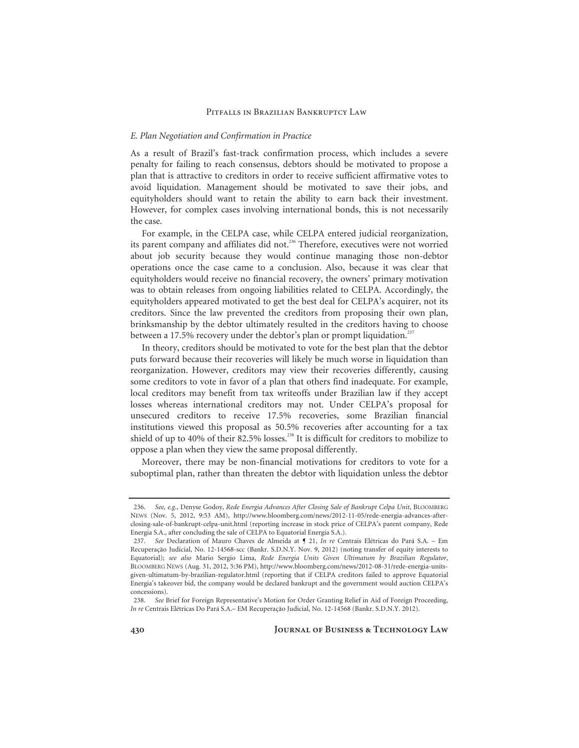#### *E. Plan Negotiation and Confirmation in Practice*

As a result of Brazil's fast-track confirmation process, which includes a severe penalty for failing to reach consensus, debtors should be motivated to propose a plan that is attractive to creditors in order to receive sufficient affirmative votes to avoid liquidation. Management should be motivated to save their jobs, and equityholders should want to retain the ability to earn back their investment. However, for complex cases involving international bonds, this is not necessarily the case.

For example, in the CELPA case, while CELPA entered judicial reorganization, its parent company and affiliates did not.<sup>236</sup> Therefore, executives were not worried about job security because they would continue managing those non-debtor operations once the case came to a conclusion. Also, because it was clear that equityholders would receive no financial recovery, the owners' primary motivation was to obtain releases from ongoing liabilities related to CELPA. Accordingly, the equityholders appeared motivated to get the best deal for CELPA's acquirer, not its creditors. Since the law prevented the creditors from proposing their own plan, brinksmanship by the debtor ultimately resulted in the creditors having to choose between a 17.5% recovery under the debtor's plan or prompt liquidation.<sup>23</sup>

In theory, creditors should be motivated to vote for the best plan that the debtor puts forward because their recoveries will likely be much worse in liquidation than reorganization. However, creditors may view their recoveries differently, causing some creditors to vote in favor of a plan that others find inadequate. For example, local creditors may benefit from tax writeoffs under Brazilian law if they accept losses whereas international creditors may not. Under CELPA's proposal for unsecured creditors to receive 17.5% recoveries, some Brazilian financial institutions viewed this proposal as 50.5% recoveries after accounting for a tax shield of up to 40% of their 82.5% losses.<sup>238</sup> It is difficult for creditors to mobilize to oppose a plan when they view the same proposal differently.

Moreover, there may be non-financial motivations for creditors to vote for a suboptimal plan, rather than threaten the debtor with liquidation unless the debtor

<sup>236.</sup> *See, e.g.*, Denyse Godoy, *Rede Energia Advances After Closing Sale of Bankrupt Celpa Unit*, BLOOMBERG NEWS (Nov. 5, 2012, 9:53 AM), http://www.bloomberg.com/news/2012-11-05/rede-energia-advances-afterclosing-sale-of-bankrupt-celpa-unit.html (reporting increase in stock price of CELPA's parent company, Rede Energia S.A., after concluding the sale of CELPA to Equatorial Energia S.A.).

<sup>237.</sup> *See* Declaration of Mauro Chaves de Almeida at ¶ 21, *In re* Centrais Elétricas do Pará S.A. – Em Recuperação Judicial, No. 12-14568-scc (Bankr. S.D.N.Y. Nov. 9, 2012) (noting transfer of equity interests to Equatorial); *see also* Mario Sergio Lima, *Rede Energia Units Given Ultimatum by Brazilian Regulator*, BLOOMBERG NEWS (Aug. 31, 2012, 5:36 PM), http://www.bloomberg.com/news/2012-08-31/rede-energia-unitsgiven-ultimatum-by-brazilian-regulator.html (reporting that if CELPA creditors failed to approve Equatorial Energia's takeover bid, the company would be declared bankrupt and the government would auction CELPA's concessions).

<sup>238.</sup> *See* Brief for Foreign Representative's Motion for Order Granting Relief in Aid of Foreign Proceeding, *In re* Centrais Elétricas Do Pará S.A.– EM Recuperação Judicial, No. 12-14568 (Bankr. S.D.N.Y. 2012).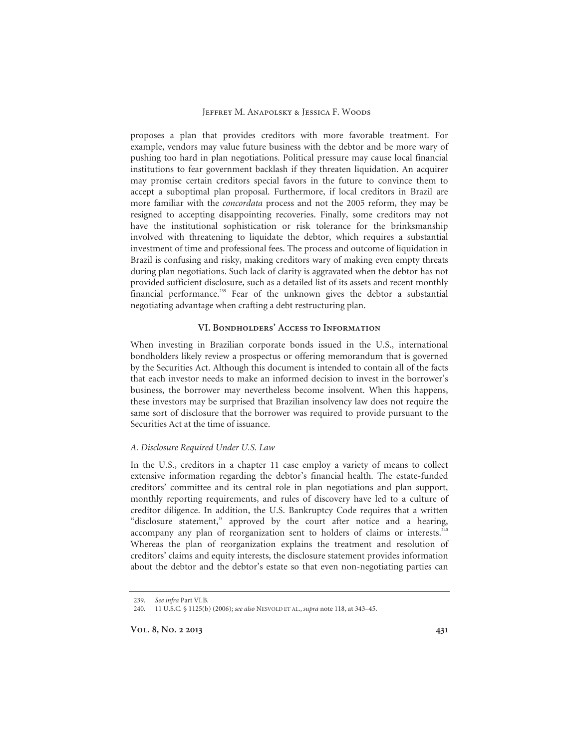proposes a plan that provides creditors with more favorable treatment. For example, vendors may value future business with the debtor and be more wary of pushing too hard in plan negotiations. Political pressure may cause local financial institutions to fear government backlash if they threaten liquidation. An acquirer may promise certain creditors special favors in the future to convince them to accept a suboptimal plan proposal. Furthermore, if local creditors in Brazil are more familiar with the *concordata* process and not the 2005 reform, they may be resigned to accepting disappointing recoveries. Finally, some creditors may not have the institutional sophistication or risk tolerance for the brinksmanship involved with threatening to liquidate the debtor, which requires a substantial investment of time and professional fees. The process and outcome of liquidation in Brazil is confusing and risky, making creditors wary of making even empty threats during plan negotiations. Such lack of clarity is aggravated when the debtor has not provided sufficient disclosure, such as a detailed list of its assets and recent monthly financial performance.<sup>239</sup> Fear of the unknown gives the debtor a substantial negotiating advantage when crafting a debt restructuring plan.

# **VI. Bondholders' Access to Information**

When investing in Brazilian corporate bonds issued in the U.S., international bondholders likely review a prospectus or offering memorandum that is governed by the Securities Act. Although this document is intended to contain all of the facts that each investor needs to make an informed decision to invest in the borrower's business, the borrower may nevertheless become insolvent. When this happens, these investors may be surprised that Brazilian insolvency law does not require the same sort of disclosure that the borrower was required to provide pursuant to the Securities Act at the time of issuance.

#### *A. Disclosure Required Under U.S. Law*

In the U.S., creditors in a chapter 11 case employ a variety of means to collect extensive information regarding the debtor's financial health. The estate-funded creditors' committee and its central role in plan negotiations and plan support, monthly reporting requirements, and rules of discovery have led to a culture of creditor diligence. In addition, the U.S. Bankruptcy Code requires that a written "disclosure statement," approved by the court after notice and a hearing, accompany any plan of reorganization sent to holders of claims or interests.<sup>2</sup> Whereas the plan of reorganization explains the treatment and resolution of creditors' claims and equity interests, the disclosure statement provides information about the debtor and the debtor's estate so that even non-negotiating parties can

<sup>239.</sup> *See infra* Part VI.B.

 <sup>240. 11</sup> U.S.C. § 1125(b) (2006); *see also* NESVOLD ET AL., *supra* note 118, at 343–45.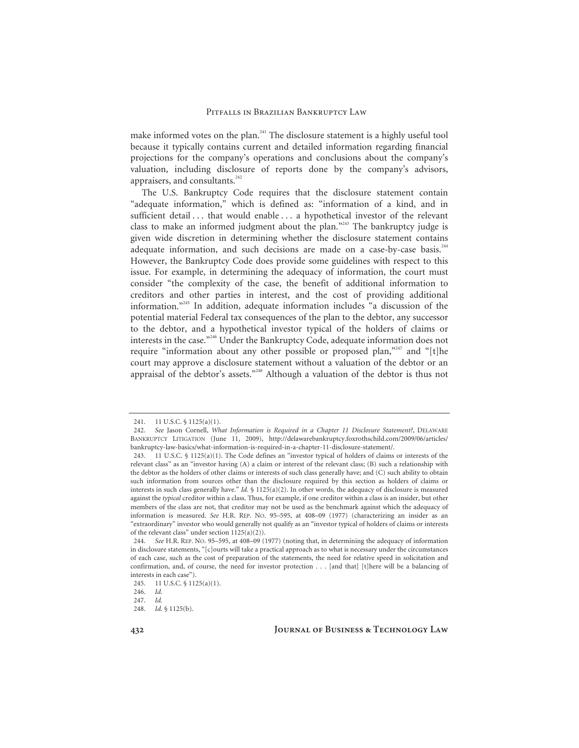make informed votes on the plan.<sup>241</sup> The disclosure statement is a highly useful tool because it typically contains current and detailed information regarding financial projections for the company's operations and conclusions about the company's valuation, including disclosure of reports done by the company's advisors, appraisers, and consultants.<sup>242</sup>

The U.S. Bankruptcy Code requires that the disclosure statement contain "adequate information," which is defined as: "information of a kind, and in sufficient detail . . . that would enable . . . a hypothetical investor of the relevant class to make an informed judgment about the plan."243 The bankruptcy judge is given wide discretion in determining whether the disclosure statement contains adequate information, and such decisions are made on a case-by-case basis.<sup>244</sup> However, the Bankruptcy Code does provide some guidelines with respect to this issue. For example, in determining the adequacy of information, the court must consider "the complexity of the case, the benefit of additional information to creditors and other parties in interest, and the cost of providing additional information."245 In addition, adequate information includes "a discussion of the potential material Federal tax consequences of the plan to the debtor, any successor to the debtor, and a hypothetical investor typical of the holders of claims or interests in the case."<sup>246</sup> Under the Bankruptcy Code, adequate information does not require "information about any other possible or proposed plan," $247$  and "[t]he court may approve a disclosure statement without a valuation of the debtor or an appraisal of the debtor's assets."248 Although a valuation of the debtor is thus not

 <sup>241. 11</sup> U.S.C. § 1125(a)(1).

<sup>242.</sup> *See* Jason Cornell, *What Information is Required in a Chapter 11 Disclosure Statement?*, DELAWARE BANKRUPTCY LITIGATION (June 11, 2009), http://delawarebankruptcy.foxrothschild.com/2009/06/articles/ bankruptcy-law-basics/what-information-is-required-in-a-chapter-11-disclosure-statement/.

 <sup>243. 11</sup> U.S.C. § 1125(a)(1). The Code defines an "investor typical of holders of claims or interests of the relevant class" as an "investor having (A) a claim or interest of the relevant class; (B) such a relationship with the debtor as the holders of other claims or interests of such class generally have; and (C) such ability to obtain such information from sources other than the disclosure required by this section as holders of claims or interests in such class generally have." *Id.* § 1125(a)(2). In other words, the adequacy of disclosure is measured against the *typical* creditor within a class. Thus, for example, if one creditor within a class is an insider, but other members of the class are not, that creditor may not be used as the benchmark against which the adequacy of information is measured. *See* H.R. REP. NO. 95–595, at 408–09 (1977) (characterizing an insider as an "extraordinary" investor who would generally not qualify as an "investor typical of holders of claims or interests of the relevant class" under section 1125(a)(2)).

<sup>244.</sup> *See* H.R. REP. NO. 95–595, at 408–09 (1977) (noting that, in determining the adequacy of information in disclosure statements, "[c]ourts will take a practical approach as to what is necessary under the circumstances of each case, such as the cost of preparation of the statements, the need for relative speed in solicitation and confirmation, and, of course, the need for investor protection . . . [and that] [t]here will be a balancing of interests in each case").

 <sup>245. 11</sup> U.S.C. § 1125(a)(1).

<sup>246.</sup> *Id.*

<sup>247.</sup> *Id.*

<sup>248.</sup> *Id.* § 1125(b).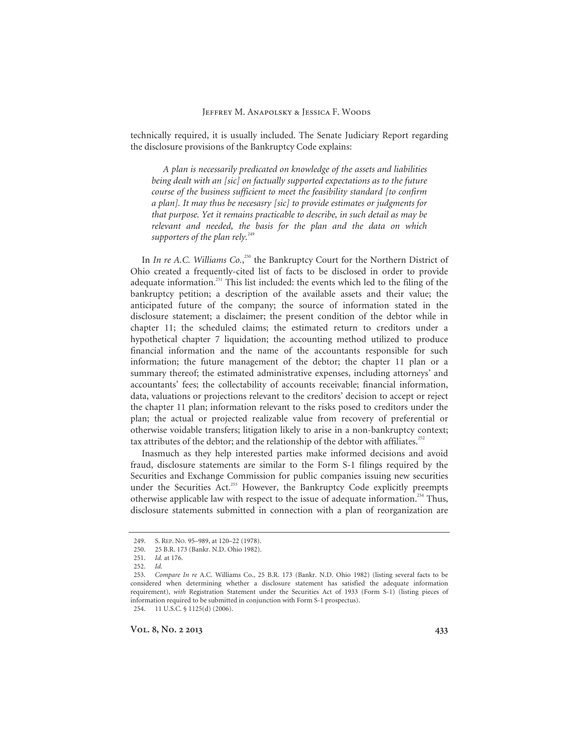technically required, it is usually included. The Senate Judiciary Report regarding the disclosure provisions of the Bankruptcy Code explains:

*A plan is necessarily predicated on knowledge of the assets and liabilities being dealt with an [sic] on factually supported expectations as to the future course of the business sufficient to meet the feasibility standard [to confirm a plan]. It may thus be necesasry [sic] to provide estimates or judgments for that purpose. Yet it remains practicable to describe, in such detail as may be relevant and needed, the basis for the plan and the data on which*  supporters of the plan rely.<sup>249</sup>

In *In re A.C. Williams Co.*,<sup>250</sup> the Bankruptcy Court for the Northern District of Ohio created a frequently-cited list of facts to be disclosed in order to provide adequate information.<sup>251</sup> This list included: the events which led to the filing of the bankruptcy petition; a description of the available assets and their value; the anticipated future of the company; the source of information stated in the disclosure statement; a disclaimer; the present condition of the debtor while in chapter 11; the scheduled claims; the estimated return to creditors under a hypothetical chapter 7 liquidation; the accounting method utilized to produce financial information and the name of the accountants responsible for such information; the future management of the debtor; the chapter 11 plan or a summary thereof; the estimated administrative expenses, including attorneys' and accountants' fees; the collectability of accounts receivable; financial information, data, valuations or projections relevant to the creditors' decision to accept or reject the chapter 11 plan; information relevant to the risks posed to creditors under the plan; the actual or projected realizable value from recovery of preferential or otherwise voidable transfers; litigation likely to arise in a non-bankruptcy context; tax attributes of the debtor; and the relationship of the debtor with affiliates.<sup>252</sup>

Inasmuch as they help interested parties make informed decisions and avoid fraud, disclosure statements are similar to the Form S-1 filings required by the Securities and Exchange Commission for public companies issuing new securities under the Securities Act.<sup>253</sup> However, the Bankruptcy Code explicitly preempts otherwise applicable law with respect to the issue of adequate information.<sup>254</sup> Thus, disclosure statements submitted in connection with a plan of reorganization are

 <sup>249.</sup> S. REP. NO. 95–989, at 120–22 (1978).

 <sup>250. 25</sup> B.R. 173 (Bankr. N.D. Ohio 1982).

<sup>251.</sup> *Id.* at 176.

<sup>252.</sup> *Id.*

<sup>253.</sup> *Compare In re* A.C. Williams Co., 25 B.R. 173 (Bankr. N.D. Ohio 1982) (listing several facts to be considered when determining whether a disclosure statement has satisfied the adequate information requirement), *with* Registration Statement under the Securities Act of 1933 (Form S-1) (listing pieces of information required to be submitted in conjunction with Form S-1 prospectus). 254. 11 U.S.C. § 1125(d) (2006).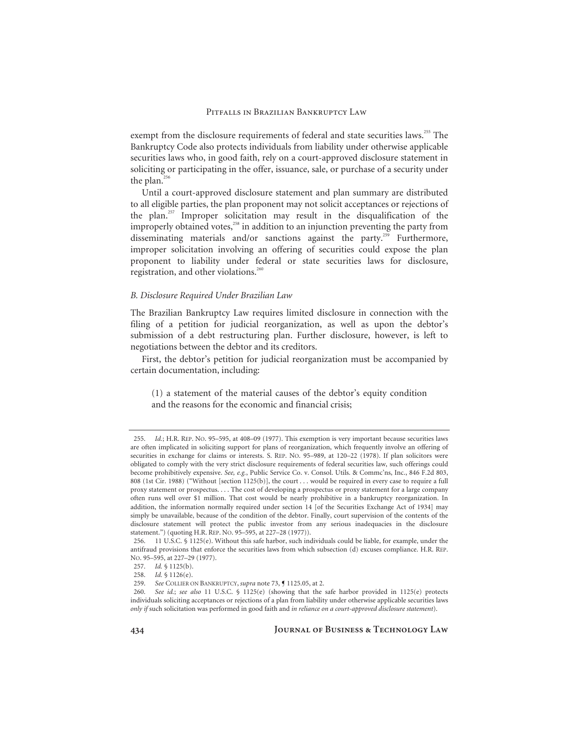exempt from the disclosure requirements of federal and state securities laws.<sup>255</sup> The Bankruptcy Code also protects individuals from liability under otherwise applicable securities laws who, in good faith, rely on a court-approved disclosure statement in soliciting or participating in the offer, issuance, sale, or purchase of a security under the plan. $256$ 

Until a court-approved disclosure statement and plan summary are distributed to all eligible parties, the plan proponent may not solicit acceptances or rejections of the plan.<sup>257</sup> Improper solicitation may result in the disqualification of the improperly obtained votes,<sup>258</sup> in addition to an injunction preventing the party from disseminating materials and/or sanctions against the party.<sup>259</sup> Furthermore, improper solicitation involving an offering of securities could expose the plan proponent to liability under federal or state securities laws for disclosure, registration, and other violations.<sup>260</sup>

#### *B. Disclosure Required Under Brazilian Law*

The Brazilian Bankruptcy Law requires limited disclosure in connection with the filing of a petition for judicial reorganization, as well as upon the debtor's submission of a debt restructuring plan. Further disclosure, however, is left to negotiations between the debtor and its creditors.

First, the debtor's petition for judicial reorganization must be accompanied by certain documentation, including:

(1) a statement of the material causes of the debtor's equity condition and the reasons for the economic and financial crisis;

<sup>255.</sup> *Id.*; H.R. REP. NO. 95–595, at 408–09 (1977). This exemption is very important because securities laws are often implicated in soliciting support for plans of reorganization, which frequently involve an offering of securities in exchange for claims or interests. S. REP. NO. 95–989, at 120–22 (1978). If plan solicitors were obligated to comply with the very strict disclosure requirements of federal securities law, such offerings could become prohibitively expensive. *See, e.g.*, Public Service Co. v. Consol. Utils. & Commc'ns, Inc., 846 F.2d 803, 808 (1st Cir. 1988) ("Without [section 1125(b)], the court . . . would be required in every case to require a full proxy statement or prospectus. . . . The cost of developing a prospectus or proxy statement for a large company often runs well over \$1 million. That cost would be nearly prohibitive in a bankruptcy reorganization. In addition, the information normally required under section 14 [of the Securities Exchange Act of 1934] may simply be unavailable, because of the condition of the debtor. Finally, court supervision of the contents of the disclosure statement will protect the public investor from any serious inadequacies in the disclosure statement.") (quoting H.R. REP. NO. 95–595, at 227–28 (1977)).

 <sup>256. 11</sup> U.S.C. § 1125(e). Without this safe harbor, such individuals could be liable, for example, under the antifraud provisions that enforce the securities laws from which subsection (d) excuses compliance. H.R. REP. NO. 95–595, at 227–29 (1977).

<sup>257.</sup> *Id.* § 1125(b).

<sup>258.</sup> *Id.* § 1126(e).

<sup>259.</sup> *See* COLLIER ON BANKRUPTCY, *supra* note 73, ¶ 1125.05, at 2.

<sup>260.</sup> *See id.*; *see also* 11 U.S.C. § 1125(e) (showing that the safe harbor provided in 1125(e) protects individuals soliciting acceptances or rejections of a plan from liability under otherwise applicable securities laws *only if* such solicitation was performed in good faith and *in reliance on a court-approved disclosure statement*).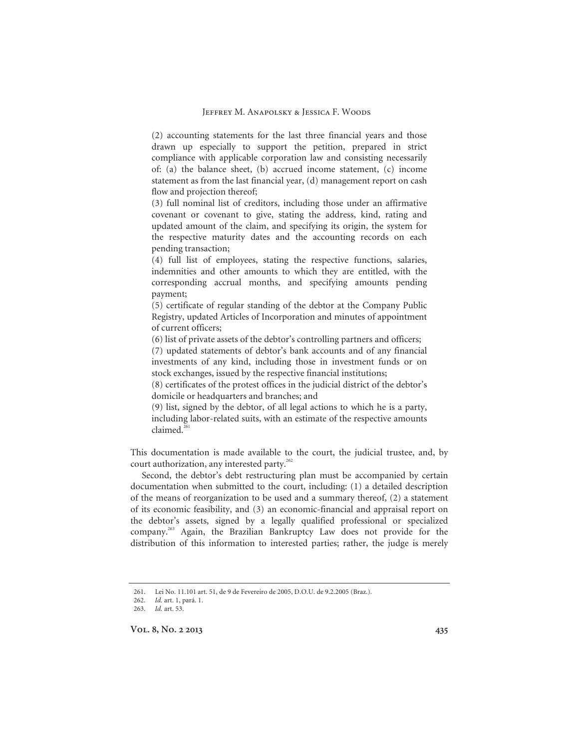(2) accounting statements for the last three financial years and those drawn up especially to support the petition, prepared in strict compliance with applicable corporation law and consisting necessarily of: (a) the balance sheet, (b) accrued income statement, (c) income statement as from the last financial year, (d) management report on cash flow and projection thereof;

(3) full nominal list of creditors, including those under an affirmative covenant or covenant to give, stating the address, kind, rating and updated amount of the claim, and specifying its origin, the system for the respective maturity dates and the accounting records on each pending transaction;

(4) full list of employees, stating the respective functions, salaries, indemnities and other amounts to which they are entitled, with the corresponding accrual months, and specifying amounts pending payment;

(5) certificate of regular standing of the debtor at the Company Public Registry, updated Articles of Incorporation and minutes of appointment of current officers;

(6) list of private assets of the debtor's controlling partners and officers;

(7) updated statements of debtor's bank accounts and of any financial investments of any kind, including those in investment funds or on stock exchanges, issued by the respective financial institutions;

(8) certificates of the protest offices in the judicial district of the debtor's domicile or headquarters and branches; and

(9) list, signed by the debtor, of all legal actions to which he is a party, including labor-related suits, with an estimate of the respective amounts  $claimed<sup>261</sup>$ 

This documentation is made available to the court, the judicial trustee, and, by court authorization, any interested party.<sup>262</sup>

Second, the debtor's debt restructuring plan must be accompanied by certain documentation when submitted to the court, including: (1) a detailed description of the means of reorganization to be used and a summary thereof, (2) a statement of its economic feasibility, and (3) an economic-financial and appraisal report on the debtor's assets, signed by a legally qualified professional or specialized company.263 Again, the Brazilian Bankruptcy Law does not provide for the distribution of this information to interested parties; rather, the judge is merely

<sup>261.</sup> Lei No. 11.101 art. 51, de 9 de Fevereiro de 2005, D.O.U. de 9.2.2005 (Braz.).

<sup>262.</sup> *Id.* art. 1, pará. 1.

<sup>263.</sup> *Id.* art. 53.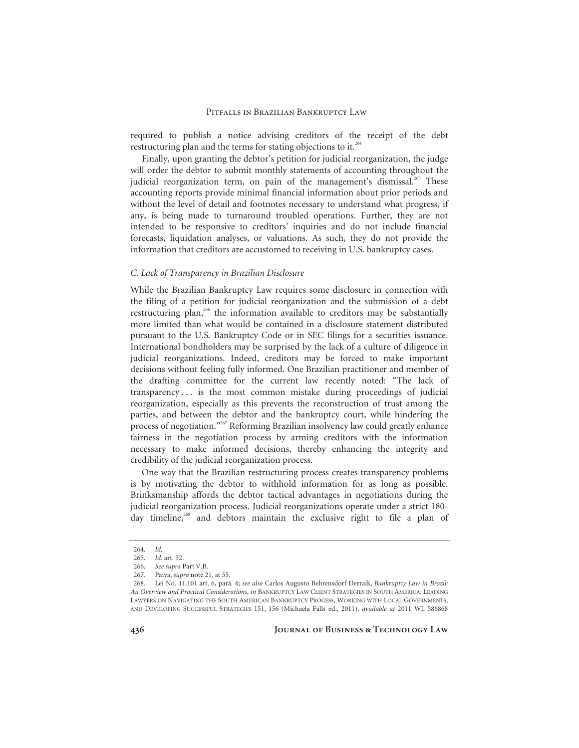required to publish a notice advising creditors of the receipt of the debt restructuring plan and the terms for stating objections to it.<sup>264</sup>

Finally, upon granting the debtor's petition for judicial reorganization, the judge will order the debtor to submit monthly statements of accounting throughout the judicial reorganization term, on pain of the management's dismissal.<sup>265</sup> These accounting reports provide minimal financial information about prior periods and without the level of detail and footnotes necessary to understand what progress, if any, is being made to turnaround troubled operations. Further, they are not intended to be responsive to creditors' inquiries and do not include financial forecasts, liquidation analyses, or valuations. As such, they do not provide the information that creditors are accustomed to receiving in U.S. bankruptcy cases.

#### *C. Lack of Transparency in Brazilian Disclosure*

While the Brazilian Bankruptcy Law requires some disclosure in connection with the filing of a petition for judicial reorganization and the submission of a debt restructuring plan,<sup>266</sup> the information available to creditors may be substantially more limited than what would be contained in a disclosure statement distributed pursuant to the U.S. Bankruptcy Code or in SEC filings for a securities issuance. International bondholders may be surprised by the lack of a culture of diligence in judicial reorganizations. Indeed, creditors may be forced to make important decisions without feeling fully informed. One Brazilian practitioner and member of the drafting committee for the current law recently noted: "The lack of transparency . . . is the most common mistake during proceedings of judicial reorganization, especially as this prevents the reconstruction of trust among the parties, and between the debtor and the bankruptcy court, while hindering the process of negotiation."267 Reforming Brazilian insolvency law could greatly enhance fairness in the negotiation process by arming creditors with the information necessary to make informed decisions, thereby enhancing the integrity and credibility of the judicial reorganization process.

One way that the Brazilian restructuring process creates transparency problems is by motivating the debtor to withhold information for as long as possible. Brinksmanship affords the debtor tactical advantages in negotiations during the judicial reorganization process. Judicial reorganizations operate under a strict 180 day timeline,<sup>268</sup> and debtors maintain the exclusive right to file a plan of

<sup>264.</sup> *Id.*

<sup>265.</sup> *Id.* art. 52.

<sup>266.</sup> *See supra* Part V.B.

 <sup>267.</sup> Paiva, *supra* note 21, at 55.

 <sup>268.</sup> Lei No. 11.101 art. 6, pará. 4; *see also* Carlos Augusto Behrensdorf Derraik, *Bankruptcy Law in Brazil: An Overview and Practical Considerations*, *in* BANKRUPTCY LAW CLIENT STRATEGIES IN SOUTH AMERICA: LEADING LAWYERS ON NAVIGATING THE SOUTH AMERICAN BANKRUPTCY PROCESS, WORKING WITH LOCAL GOVERNMENTS, AND DEVELOPING SUCCESSFUL STRATEGIES 151, 156 (Michaela Falls ed., 2011), *available at* 2011 WL 586868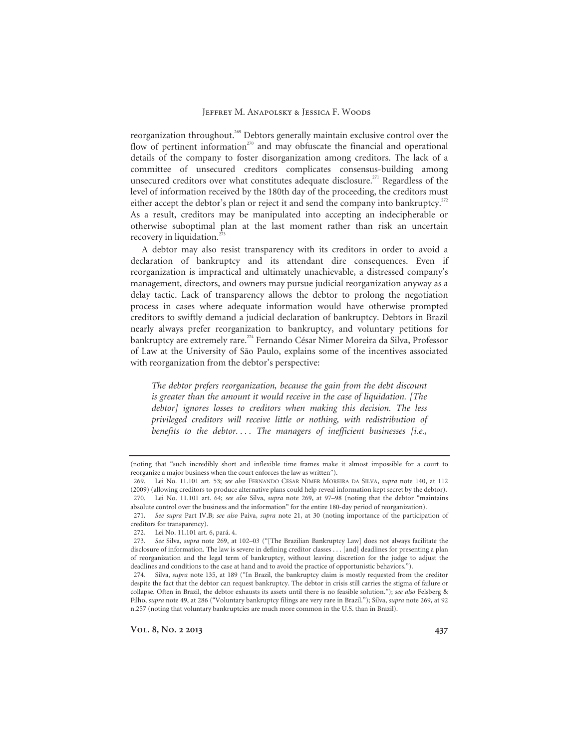reorganization throughout.<sup>269</sup> Debtors generally maintain exclusive control over the flow of pertinent information<sup> $270$ </sup> and may obfuscate the financial and operational details of the company to foster disorganization among creditors. The lack of a committee of unsecured creditors complicates consensus-building among unsecured creditors over what constitutes adequate disclosure.<sup>271</sup> Regardless of the level of information received by the 180th day of the proceeding, the creditors must either accept the debtor's plan or reject it and send the company into bankruptcy.<sup>272</sup> As a result, creditors may be manipulated into accepting an indecipherable or otherwise suboptimal plan at the last moment rather than risk an uncertain recovery in liquidation.<sup>273</sup>

A debtor may also resist transparency with its creditors in order to avoid a declaration of bankruptcy and its attendant dire consequences. Even if reorganization is impractical and ultimately unachievable, a distressed company's management, directors, and owners may pursue judicial reorganization anyway as a delay tactic. Lack of transparency allows the debtor to prolong the negotiation process in cases where adequate information would have otherwise prompted creditors to swiftly demand a judicial declaration of bankruptcy. Debtors in Brazil nearly always prefer reorganization to bankruptcy, and voluntary petitions for bankruptcy are extremely rare.<sup>274</sup> Fernando César Nimer Moreira da Silva, Professor of Law at the University of São Paulo, explains some of the incentives associated with reorganization from the debtor's perspective:

*The debtor prefers reorganization, because the gain from the debt discount is greater than the amount it would receive in the case of liquidation. [The debtor] ignores losses to creditors when making this decision. The less privileged creditors will receive little or nothing, with redistribution of benefits to the debtor. . . . The managers of inefficient businesses [i.e.,* 

<sup>(</sup>noting that "such incredibly short and inflexible time frames make it almost impossible for a court to reorganize a major business when the court enforces the law as written").

 <sup>269.</sup> Lei No. 11.101 art. 53; *see also* FERNANDO CÉSAR NIMER MOREIRA DA SILVA, *supra* note 140, at 112 (2009) (allowing creditors to produce alternative plans could help reveal information kept secret by the debtor). 270. Lei No. 11.101 art. 64; *see also* Silva, *supra* note 269, at 97–98 (noting that the debtor "maintains absolute control over the business and the information" for the entire 180-day period of reorganization).

<sup>271.</sup> *See supra* Part IV.B; *see also* Paiva, *supra* note 21, at 30 (noting importance of the participation of creditors for transparency).

 <sup>272.</sup> Lei No. 11.101 art. 6, pará. 4.

<sup>273.</sup> *See* Silva, *supra* note 269, at 102–03 ("[The Brazilian Bankruptcy Law] does not always facilitate the disclosure of information. The law is severe in defining creditor classes . . . [and] deadlines for presenting a plan of reorganization and the legal term of bankruptcy, without leaving discretion for the judge to adjust the deadlines and conditions to the case at hand and to avoid the practice of opportunistic behaviors.").

 <sup>274.</sup> Silva, *supra* note 135, at 189 ("In Brazil, the bankruptcy claim is mostly requested from the creditor despite the fact that the debtor can request bankruptcy. The debtor in crisis still carries the stigma of failure or collapse. Often in Brazil, the debtor exhausts its assets until there is no feasible solution."); *see also* Felsberg & Filho, *supra* note 49, at 286 ("Voluntary bankruptcy filings are very rare in Brazil."); Silva, *supra* note 269, at 92 n.257 (noting that voluntary bankruptcies are much more common in the U.S. than in Brazil).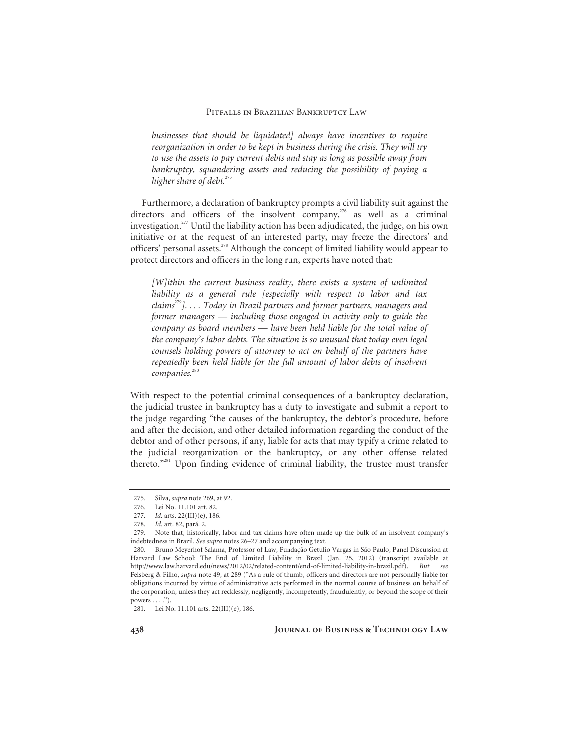*businesses that should be liquidated] always have incentives to require reorganization in order to be kept in business during the crisis. They will try to use the assets to pay current debts and stay as long as possible away from bankruptcy, squandering assets and reducing the possibility of paying a higher share of debt.*<sup>275</sup>

Furthermore, a declaration of bankruptcy prompts a civil liability suit against the directors and officers of the insolvent company,<sup>276</sup> as well as a criminal investigation.277 Until the liability action has been adjudicated, the judge, on his own initiative or at the request of an interested party, may freeze the directors' and officers' personal assets.<sup>278</sup> Although the concept of limited liability would appear to protect directors and officers in the long run, experts have noted that:

*[W]ithin the current business reality, there exists a system of unlimited liability as a general rule [especially with respect to labor and tax claims*<sup>279</sup>*]. . . . Today in Brazil partners and former partners, managers and former managers — including those engaged in activity only to guide the company as board members — have been held liable for the total value of the company's labor debts. The situation is so unusual that today even legal counsels holding powers of attorney to act on behalf of the partners have repeatedly been held liable for the full amount of labor debts of insolvent companies.*<sup>280</sup>

With respect to the potential criminal consequences of a bankruptcy declaration, the judicial trustee in bankruptcy has a duty to investigate and submit a report to the judge regarding "the causes of the bankruptcy, the debtor's procedure, before and after the decision, and other detailed information regarding the conduct of the debtor and of other persons, if any, liable for acts that may typify a crime related to the judicial reorganization or the bankruptcy, or any other offense related thereto."281 Upon finding evidence of criminal liability, the trustee must transfer

**438 Journal of Business & Technology Law** 

 <sup>275.</sup> Silva, *supra* note 269, at 92.

 <sup>276.</sup> Lei No. 11.101 art. 82.

<sup>277.</sup> *Id.* arts. 22(III)(e), 186.

<sup>278.</sup> *Id.* art. 82, pará. 2.

 <sup>279.</sup> Note that, historically, labor and tax claims have often made up the bulk of an insolvent company's indebtedness in Brazil. *See supra* notes 26–27 and accompanying text.

 <sup>280.</sup> Bruno Meyerhof Salama, Professor of Law, Fundação Getulio Vargas in São Paulo, Panel Discussion at Harvard Law School: The End of Limited Liability in Brazil (Jan. 25, 2012) (transcript available at http://www.law.harvard.edu/news/2012/02/related-content/end-of-limited-liability-in-brazil.pdf). *But see* Felsberg & Filho, *supra* note 49, at 289 ("As a rule of thumb, officers and directors are not personally liable for obligations incurred by virtue of administrative acts performed in the normal course of business on behalf of the corporation, unless they act recklessly, negligently, incompetently, fraudulently, or beyond the scope of their powers  $\dots$ .").

 <sup>281.</sup> Lei No. 11.101 arts. 22(III)(e), 186.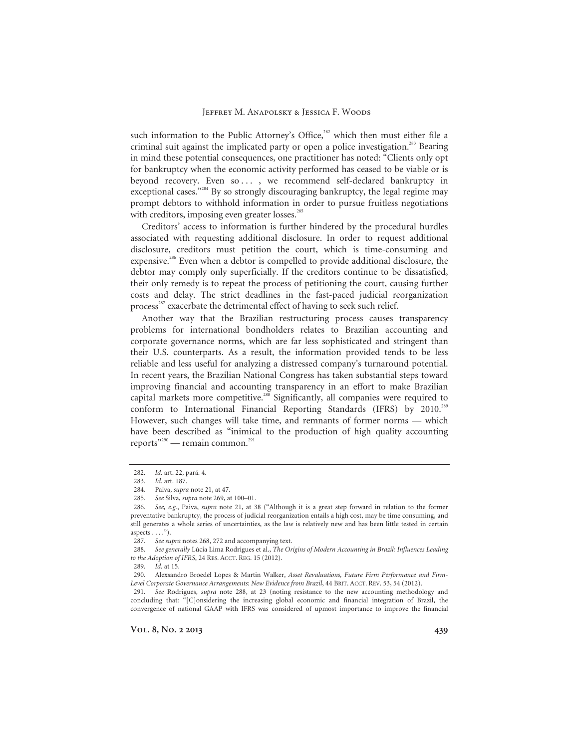such information to the Public Attorney's Office,<sup>282</sup> which then must either file a criminal suit against the implicated party or open a police investigation.<sup>283</sup> Bearing in mind these potential consequences, one practitioner has noted: "Clients only opt for bankruptcy when the economic activity performed has ceased to be viable or is beyond recovery. Even so ..., we recommend self-declared bankruptcy in exceptional cases."<sup>284</sup> By so strongly discouraging bankruptcy, the legal regime may prompt debtors to withhold information in order to pursue fruitless negotiations with creditors, imposing even greater losses.<sup>285</sup>

Creditors' access to information is further hindered by the procedural hurdles associated with requesting additional disclosure. In order to request additional disclosure, creditors must petition the court, which is time-consuming and expensive.<sup>286</sup> Even when a debtor is compelled to provide additional disclosure, the debtor may comply only superficially. If the creditors continue to be dissatisfied, their only remedy is to repeat the process of petitioning the court, causing further costs and delay. The strict deadlines in the fast-paced judicial reorganization process<sup>287</sup> exacerbate the detrimental effect of having to seek such relief.

Another way that the Brazilian restructuring process causes transparency problems for international bondholders relates to Brazilian accounting and corporate governance norms, which are far less sophisticated and stringent than their U.S. counterparts. As a result, the information provided tends to be less reliable and less useful for analyzing a distressed company's turnaround potential. In recent years, the Brazilian National Congress has taken substantial steps toward improving financial and accounting transparency in an effort to make Brazilian capital markets more competitive.<sup>288</sup> Significantly, all companies were required to conform to International Financial Reporting Standards (IFRS) by 2010.<sup>289</sup> However, such changes will take time, and remnants of former norms — which have been described as "inimical to the production of high quality accounting reports"<sup>290</sup> — remain common.<sup>291</sup>

<sup>282.</sup> *Id.* art. 22, pará. 4.

<sup>283.</sup> *Id.* art. 187.

 <sup>284.</sup> Paiva, *supra* note 21, at 47.

<sup>285.</sup> *See* Silva, *supra* note 269, at 100–01.

<sup>286.</sup> *See, e.g.*, Paiva, *supra* note 21, at 38 ("Although it is a great step forward in relation to the former preventative bankruptcy, the process of judicial reorganization entails a high cost, may be time consuming, and still generates a whole series of uncertainties, as the law is relatively new and has been little tested in certain aspects  $\dots$ .").

<sup>287.</sup> *See supra* notes 268, 272 and accompanying text.

<sup>288.</sup> *See generally* Lúcia Lima Rodrigues et al., *The Origins of Modern Accounting in Brazil: Influences Leading to the Adoption of IFRS*, 24 RES. ACCT. REG. 15 (2012).

<sup>289.</sup> *Id.* at 15.

 <sup>290.</sup> Alexsandro Broedel Lopes & Martin Walker, *Asset Revaluations, Future Firm Performance and Firm-Level Corporate Governance Arrangements: New Evidence from Brazil*, 44 BRIT. ACCT. REV. 53, 54 (2012).

<sup>291.</sup> *See* Rodrigues, *supra* note 288, at 23 (noting resistance to the new accounting methodology and concluding that: "[C]onsidering the increasing global economic and financial integration of Brazil, the convergence of national GAAP with IFRS was considered of upmost importance to improve the financial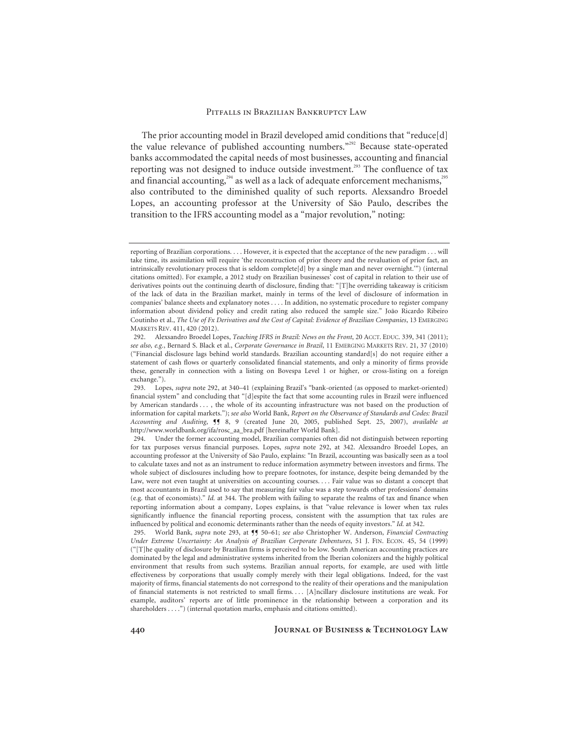The prior accounting model in Brazil developed amid conditions that "reduce[d] the value relevance of published accounting numbers."292 Because state-operated banks accommodated the capital needs of most businesses, accounting and financial reporting was not designed to induce outside investment.<sup>293</sup> The confluence of tax and financial accounting, $294$  as well as a lack of adequate enforcement mechanisms, $295$ also contributed to the diminished quality of such reports. Alexsandro Broedel Lopes, an accounting professor at the University of São Paulo, describes the transition to the IFRS accounting model as a "major revolution," noting:

reporting of Brazilian corporations. . . . However, it is expected that the acceptance of the new paradigm . . . will take time, its assimilation will require 'the reconstruction of prior theory and the revaluation of prior fact, an intrinsically revolutionary process that is seldom complete[d] by a single man and never overnight.'") (internal citations omitted). For example, a 2012 study on Brazilian businesses' cost of capital in relation to their use of derivatives points out the continuing dearth of disclosure, finding that: "[T]he overriding takeaway is criticism of the lack of data in the Brazilian market, mainly in terms of the level of disclosure of information in companies' balance sheets and explanatory notes . . . . In addition, no systematic procedure to register company information about dividend policy and credit rating also reduced the sample size." João Ricardo Ribeiro Coutinho et al., *The Use of Fx Derivatives and the Cost of Capital: Evidence of Brazilian Companies*, 13 EMERGING MARKETS REV. 411, 420 (2012).

 <sup>292.</sup> Alexsandro Broedel Lopes, *Teaching IFRS in Brazil: News on the Front*, 20 ACCT. EDUC. 339, 341 (2011); *see also, e.g.*, Bernard S. Black et al., *Corporate Governance in Brazil*, 11 EMERGING MARKETS REV. 21, 37 (2010) ("Financial disclosure lags behind world standards. Brazilian accounting standard[s] do not require either a statement of cash flows or quarterly consolidated financial statements, and only a minority of firms provide these, generally in connection with a listing on Bovespa Level 1 or higher, or cross-listing on a foreign exchange.").

 <sup>293.</sup> Lopes, *supra* note 292, at 340–41 (explaining Brazil's "bank-oriented (as opposed to market-oriented) financial system" and concluding that "[d]espite the fact that some accounting rules in Brazil were influenced by American standards . . . , the whole of its accounting infrastructure was not based on the production of information for capital markets."); *see also* World Bank, *Report on the Observance of Standards and Codes: Brazil Accounting and Auditing*, ¶¶ 8, 9 (created June 20, 2005, published Sept. 25, 2007), *available at* http://www.worldbank.org/ifa/rosc\_aa\_bra.pdf [hereinafter World Bank].

 <sup>294.</sup> Under the former accounting model, Brazilian companies often did not distinguish between reporting for tax purposes versus financial purposes. Lopes, *supra* note 292, at 342. Alexsandro Broedel Lopes, an accounting professor at the University of São Paulo, explains: "In Brazil, accounting was basically seen as a tool to calculate taxes and not as an instrument to reduce information asymmetry between investors and firms. The whole subject of disclosures including how to prepare footnotes, for instance, despite being demanded by the Law, were not even taught at universities on accounting courses.... Fair value was so distant a concept that most accountants in Brazil used to say that measuring fair value was a step towards other professions' domains (e.g. that of economists)." *Id.* at 344. The problem with failing to separate the realms of tax and finance when reporting information about a company, Lopes explains, is that "value relevance is lower when tax rules significantly influence the financial reporting process, consistent with the assumption that tax rules are influenced by political and economic determinants rather than the needs of equity investors." *Id.* at 342.

<sup>295.</sup> World Bank, *supra* note 293, at  $\P$ <sup>5</sup> 50–61; *see also* Christopher W. Anderson, *Financial Contracting Under Extreme Uncertainty: An Analysis of Brazilian Corporate Debentures*, 51 J. FIN. ECON. 45, 54 (1999) ("[T]he quality of disclosure by Brazilian firms is perceived to be low. South American accounting practices are dominated by the legal and administrative systems inherited from the Iberian colonizers and the highly political environment that results from such systems. Brazilian annual reports, for example, are used with little effectiveness by corporations that usually comply merely with their legal obligations. Indeed, for the vast majority of firms, financial statements do not correspond to the reality of their operations and the manipulation of financial statements is not restricted to small firms. . . [A]ncillary disclosure institutions are weak. For example, auditors' reports are of little prominence in the relationship between a corporation and its shareholders . . . .") (internal quotation marks, emphasis and citations omitted).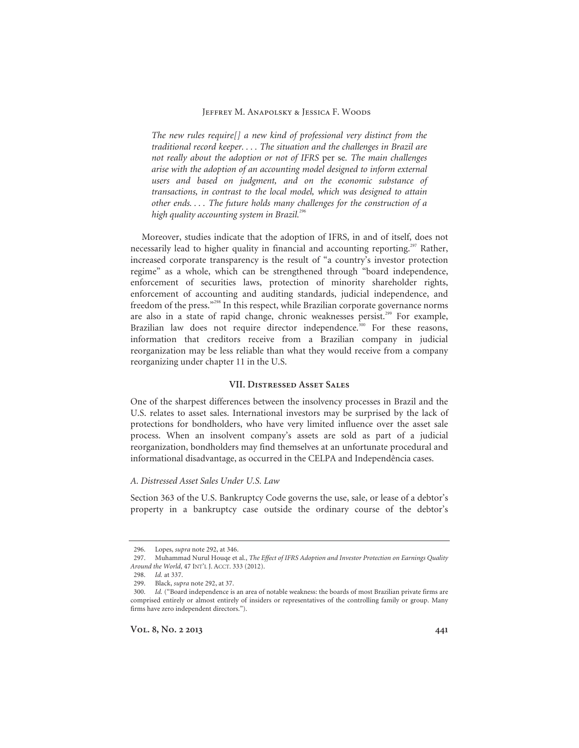*The new rules require[] a new kind of professional very distinct from the traditional record keeper. . . . The situation and the challenges in Brazil are not really about the adoption or not of IFRS* per se*. The main challenges arise with the adoption of an accounting model designed to inform external users and based on judgment, and on the economic substance of transactions, in contrast to the local model, which was designed to attain other ends. . . . The future holds many challenges for the construction of a high quality accounting system in Brazil.*<sup>296</sup>

Moreover, studies indicate that the adoption of IFRS, in and of itself, does not necessarily lead to higher quality in financial and accounting reporting.<sup>297</sup> Rather, increased corporate transparency is the result of "a country's investor protection regime" as a whole, which can be strengthened through "board independence, enforcement of securities laws, protection of minority shareholder rights, enforcement of accounting and auditing standards, judicial independence, and freedom of the press."298 In this respect, while Brazilian corporate governance norms are also in a state of rapid change, chronic weaknesses persist.<sup>299</sup> For example, Brazilian law does not require director independence.<sup>300</sup> For these reasons, information that creditors receive from a Brazilian company in judicial reorganization may be less reliable than what they would receive from a company reorganizing under chapter 11 in the U.S.

# **VII. Distressed Asset Sales**

One of the sharpest differences between the insolvency processes in Brazil and the U.S. relates to asset sales. International investors may be surprised by the lack of protections for bondholders, who have very limited influence over the asset sale process. When an insolvent company's assets are sold as part of a judicial reorganization, bondholders may find themselves at an unfortunate procedural and informational disadvantage, as occurred in the CELPA and Independência cases.

#### *A. Distressed Asset Sales Under U.S. Law*

Section 363 of the U.S. Bankruptcy Code governs the use, sale, or lease of a debtor's property in a bankruptcy case outside the ordinary course of the debtor's

 <sup>296.</sup> Lopes, *supra* note 292, at 346.

 <sup>297.</sup> Muhammad Nurul Houqe et al., *The Effect of IFRS Adoption and Investor Protection on Earnings Quality Around the World*, 47 INT'L J. ACCT. 333 (2012).

<sup>298.</sup> *Id.* at 337.

 <sup>299.</sup> Black, *supra* note 292, at 37.

<sup>300.</sup> *Id.* ("Board independence is an area of notable weakness: the boards of most Brazilian private firms are comprised entirely or almost entirely of insiders or representatives of the controlling family or group. Many firms have zero independent directors.").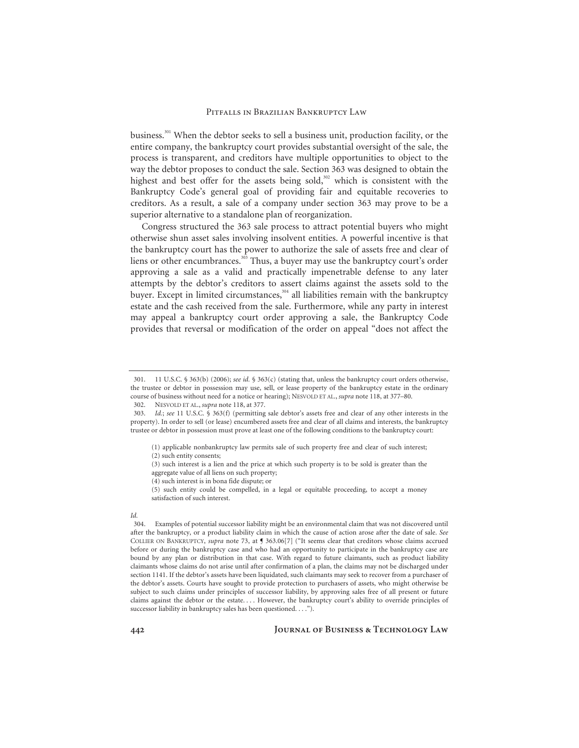business.301 When the debtor seeks to sell a business unit, production facility, or the entire company, the bankruptcy court provides substantial oversight of the sale, the process is transparent, and creditors have multiple opportunities to object to the way the debtor proposes to conduct the sale. Section 363 was designed to obtain the highest and best offer for the assets being sold,<sup>302</sup> which is consistent with the Bankruptcy Code's general goal of providing fair and equitable recoveries to creditors. As a result, a sale of a company under section 363 may prove to be a superior alternative to a standalone plan of reorganization.

Congress structured the 363 sale process to attract potential buyers who might otherwise shun asset sales involving insolvent entities. A powerful incentive is that the bankruptcy court has the power to authorize the sale of assets free and clear of liens or other encumbrances.<sup>303</sup> Thus, a buyer may use the bankruptcy court's order approving a sale as a valid and practically impenetrable defense to any later attempts by the debtor's creditors to assert claims against the assets sold to the buyer. Except in limited circumstances,<sup>304</sup> all liabilities remain with the bankruptcy estate and the cash received from the sale. Furthermore, while any party in interest may appeal a bankruptcy court order approving a sale, the Bankruptcy Code provides that reversal or modification of the order on appeal "does not affect the

(1) applicable nonbankruptcy law permits sale of such property free and clear of such interest;

- (4) such interest is in bona fide dispute; or
- (5) such entity could be compelled, in a legal or equitable proceeding, to accept a money satisfaction of such interest.

#### *Id.*

 304. Examples of potential successor liability might be an environmental claim that was not discovered until after the bankruptcy, or a product liability claim in which the cause of action arose after the date of sale. *See* COLLIER ON BANKRUPTCY, *supra* note 73, at ¶ 363.06[7] ("It seems clear that creditors whose claims accrued before or during the bankruptcy case and who had an opportunity to participate in the bankruptcy case are bound by any plan or distribution in that case. With regard to future claimants, such as product liability claimants whose claims do not arise until after confirmation of a plan, the claims may not be discharged under section 1141. If the debtor's assets have been liquidated, such claimants may seek to recover from a purchaser of the debtor's assets. Courts have sought to provide protection to purchasers of assets, who might otherwise be subject to such claims under principles of successor liability, by approving sales free of all present or future claims against the debtor or the estate. . . . However, the bankruptcy court's ability to override principles of successor liability in bankruptcy sales has been questioned. . . . ").

 <sup>301. 11</sup> U.S.C. § 363(b) (2006); *see id.* § 363(c) (stating that, unless the bankruptcy court orders otherwise, the trustee or debtor in possession may use, sell, or lease property of the bankruptcy estate in the ordinary course of business without need for a notice or hearing); NESVOLD ET AL., *supra* note 118, at 377–80.

 <sup>302.</sup> NESVOLD ET AL., *supra* note 118, at 377.

<sup>303.</sup> *Id.*; *see* 11 U.S.C. § 363(f) (permitting sale debtor's assets free and clear of any other interests in the property). In order to sell (or lease) encumbered assets free and clear of all claims and interests, the bankruptcy trustee or debtor in possession must prove at least one of the following conditions to the bankruptcy court:

<sup>(2)</sup> such entity consents;

<sup>(3)</sup> such interest is a lien and the price at which such property is to be sold is greater than the aggregate value of all liens on such property;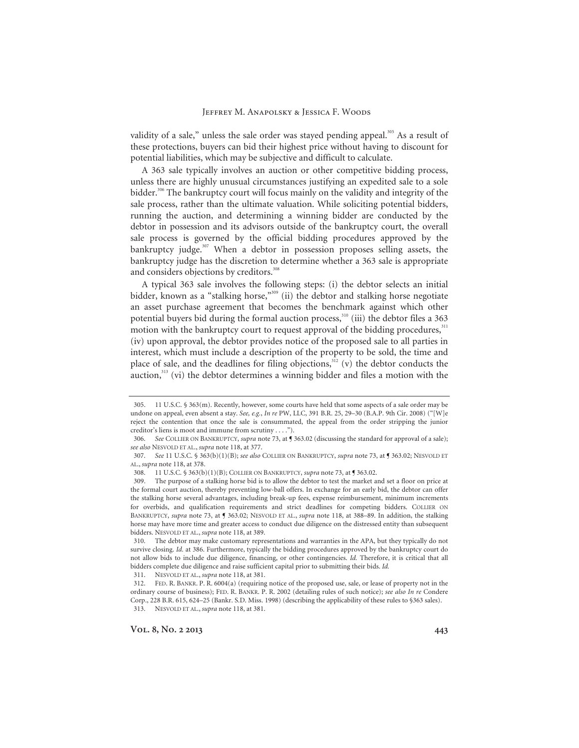validity of a sale," unless the sale order was stayed pending appeal.<sup>305</sup> As a result of these protections, buyers can bid their highest price without having to discount for potential liabilities, which may be subjective and difficult to calculate.

A 363 sale typically involves an auction or other competitive bidding process, unless there are highly unusual circumstances justifying an expedited sale to a sole bidder.<sup>306</sup> The bankruptcy court will focus mainly on the validity and integrity of the sale process, rather than the ultimate valuation. While soliciting potential bidders, running the auction, and determining a winning bidder are conducted by the debtor in possession and its advisors outside of the bankruptcy court, the overall sale process is governed by the official bidding procedures approved by the bankruptcy judge.<sup>307</sup> When a debtor in possession proposes selling assets, the bankruptcy judge has the discretion to determine whether a 363 sale is appropriate and considers objections by creditors.<sup>308</sup>

A typical 363 sale involves the following steps: (i) the debtor selects an initial bidder, known as a "stalking horse,"<sup>309</sup> (ii) the debtor and stalking horse negotiate an asset purchase agreement that becomes the benchmark against which other potential buyers bid during the formal auction process,<sup>310</sup> (iii) the debtor files a 363 motion with the bankruptcy court to request approval of the bidding procedures,<sup>311</sup> (iv) upon approval, the debtor provides notice of the proposed sale to all parties in interest, which must include a description of the property to be sold, the time and place of sale, and the deadlines for filing objections, $312$  (v) the debtor conducts the auction, $313$  (vi) the debtor determines a winning bidder and files a motion with the

311. NESVOLD ET AL., *supra* note 118, at 381.

 <sup>305. 11</sup> U.S.C. § 363(m). Recently, however, some courts have held that some aspects of a sale order may be undone on appeal, even absent a stay. *See, e.g.*, *In re* PW, LLC, 391 B.R. 25, 29–30 (B.A.P. 9th Cir. 2008) ("[W]e reject the contention that once the sale is consummated, the appeal from the order stripping the junior creditor's liens is moot and immune from scrutiny . . . .").

<sup>306.</sup> *See* COLLIER ON BANKRUPTCY, *supra* note 73, at ¶ 363.02 (discussing the standard for approval of a sale); *see also* NESVOLD ET AL., *supra* note 118, at 377.

<sup>307.</sup> *See* 11 U.S.C. § 363(b)(1)(B); *see also* COLLIER ON BANKRUPTCY, *supra* note 73, at ¶ 363.02; NESVOLD ET AL., *supra* note 118, at 378.

 <sup>308. 11</sup> U.S.C. § 363(b)(1)(B); COLLIER ON BANKRUPTCY, *supra* note 73, at ¶ 363.02.

 <sup>309.</sup> The purpose of a stalking horse bid is to allow the debtor to test the market and set a floor on price at the formal court auction, thereby preventing low-ball offers. In exchange for an early bid, the debtor can offer the stalking horse several advantages, including break-up fees, expense reimbursement, minimum increments for overbids, and qualification requirements and strict deadlines for competing bidders. COLLIER ON BANKRUPTCY, *supra* note 73, at ¶ 363.02; NESVOLD ET AL., *supra* note 118, at 388–89. In addition, the stalking horse may have more time and greater access to conduct due diligence on the distressed entity than subsequent bidders. NESVOLD ET AL., *supra* note 118, at 389.

 <sup>310.</sup> The debtor may make customary representations and warranties in the APA, but they typically do not survive closing. *Id.* at 386. Furthermore, typically the bidding procedures approved by the bankruptcy court do not allow bids to include due diligence, financing, or other contingencies. *Id.* Therefore, it is critical that all bidders complete due diligence and raise sufficient capital prior to submitting their bids. *Id.*

 <sup>312.</sup> FED. R. BANKR. P. R. 6004(a) (requiring notice of the proposed use, sale, or lease of property not in the ordinary course of business); FED. R. BANKR. P. R. 2002 (detailing rules of such notice); *see also In re* Condere Corp., 228 B.R. 615, 624–25 (Bankr. S.D. Miss. 1998) (describing the applicability of these rules to §363 sales). 313. NESVOLD ET AL., *supra* note 118, at 381.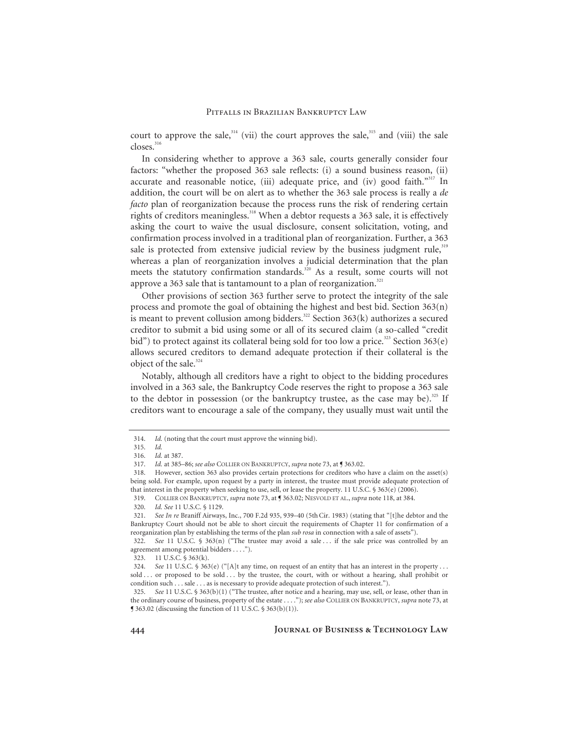court to approve the sale,<sup>314</sup> (vii) the court approves the sale,<sup>315</sup> and (viii) the sale closes.<sup>316</sup>

In considering whether to approve a 363 sale, courts generally consider four factors: "whether the proposed 363 sale reflects: (i) a sound business reason, (ii) accurate and reasonable notice, (iii) adequate price, and (iv) good faith."<sup>317</sup> In addition, the court will be on alert as to whether the 363 sale process is really a *de facto* plan of reorganization because the process runs the risk of rendering certain rights of creditors meaningless.<sup>318</sup> When a debtor requests a 363 sale, it is effectively asking the court to waive the usual disclosure, consent solicitation, voting, and confirmation process involved in a traditional plan of reorganization. Further, a 363 sale is protected from extensive judicial review by the business judgment rule,<sup>319</sup> whereas a plan of reorganization involves a judicial determination that the plan meets the statutory confirmation standards.<sup>320</sup> As a result, some courts will not approve a 363 sale that is tantamount to a plan of reorganization. $321$ 

Other provisions of section 363 further serve to protect the integrity of the sale process and promote the goal of obtaining the highest and best bid. Section 363(n) is meant to prevent collusion among bidders.<sup>322</sup> Section 363(k) authorizes a secured creditor to submit a bid using some or all of its secured claim (a so-called "credit bid") to protect against its collateral being sold for too low a price.<sup>323</sup> Section 363(e) allows secured creditors to demand adequate protection if their collateral is the object of the sale.<sup>324</sup>

Notably, although all creditors have a right to object to the bidding procedures involved in a 363 sale, the Bankruptcy Code reserves the right to propose a 363 sale to the debtor in possession (or the bankruptcy trustee, as the case may be).<sup>325</sup> If creditors want to encourage a sale of the company, they usually must wait until the

<sup>314.</sup> *Id.* (noting that the court must approve the winning bid).

<sup>315.</sup> *Id.*

<sup>316.</sup> *Id.* at 387.

<sup>317.</sup> *Id.* at 385–86; *see also* COLLIER ON BANKRUPTCY, *supra* note 73, at ¶ 363.02.

 <sup>318.</sup> However, section 363 also provides certain protections for creditors who have a claim on the asset(s) being sold. For example, upon request by a party in interest, the trustee must provide adequate protection of that interest in the property when seeking to use, sell, or lease the property. 11 U.S.C. § 363(e) (2006).

 <sup>319.</sup> COLLIER ON BANKRUPTCY, *supra* note 73, at ¶ 363.02; NESVOLD ET AL., *supra* note 118, at 384.

<sup>320.</sup> *Id. See* 11 U.S.C. § 1129.

<sup>321.</sup> *See In re* Braniff Airways, Inc., 700 F.2d 935, 939–40 (5thCir. 1983) (stating that "[t]he debtor and the Bankruptcy Court should not be able to short circuit the requirements of Chapter 11 for confirmation of a reorganization plan by establishing the terms of the plan *sub rosa* in connection with a sale of assets").

<sup>322.</sup> *See* 11 U.S.C. § 363(n) ("The trustee may avoid a sale . . . if the sale price was controlled by an agreement among potential bidders . . . .").

 <sup>323. 11</sup> U.S.C. § 363(k).

<sup>324.</sup> *See* 11 U.S.C. § 363(e) ("[A]t any time, on request of an entity that has an interest in the property . . . sold . . . or proposed to be sold . . . by the trustee, the court, with or without a hearing, shall prohibit or condition such . . . sale . . . as is necessary to provide adequate protection of such interest.").

<sup>325.</sup> *See* 11 U.S.C. § 363(b)(1) ("The trustee, after notice and a hearing, may use, sell, or lease, other than in the ordinary course of business, property of the estate . . . ."); *see also* COLLIER ON BANKRUPTCY, *supra* note 73, at ¶ 363.02 (discussing the function of 11 U.S.C. § 363(b)(1)).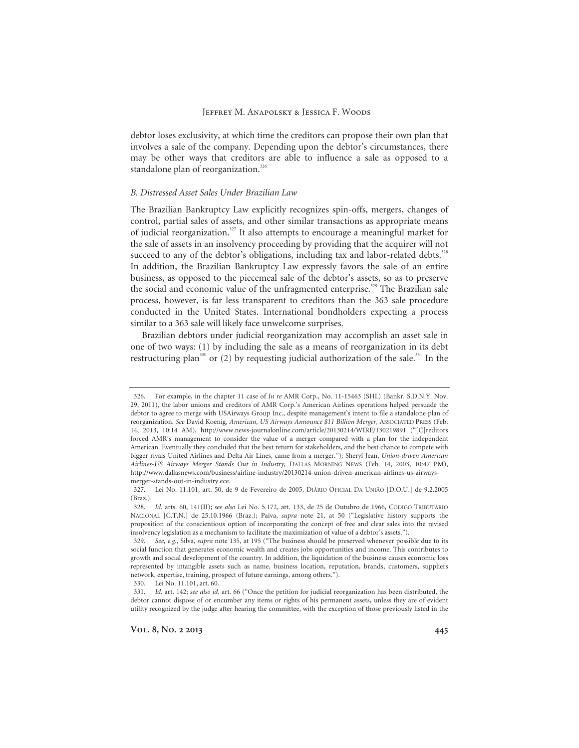debtor loses exclusivity, at which time the creditors can propose their own plan that involves a sale of the company. Depending upon the debtor's circumstances, there may be other ways that creditors are able to influence a sale as opposed to a standalone plan of reorganization.<sup>326</sup>

# *B. Distressed Asset Sales Under Brazilian Law*

The Brazilian Bankruptcy Law explicitly recognizes spin-offs, mergers, changes of control, partial sales of assets, and other similar transactions as appropriate means of judicial reorganization.<sup>327</sup> It also attempts to encourage a meaningful market for the sale of assets in an insolvency proceeding by providing that the acquirer will not succeed to any of the debtor's obligations, including tax and labor-related debts.<sup>328</sup> In addition, the Brazilian Bankruptcy Law expressly favors the sale of an entire business, as opposed to the piecemeal sale of the debtor's assets, so as to preserve the social and economic value of the unfragmented enterprise.<sup>329</sup> The Brazilian sale process, however, is far less transparent to creditors than the 363 sale procedure conducted in the United States. International bondholders expecting a process similar to a 363 sale will likely face unwelcome surprises.

Brazilian debtors under judicial reorganization may accomplish an asset sale in one of two ways: (1) by including the sale as a means of reorganization in its debt restructuring plan<sup>330</sup> or (2) by requesting judicial authorization of the sale.<sup>331</sup> In the

330. Lei No. 11.101, art. 60.

 <sup>326.</sup> For example, in the chapter 11 case of *In re* AMR Corp., No. 11-15463 (SHL) (Bankr. S.D.N.Y. Nov. 29, 2011), the labor unions and creditors of AMR Corp.'s American Airlines operations helped persuade the debtor to agree to merge with USAirways Group Inc., despite management's intent to file a standalone plan of reorganization. *See* David Koenig, *American, US Airways Announce \$11 Billion Merger*, ASSOCIATED PRESS (Feb. 14, 2013, 10:14 AM), http://www.news-journalonline.com/article/20130214/WIRE/130219891 ("[C]reditors forced AMR's management to consider the value of a merger compared with a plan for the independent American. Eventually they concluded that the best return for stakeholders, and the best chance to compete with bigger rivals United Airlines and Delta Air Lines, came from a merger."); Sheryl Jean, *Union-driven American Airlines-US Airways Merger Stands Out in Industry,* DALLAS MORNING NEWS (Feb. 14, 2003, 10:47 PM), http://www.dallasnews.com/business/airline-industry/20130214-union-driven-american-airlines-us-airwaysmerger-stands-out-in-industry.ece.

 <sup>327.</sup> Lei No. 11.101, art. 50, de 9 de Fevereiro de 2005, DIÁRIO OFICIAL DA UNIÃO [D.O.U.] de 9.2.2005 (Braz.).

 <sup>328.</sup> *Id.* arts. 60, 141(II); *see also* Lei No. 5.172, art. 133, de 25 de Outubro de 1966, CÓDIGO TRIBUTÁRIO NACIONAL [C.T.N.] de 25.10.1966 (Braz.); Paiva, *supra* note 21, at 50 ("Legislative history supports the proposition of the conscientious option of incorporating the concept of free and clear sales into the revised insolvency legislation as a mechanism to facilitate the maximization of value of a debtor's assets.").

<sup>329.</sup> *See, e.g.*, Silva, *supra* note 135, at 195 ("The business should be preserved whenever possible due to its social function that generates economic wealth and creates jobs opportunities and income. This contributes to growth and social development of the country. In addition, the liquidation of the business causes economic loss represented by intangible assets such as name, business location, reputation, brands, customers, suppliers network, expertise, training, prospect of future earnings, among others.").

 <sup>331.</sup> *Id.* art. 142; *see also id.* art. 66 ("Once the petition for judicial reorganization has been distributed, the debtor cannot dispose of or encumber any items or rights of his permanent assets, unless they are of evident utility recognized by the judge after hearing the committee, with the exception of those previously listed in the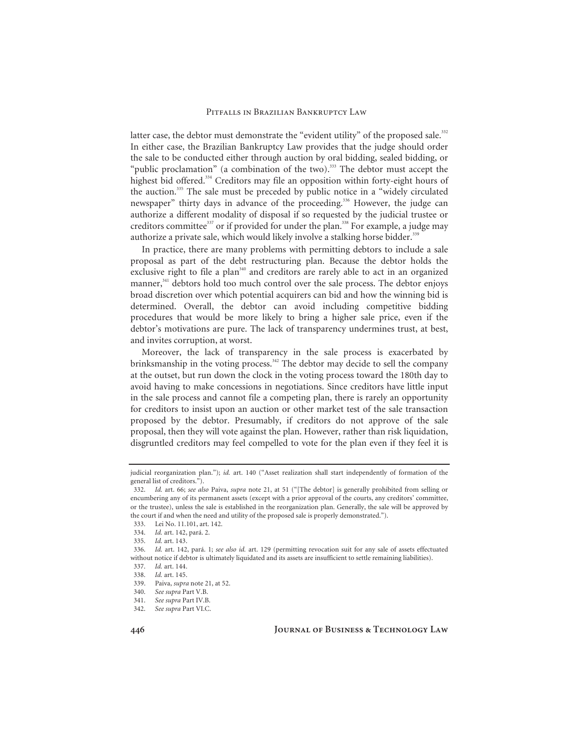latter case, the debtor must demonstrate the "evident utility" of the proposed sale.<sup>332</sup> In either case, the Brazilian Bankruptcy Law provides that the judge should order the sale to be conducted either through auction by oral bidding, sealed bidding, or "public proclamation" (a combination of the two).<sup>333</sup> The debtor must accept the highest bid offered.<sup>334</sup> Creditors may file an opposition within forty-eight hours of the auction.335 The sale must be preceded by public notice in a "widely circulated newspaper" thirty days in advance of the proceeding.<sup>336</sup> However, the judge can authorize a different modality of disposal if so requested by the judicial trustee or creditors committee<sup>337</sup> or if provided for under the plan.<sup>338</sup> For example, a judge may authorize a private sale, which would likely involve a stalking horse bidder.<sup>339</sup>

In practice, there are many problems with permitting debtors to include a sale proposal as part of the debt restructuring plan. Because the debtor holds the exclusive right to file a plan<sup> $340$ </sup> and creditors are rarely able to act in an organized manner,<sup>341</sup> debtors hold too much control over the sale process. The debtor enjoys broad discretion over which potential acquirers can bid and how the winning bid is determined. Overall, the debtor can avoid including competitive bidding procedures that would be more likely to bring a higher sale price, even if the debtor's motivations are pure. The lack of transparency undermines trust, at best, and invites corruption, at worst.

Moreover, the lack of transparency in the sale process is exacerbated by brinksmanship in the voting process.<sup>342</sup> The debtor may decide to sell the company at the outset, but run down the clock in the voting process toward the 180th day to avoid having to make concessions in negotiations. Since creditors have little input in the sale process and cannot file a competing plan, there is rarely an opportunity for creditors to insist upon an auction or other market test of the sale transaction proposed by the debtor. Presumably, if creditors do not approve of the sale proposal, then they will vote against the plan. However, rather than risk liquidation, disgruntled creditors may feel compelled to vote for the plan even if they feel it is

judicial reorganization plan."); *id.* art. 140 ("Asset realization shall start independently of formation of the general list of creditors.").

 <sup>332.</sup> *Id.* art. 66; *see also* Paiva, *supra* note 21, at 51 ("[The debtor] is generally prohibited from selling or encumbering any of its permanent assets (except with a prior approval of the courts, any creditors' committee, or the trustee), unless the sale is established in the reorganization plan. Generally, the sale will be approved by the court if and when the need and utility of the proposed sale is properly demonstrated.").

 <sup>333.</sup> Lei No. 11.101, art. 142.

 <sup>334.</sup> *Id.* art. 142, pará. 2.

 <sup>335.</sup> *Id.* art. 143.

 <sup>336.</sup> *Id.* art. 142, pará. 1; *see also id.* art. 129 (permitting revocation suit for any sale of assets effectuated without notice if debtor is ultimately liquidated and its assets are insufficient to settle remaining liabilities).

 <sup>337.</sup> *Id.* art. 144.

 <sup>338.</sup> *Id.* art. 145.

 <sup>339.</sup> Paiva, *supra* note 21, at 52.

<sup>340.</sup> *See supra* Part V.B.

<sup>341.</sup> *See supra* Part IV.B.

<sup>342.</sup> *See supra* Part VI.C.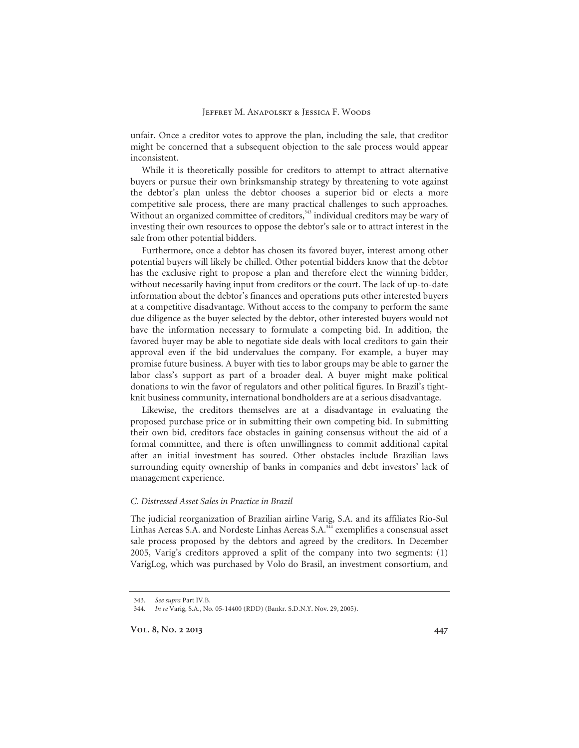unfair. Once a creditor votes to approve the plan, including the sale, that creditor might be concerned that a subsequent objection to the sale process would appear inconsistent.

While it is theoretically possible for creditors to attempt to attract alternative buyers or pursue their own brinksmanship strategy by threatening to vote against the debtor's plan unless the debtor chooses a superior bid or elects a more competitive sale process, there are many practical challenges to such approaches. Without an organized committee of creditors,<sup>343</sup> individual creditors may be wary of investing their own resources to oppose the debtor's sale or to attract interest in the sale from other potential bidders.

Furthermore, once a debtor has chosen its favored buyer, interest among other potential buyers will likely be chilled. Other potential bidders know that the debtor has the exclusive right to propose a plan and therefore elect the winning bidder, without necessarily having input from creditors or the court. The lack of up-to-date information about the debtor's finances and operations puts other interested buyers at a competitive disadvantage. Without access to the company to perform the same due diligence as the buyer selected by the debtor, other interested buyers would not have the information necessary to formulate a competing bid. In addition, the favored buyer may be able to negotiate side deals with local creditors to gain their approval even if the bid undervalues the company. For example, a buyer may promise future business. A buyer with ties to labor groups may be able to garner the labor class's support as part of a broader deal. A buyer might make political donations to win the favor of regulators and other political figures. In Brazil's tightknit business community, international bondholders are at a serious disadvantage.

Likewise, the creditors themselves are at a disadvantage in evaluating the proposed purchase price or in submitting their own competing bid. In submitting their own bid, creditors face obstacles in gaining consensus without the aid of a formal committee, and there is often unwillingness to commit additional capital after an initial investment has soured. Other obstacles include Brazilian laws surrounding equity ownership of banks in companies and debt investors' lack of management experience.

#### *C. Distressed Asset Sales in Practice in Brazil*

The judicial reorganization of Brazilian airline Varig, S.A. and its affiliates Rio-Sul Linhas Aereas S.A. and Nordeste Linhas Aereas S.A.<sup>344</sup> exemplifies a consensual asset sale process proposed by the debtors and agreed by the creditors. In December 2005, Varig's creditors approved a split of the company into two segments: (1) VarigLog, which was purchased by Volo do Brasil, an investment consortium, and

<sup>343.</sup> *See supra* Part IV.B.

<sup>344.</sup> *In re* Varig, S.A., No. 05-14400 (RDD) (Bankr. S.D.N.Y. Nov. 29, 2005).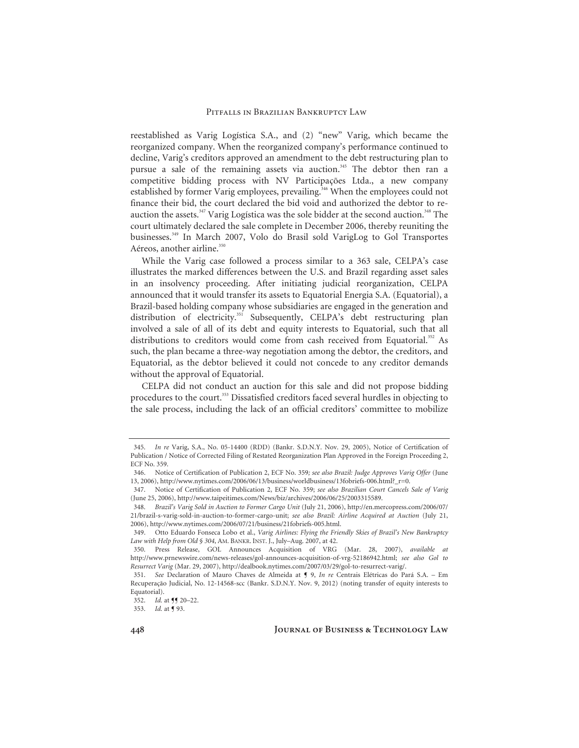reestablished as Varig Logística S.A., and (2) "new" Varig, which became the reorganized company. When the reorganized company's performance continued to decline, Varig's creditors approved an amendment to the debt restructuring plan to pursue a sale of the remaining assets via auction.<sup>345</sup> The debtor then ran a competitive bidding process with NV Participações Ltda., a new company established by former Varig employees, prevailing.<sup>346</sup> When the employees could not finance their bid, the court declared the bid void and authorized the debtor to reauction the assets.<sup>347</sup> Varig Logística was the sole bidder at the second auction.<sup>348</sup> The court ultimately declared the sale complete in December 2006, thereby reuniting the businesses.349 In March 2007, Volo do Brasil sold VarigLog to Gol Transportes Aéreos, another airline.<sup>350</sup>

While the Varig case followed a process similar to a 363 sale, CELPA's case illustrates the marked differences between the U.S. and Brazil regarding asset sales in an insolvency proceeding. After initiating judicial reorganization, CELPA announced that it would transfer its assets to Equatorial Energia S.A. (Equatorial), a Brazil-based holding company whose subsidiaries are engaged in the generation and distribution of electricity.<sup>351</sup> Subsequently, CELPA's debt restructuring plan involved a sale of all of its debt and equity interests to Equatorial, such that all distributions to creditors would come from cash received from Equatorial.<sup>352</sup> As such, the plan became a three-way negotiation among the debtor, the creditors, and Equatorial, as the debtor believed it could not concede to any creditor demands without the approval of Equatorial.

CELPA did not conduct an auction for this sale and did not propose bidding procedures to the court.<sup>353</sup> Dissatisfied creditors faced several hurdles in objecting to the sale process, including the lack of an official creditors' committee to mobilize

<sup>345.</sup> *In re* Varig, S.A., No. 05-14400 (RDD) (Bankr. S.D.N.Y. Nov. 29, 2005), Notice of Certification of Publication / Notice of Corrected Filing of Restated Reorganization Plan Approved in the Foreign Proceeding 2, ECF No. 359.

 <sup>346.</sup> Notice of Certification of Publication 2, ECF No. 359*; see also Brazil: Judge Approves Varig Offer* (June 13, 2006), http://www.nytimes.com/2006/06/13/business/worldbusiness/13fobriefs-006.html?\_r=0.

 <sup>347.</sup> Notice of Certification of Publication 2, ECF No. 359; *see also Brazilian Court Cancels Sale of Varig* (June 25, 2006), http://www.taipeitimes.com/News/biz/archives/2006/06/25/2003315589.

<sup>348.</sup> *Brazil's Varig Sold in Auction to Former Cargo Unit* (July 21, 2006), http://en.mercopress.com/2006/07/ 21/brazil-s-varig-sold-in-auction-to-former-cargo-unit; *see also Brazil: Airline Acquired at Auction* (July 21, 2006), http://www.nytimes.com/2006/07/21/business/21fobriefs-005.html.

 <sup>349.</sup> Otto Eduardo Fonseca Lobo et al., *Varig Airlines: Flying the Friendly Skies of Brazil's New Bankruptcy Law with Help from Old § 304*, AM. BANKR. INST. J., July–Aug. 2007, at 42.

 <sup>350.</sup> Press Release, GOL Announces Acquisition of VRG (Mar. 28, 2007), *available at*  http://www.prnewswire.com/news-releases/gol-announces-acquisition-of-vrg-52186942.html; *see also Gol to Resurrect Varig* (Mar. 29, 2007), http://dealbook.nytimes.com/2007/03/29/gol-to-resurrect-varig/.

<sup>351.</sup> *See* Declaration of Mauro Chaves de Almeida at ¶ 9, *In re* Centrais Elétricas do Pará S.A. – Em Recuperação Judicial, No. 12-14568-scc (Bankr. S.D.N.Y. Nov. 9, 2012) (noting transfer of equity interests to Equatorial).

<sup>352.</sup> *Id.* at **JJ** 20-22.

<sup>353.</sup> *Id.* at ¶ 93.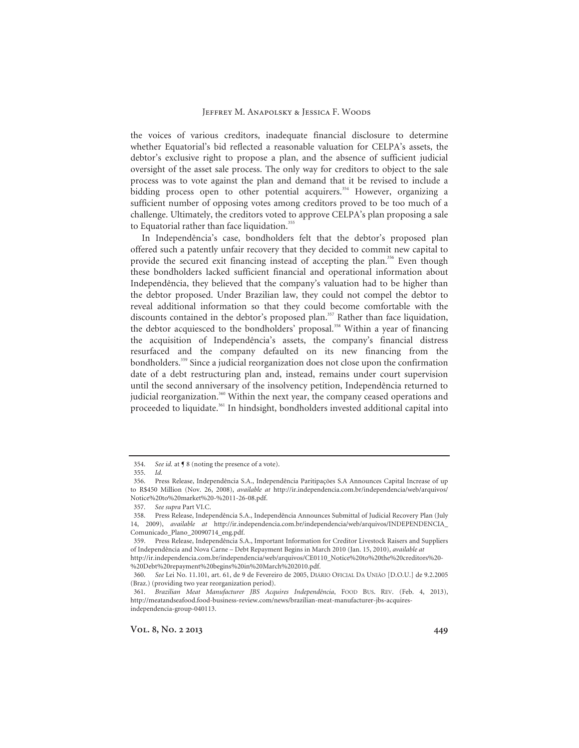the voices of various creditors, inadequate financial disclosure to determine whether Equatorial's bid reflected a reasonable valuation for CELPA's assets, the debtor's exclusive right to propose a plan, and the absence of sufficient judicial oversight of the asset sale process. The only way for creditors to object to the sale process was to vote against the plan and demand that it be revised to include a bidding process open to other potential acquirers.<sup>354</sup> However, organizing a sufficient number of opposing votes among creditors proved to be too much of a challenge. Ultimately, the creditors voted to approve CELPA's plan proposing a sale to Equatorial rather than face liquidation.<sup>355</sup>

In Independência's case, bondholders felt that the debtor's proposed plan offered such a patently unfair recovery that they decided to commit new capital to provide the secured exit financing instead of accepting the plan.<sup>356</sup> Even though these bondholders lacked sufficient financial and operational information about Independência, they believed that the company's valuation had to be higher than the debtor proposed. Under Brazilian law, they could not compel the debtor to reveal additional information so that they could become comfortable with the discounts contained in the debtor's proposed plan.<sup>357</sup> Rather than face liquidation, the debtor acquiesced to the bondholders' proposal.<sup>358</sup> Within a year of financing the acquisition of Independência's assets, the company's financial distress resurfaced and the company defaulted on its new financing from the bondholders.<sup>359</sup> Since a judicial reorganization does not close upon the confirmation date of a debt restructuring plan and, instead, remains under court supervision until the second anniversary of the insolvency petition, Independência returned to judicial reorganization.<sup>360</sup> Within the next year, the company ceased operations and proceeded to liquidate.<sup>361</sup> In hindsight, bondholders invested additional capital into

%20Debt%20repayment%20begins%20in%20March%202010.pdf.

<sup>354.</sup> *See id.* at ¶ 8 (noting the presence of a vote).

<sup>355.</sup> *Id.* 

 <sup>356.</sup> Press Release, Independência S.A., Independência Paritipações S.A Announces Capital Increase of up to R\$450 Million (Nov. 26, 2008), *available at* http://ir.independencia.com.br/independencia/web/arquivos/ Notice%20to%20market%20-%2011-26-08.pdf.

<sup>357.</sup> *See supra* Part VI.C.

 <sup>358.</sup> Press Release, Independência S.A., Independência Announces Submittal of Judicial Recovery Plan (July 14, 2009), *available at* http://ir.independencia.com.br/independencia/web/arquivos/INDEPENDENCIA\_ Comunicado\_Plano\_20090714\_eng.pdf.

 <sup>359.</sup> Press Release, Independência S.A., Important Information for Creditor Livestock Raisers and Suppliers of Independência and Nova Carne – Debt Repayment Begins in March 2010 (Jan. 15, 2010), *available at* http://ir.independencia.com.br/independencia/web/arquivos/CE0110\_Notice%20to%20the%20creditors%20-

<sup>360.</sup> *See* Lei No. 11.101, art. 61, de 9 de Fevereiro de 2005, DIÁRIO OFICIAL DA UNIÃO [D.O.U.] de 9.2.2005 (Braz.) (providing two year reorganization period).

<sup>361.</sup> *Brazilian Meat Manufacturer JBS Acquires Independência*, FOOD BUS. REV. (Feb. 4, 2013), http://meatandseafood.food-business-review.com/news/brazilian-meat-manufacturer-jbs-acquiresindependencia-group-040113.